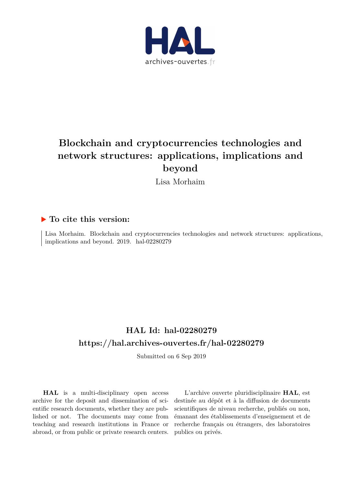

# **Blockchain and cryptocurrencies technologies and network structures: applications, implications and beyond**

Lisa Morhaim

# **To cite this version:**

Lisa Morhaim. Blockchain and cryptocurrencies technologies and network structures: applications, implications and beyond.  $2019.$  hal- $02280279$ 

# **HAL Id: hal-02280279 <https://hal.archives-ouvertes.fr/hal-02280279>**

Submitted on 6 Sep 2019

**HAL** is a multi-disciplinary open access archive for the deposit and dissemination of scientific research documents, whether they are published or not. The documents may come from teaching and research institutions in France or abroad, or from public or private research centers.

L'archive ouverte pluridisciplinaire **HAL**, est destinée au dépôt et à la diffusion de documents scientifiques de niveau recherche, publiés ou non, émanant des établissements d'enseignement et de recherche français ou étrangers, des laboratoires publics ou privés.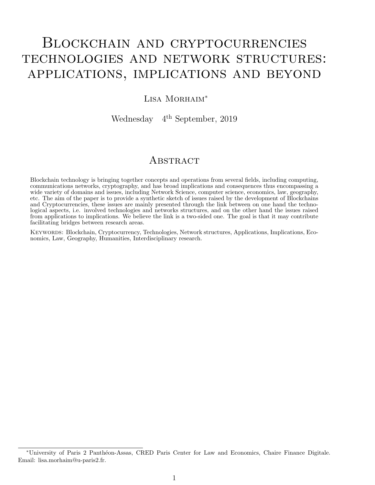# Blockchain and cryptocurrencies technologies and network structures: applications, implications and beyond

### LISA MORHAIM<sup>\*</sup>

Wednesday 4th September, 2019

## **ABSTRACT**

Blockchain technology is bringing together concepts and operations from several fields, including computing, communications networks, cryptography, and has broad implications and consequences thus encompassing a wide variety of domains and issues, including Network Science, computer science, economics, law, geography, etc. The aim of the paper is to provide a synthetic sketch of issues raised by the development of Blockchains and Cryptocurrencies, these issues are mainly presented through the link between on one hand the technological aspects, i.e. involved technologies and networks structures, and on the other hand the issues raised from applications to implications. We believe the link is a two-sided one. The goal is that it may contribute facilitating bridges between research areas.

Keywords: Blockchain, Cryptocurrency, Technologies, Network structures, Applications, Implications, Economics, Law, Geography, Humanities, Interdisciplinary research.

<sup>∗</sup>University of Paris 2 Panth´eon-Assas, CRED Paris Center for Law and Economics, Chaire Finance Digitale. Email: lisa.morhaim@u-paris2.fr.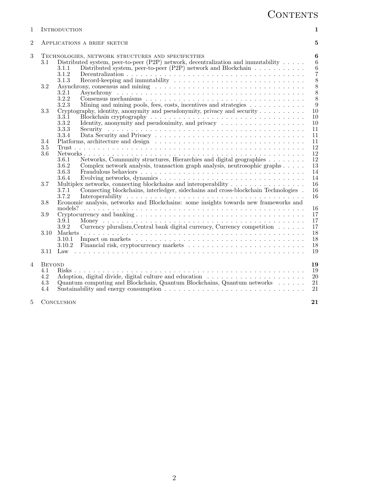| $\mathbf{1}$   |                                           | INTRODUCTION                                                                                                                                                                                                                                                                                                                          | 1                                                                                   |
|----------------|-------------------------------------------|---------------------------------------------------------------------------------------------------------------------------------------------------------------------------------------------------------------------------------------------------------------------------------------------------------------------------------------|-------------------------------------------------------------------------------------|
| $\overline{2}$ | APPLICATIONS A BRIEF SKETCH               |                                                                                                                                                                                                                                                                                                                                       | 5                                                                                   |
| 3              | 3.1<br>3.2                                | TECHNOLOGIES, NETWORK STRUCTURES AND SPECIFICITIES<br>Distributed system, peer-to-peer (P2P) network, decentralization and immutability $\dots$ .<br>Distributed system, peer-to-peer (P2P) network and Blockchain<br>3.1.1<br>3.1.2<br>3.1.3<br>3.2.1<br>3.2.2                                                                       | 6<br>$\,6\,$<br>$\boldsymbol{6}$<br>$\overline{7}$<br>8<br>8<br>$\overline{8}$<br>8 |
|                | 3.3                                       | Mining and mining pools, fees, costs, incentives and strategies<br>3.2.3<br>Cryptography, identity, anonymity and pseudonymity, privacy and security $\dots \dots \dots$<br>$3.\overline{3}.\overline{1}$<br>Identity, anonymity and pseudonimity, and privacy $\dots \dots \dots \dots \dots \dots \dots$<br>3.3.2<br>3.3.3<br>3.3.4 | 9<br>10<br>10<br>10<br>11<br>11                                                     |
|                | 3.4<br>$3.5\,$<br>3.6                     |                                                                                                                                                                                                                                                                                                                                       | 11<br>12<br>12                                                                      |
|                |                                           | Networks, Community structures, Hierarchies and digital geographies<br>3.6.1<br>Complex network analysis, transaction graph analysis, neutrosophic graphs<br>3.6.2<br>3.6.3<br>3.6.4                                                                                                                                                  | 12<br>13<br>14<br>14                                                                |
|                | 3.7                                       | Multiplex networks, connecting blockchains and interoperability<br>Connecting blockchains, interledger, sidechains and cross-blockchain Technologies.<br>3.7.1<br>3.7.2                                                                                                                                                               | 16<br>16<br>16                                                                      |
|                | 3.8                                       | Economic analysis, networks and Blockchains: some insights towards new frameworks and                                                                                                                                                                                                                                                 |                                                                                     |
|                | 3.9                                       | 3.9.1                                                                                                                                                                                                                                                                                                                                 | 16<br>17<br>17                                                                      |
|                | 3.10                                      | Currency pluralism, Central bank digital currency, Currency competition<br>3.9.2<br>3.10.1                                                                                                                                                                                                                                            | 17<br>18<br>18                                                                      |
|                | 3.11                                      | 3.10.2                                                                                                                                                                                                                                                                                                                                | 18<br>19                                                                            |
| $\overline{4}$ | <b>BEYOND</b><br>4.1<br>4.2<br>4.3<br>4.4 | $Risks$<br>Quantum computing and Blockchain, Quantum Blockchains, Quantum networks<br>Sustainability and energy consumption $\ldots \ldots \ldots \ldots \ldots \ldots \ldots \ldots \ldots \ldots \ldots$                                                                                                                            | 19<br>19<br>$20\,$<br>21<br>21                                                      |
| 5              | CONCLUSION                                |                                                                                                                                                                                                                                                                                                                                       | 21                                                                                  |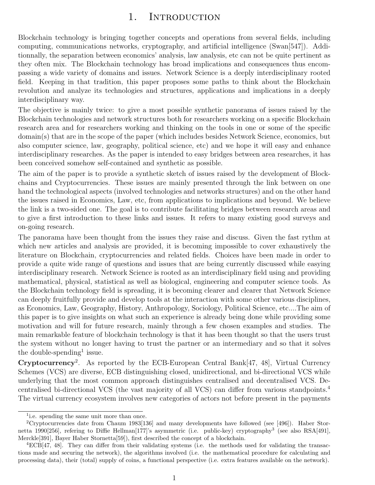# 1. INTRODUCTION

Blockchain technology is bringing together concepts and operations from several fields, including computing, communications networks, cryptography, and artificial intelligence (Swan[547]). Additionnally, the separation between economics' analysis, law analysis, etc can not be quite pertinent as they often mix. The Blockchain technology has broad implications and consequences thus encompassing a wide variety of domains and issues. Network Science is a deeply interdisciplinary rooted field. Keeping in that tradition, this paper proposes some paths to think about the Blockchain revolution and analyze its technologies and structures, applications and implications in a deeply interdisciplinary way.

The objective is mainly twice: to give a most possible synthetic panorama of issues raised by the Blockchain technologies and network structures both for researchers working on a specific Blockchain research area and for researchers working and thinking on the tools in one or some of the specific domain(s) that are in the scope of the paper (which includes besides Network Science, economics, but also computer science, law, geography, political science, etc) and we hope it will easy and enhance interdisciplinary researches. As the paper is intended to easy bridges between area researches, it has been conceived somehow self-contained and synthetic as possible.

The aim of the paper is to provide a synthetic sketch of issues raised by the development of Blockchains and Cryptocurrencies. These issues are mainly presented through the link between on one hand the technological aspects (involved technologies and networks structures) and on the other hand the issues raised in Economics, Law, etc, from applications to implications and beyond. We believe the link is a two-sided one. The goal is to contribute facilitating bridges between research areas and to give a first introduction to these links and issues. It refers to many existing good surveys and on-going research.

The panorama have been thought from the issues they raise and discuss. Given the fast rythm at which new articles and analysis are provided, it is becoming impossible to cover exhaustively the literature on Blockchain, cryptocurrencies and related fields. Choices have been made in order to provide a quite wide range of questions and issues that are being currently discussed while easying interdisciplinary research. Network Science is rooted as an interdisciplinary field using and providing mathematical, physical, statistical as well as biological, engineering and computer science tools. As the Blockchain technology field is spreading, it is becoming clearer and clearer that Network Science can deeply fruitfully provide and develop tools at the interaction with some other various disciplines, as Economics, Law, Geography, History, Anthropology, Sociology, Political Science, etc....The aim of this paper is to give insights on what such an experience is already being done while providing some motivation and will for future research, mainly through a few chosen examples and studies. The main remarkable feature of blockchain technology is that it has been thought so that the users trust the system without no longer having to trust the partner or an intermediary and so that it solves the double-spending<sup>1</sup> issue.

Cryptocurrency<sup>2</sup>. As reported by the ECB-European Central Bank[47, 48], Virtual Currency Schemes (VCS) are diverse, ECB distinguishing closed, unidirectional, and bi-directional VCS while underlying that the most common approach distinguishes centralised and decentralised VCS. Decentralised bi-directional VCS (the vast majority of all VCS) can differ from various standpoints.<sup>4</sup> The virtual currency ecosystem involves new categories of actors not before present in the payments

<sup>&</sup>lt;sup>1</sup> i.e. spending the same unit more than once.

<sup>2</sup>Cryptocurrencies date from Chaum 1983[136] and many developments have followed (see [496]). Haber Stornetta 1990[256], refering to Diffie Hellman<sup>[177]</sup>'s asymmetric (i.e. public-key) cryptography<sup>3</sup> (see also RSA[491], Merckle[391], Bayer Haber Stornetta[59]), first described the concept of a blockchain.

<sup>4</sup>ECB[47, 48]. They can differ from their validating systems (i.e. the methods used for validating the transactions made and securing the network), the algorithms involved (i.e. the mathematical procedure for calculating and processing data), their (total) supply of coins, a functional perspective (i.e. extra features available on the network).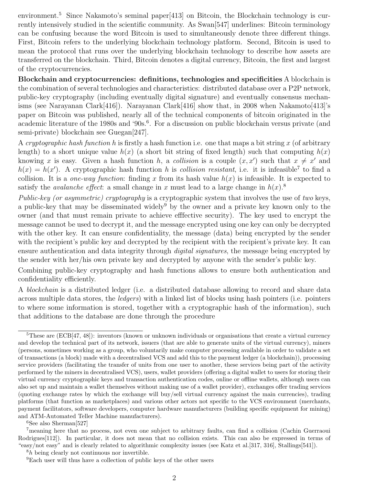environment.<sup>5</sup> Since Nakamoto's seminal paper [413] on Bitcoin, the Blockchain technology is currently intensively studied in the scientific community. As Swan[547] underlines: Bitcoin terminology can be confusing because the word Bitcoin is used to simultaneously denote three different things. First, Bitcoin refers to the underlying blockchain technology platform. Second, Bitcoin is used to mean the protocol that runs over the underlying blockchain technology to describe how assets are transferred on the blockchain. Third, Bitcoin denotes a digital currency, Bitcoin, the first and largest of the cryptocurrencies.

Blockchain and cryptocurrencies: definitions, technologies and specificities A blockchain is the combination of several technologies and characteristics: distributed database over a P2P network, public-key cryptography (including eventually digital signature) and eventually consensus mechanisms (see Narayanan Clark[416]). Narayanan Clark[416] show that, in 2008 when Nakamoto[413]'s paper on Bitcoin was published, nearly all of the technical components of bitcoin originated in the academic literature of the 1980s and '90s.<sup>6</sup>. For a discussion on public blockchain versus private (and semi-private) blockchain see Guegan[247].

A cryptographic hash function h is firstly a hash function i.e. one that maps a bit string x (of arbitrary length) to a short unique value  $h(x)$  (a short bit string of fixed length) such that computing  $h(x)$ knowing x is easy. Given a hash function h, a collision is a couple  $(x, x')$  such that  $x \neq x'$  and  $h(x) = h(x')$ . A cryptographic hash function h is collision resistant, i.e. it is infeasible<sup>7</sup> to find a collision. It is a *one-way function*: finding x from its hash value  $h(x)$  is infeasible. It is expected to satisfy the *avalanche effect*: a small change in x must lead to a large change in  $h(x)$ .<sup>8</sup>

Public-key (or asymmetric) cryptography is a cryptographic system that involves the use of two keys, a public-key that may be disseminated widely<sup>9</sup> by the owner and a private key known only to the owner (and that must remain private to achieve efffective security). The key used to encrypt the message cannot be used to decrypt it, and the message encrypted using one key can only be decrypted with the other key. It can ensure confidentiality, the message (data) being encrypted by the sender with the recipient's public key and decrypted by the recipient with the recipient's private key. It can ensure authentication and data integrity through *digital signatures*, the message being encrypted by the sender with her/his own private key and decrypted by anyone with the sender's public key.

Combining public-key cryptography and hash functions allows to ensure both authentication and confidentiality efficiently.

A blockchain is a distributed ledger (i.e. a distributed database allowing to record and share data across multiple data stores, the ledgers) with a linked list of blocks using hash pointers (i.e. pointers to where some information is stored, together with a cryptographic hash of the information), such that additions to the database are done through the procedure

 ${}^{6}$ See also Sherman<sup>[527]</sup>

<sup>&</sup>lt;sup>5</sup>These are (ECB[47, 48]): inventors (known or unknown individuals or organisations that create a virtual currency and develop the technical part of its network, issuers (that are able to generate units of the virtual currency), miners (persons, sometimes working as a group, who voluntarily make computer processing available in order to validate a set of transactions (a block) made with a decentralised VCS and add this to the payment ledger (a blockchain)), processing service providers (facilitating the transfer of units from one user to another, these services being part of the activity performed by the miners in decentralised VCS), users, wallet providers (offering a digital wallet to users for storing their virtual currency cryptographic keys and transaction authentication codes, online or offline wallets, although users can also set up and maintain a wallet themselves without making use of a wallet provider), exchanges offer trading services (quoting exchange rates by which the exchange will buy/sell virtual currency against the main currencies), trading platforms (that function as marketplaces) and various other actors not specific to the VCS environment (merchants, payment facilitators, software developers, computer hardware manufacturers (building specific equipment for mining) and ATM-Automated Teller Machine manufacturers).

<sup>7</sup>meaning here that no process, not even one subject to arbitrary faults, can find a collision (Cachin Guerraoui Rodrigues<sup>[112]</sup>). In particular, it does not mean that no collision exists. This can also be expressed in terms of "easy/not easy" and is clearly related to algorithmic complexity issues (see Katz et al.[317, 316], Stallings[541]).

<sup>8</sup>h being clearly not continuous nor invertible.

<sup>9</sup>Each user will thus have a collection of public keys of the other users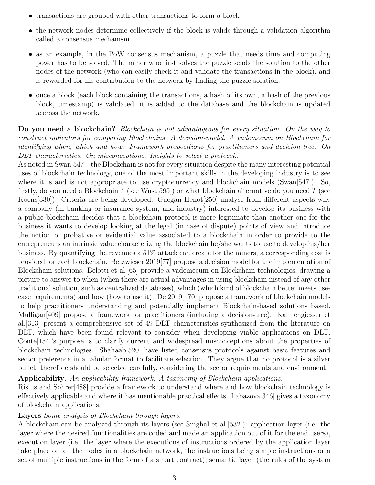- transactions are grouped with other transactions to form a block
- the network nodes determine collectively if the block is valide through a validation algorithm called a consensus mechanism
- as an example, in the PoW consensus mechanism, a puzzle that needs time and computing power has to be solved. The miner who first solves the puzzle sends the solution to the other nodes of the network (who can easily check it and validate the transactions in the block), and is rewarded for his contribution to the network by finding the puzzle solution.
- once a block (each block containing the transactions, a hash of its own, a hash of the previous block, timestamp) is validated, it is added to the database and the blockchain is updated accross the network.

Do you need a blockchain? Blockchain is not advantageous for every situation. On the way to construct indicators for comparing Blockchains. A decision-model. A vademecum on Blockchain for identifying when, which and how. Framework propositions for practitioners and decision-tree. On DLT characteristics. On misconceptions. Insights to select a protocol..

As noted in Swan[547]: the Blockchain is not for every situation despite the many interesting potential uses of blockchain technology, one of the most important skills in the developing industry is to see where it is and is not appropriate to use cryptocurrency and blockchain models (Swan $[547]$ ). So, firstly, do you need a Blockchain ? (see Wust[595]) or what blockchain alternative do you need ? (see Koens[330]). Criteria are being developed. Guegan Henot[250] analyse from different aspects why a company (in banking or insurance system, and industry) interested to develop its business with a public blockchain decides that a blockchain protocol is more legitimate than another one for the business it wants to develop looking at the legal (in case of dispute) points of view and introduce the notion of probative or evidential value associated to a blockchain in order to provide to the entrepreneurs an intrinsic value characterizing the blockchain he/she wants to use to develop his/her business. By quantifying the revenues a 51% attack can create for the miners, a corresponding cost is provided for each blockchain. Betzwieser 2019[77] propose a decision model for the implementation of Blockchain solutions. Belotti et al.[65] provide a vademecum on Blockchain technologies, drawing a picture to answer to when (when there are actual advantages in using blockchain instead of any other traditional solution, such as centralized databases), which (which kind of blockchain better meets usecase requirements) and how (how to use it). De 2019[170] propose a framework of blockchain models to help practitioners understanding and potentially implement Blockchain-based solutions based. Mulligan[409] propose a framework for practitioners (including a decision-tree). Kannengiesser et al.[313] present a comprehensive set of 49 DLT characteristics synthesized from the literature on DLT, which have been found relevant to consider when developing viable applications on DLT. Conte[154]'s purpose is to clarify current and widespread misconceptions about the properties of blockchain technologies. Shahaab[520] have listed consensus protocols against basic features and sector preference in a tabular format to facilitate selection. They argue that no protocol is a silver bullet, therefore should be selected carefully, considering the sector requirements and environment.

Applicability. An applicability framework. A taxonomy of Blockchain applications.

Risius and Sohrer[488] provide a framework to understand where and how blockchain technology is effectively applicable and where it has mentionable practical effects. Labazova[346] gives a taxonomy of blockchain applications.

#### Layers Some analysis of Blockchain through layers.

A blockchain can be analyzed through its layers (see Singhal et al.[532]): application layer (i.e. the layer where the desired functionalities are coded and made an application out of it for the end users), execution layer (i.e. the layer where the executions of instructions ordered by the application layer take place on all the nodes in a blockchain network, the instructions being simple instructions or a set of multiple instructions in the form of a smart contract), semantic layer (the rules of the system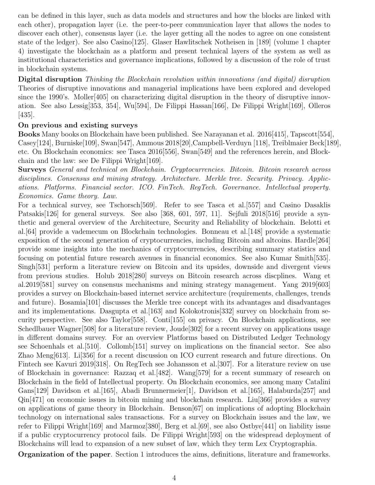can be defined in this layer, such as data models and structures and how the blocks are linked with each other), propagation layer (i.e. the peer-to-peer communication layer that allows the nodes to discover each other), consensus layer (i.e. the layer getting all the nodes to agree on one consistent state of the ledger). See also Casino[125]. Glaser Hawlitschek Notheisen in [189] (volume 1 chapter 4) investigate the blockchain as a platform and present technical layers of the system as well as institutional characteristics and governance implications, followed by a discussion of the role of trust in blockchain systems.

Digital disruption Thinking the Blockchain revolution within innovations (and digital) disruption Theories of disruptive innovations and managerial implications have been explored and developed since the 1990's. Moller<sup>[405]</sup> on characterizing digital disruption in the theory of disruptive innovation. See also Lessig[353, 354], Wu[594], De Filippi Hassan[166], De Filippi Wright[169], Olleros [435].

#### On previous and existing surveys

Books Many books on Blockchain have been published. See Narayanan et al. 2016[415], Tapscott[554], Casey[124], Burniske[109], Swan[547], Ammous 2018[20],Campbell-Verduyn [118], Treiblmaier Beck[189], etc. On Blockchain economics: see Tasca 2016[556], Swan[549] and the references herein, and Blockchain and the law: see De Filippi Wright[169].

Surveys General and technical on Blockchain. Cryptocurrencies. Bitcoin. Bitcoin research across disciplines. Consensus and mining strategy. Architecture. Merkle tree. Security. Privacy. Applications. Platforms. Financial sector. ICO. FinTech. RegTech. Governance. Intellectual property. Economics. Game theory. Law.

For a technical survey, see Tschorsch[569]. Refer to see Tasca et al.[557] and Casino Dasaklis Patsakis<sup>[126]</sup> for general surveys. See also [368, 601, 597, 11]. Sejfuli 2018<sup>[516]</sup> provide a synthetic and general overview of the Architecture, Security and Reliability of blockchain. Belotti et al.[64] provide a vademecum on Blockchain technologies. Bonneau et al.[148] provide a systematic exposition of the second generation of cryptocurrencies, including Bitcoin and altcoins. Hardle[264] provide some insights into the mechanics of cryptocurrencies, describing summary statistics and focusing on potential future research avenues in financial economics. See also Kumar Smith[535]. Singh[531] perform a literature review on Bitcoin and its upsides, downside and divergent views from previous studies. Holub 2018[280] surveys on Bitcoin research across discplines. Wang et al.2019[581] survey on consensus mechanisms and mining strategy management. Yang 2019[603] provides a survey on Blockchain-based internet service architecture (requirements, challenges, trends and future). Bosamia[101] discusses the Merkle tree concept with its advantages and disadvantages and its implementations. Dasgupta et al.[163] and Kolokotronis[332] survey on blockchain from security perspective. See also Taylor[558]. Conti[155] on privacy. On Blockchain applications, see Schedlbauer Wagner<sup>[508]</sup> for a literature review, Joude<sup>[302]</sup> for a recent survey on applications usage in different domains survey. For an overview Platforms based on Distributed Ledger Technology see Schoenhals et al.[510]. Collomb[151] survey on implications on the financial sector. See also Zhao Meng[613]. Li[356] for a recent discussion on ICO current research and future directions. On Fintech see Kavuri 2019[318]. On RegTech see Johansson et al.[307]. For a literature review on use of Blockchain in governance: Razzaq et al.[482]. Wang[579] for a recent summary of research on Blockchain in the field of Intellectual property. On Blockchain economics, see among many Catalini Gans[129] Davidson et al.[165], Abadi Brunnermeier[1], Davidson et al.[165], Halaburda[257] and Qin[471] on economic issues in bitcoin mining and blockchain research. Liu[366] provides a survey on applications of game theory in Blockchain. Benson[67] on implications of adopting Blockchain technology on international sales transactions. For a survey on Blockchain issues and the law, we refer to Filippi Wright[169] and Marmoz[380], Berg et al.[69], see also Ostbye[441] on liability issue if a public cryptocurrency protocol fails. De Filippi Wright[593] on the widespread deployment of Blockchains will lead to expansion of a new subset of law, which they term Lex Cryptographia.

Organization of the paper. Section 1 introduces the aims, definitions, literature and frameworks.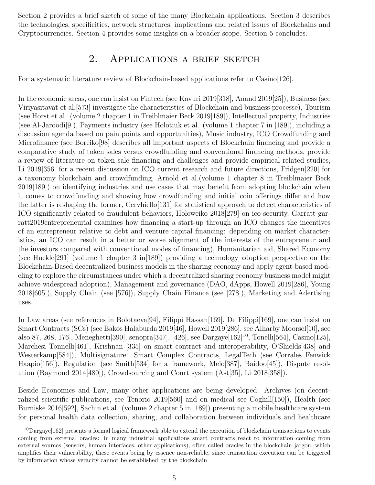Section 2 provides a brief sketch of some of the many Blockchain applications. Section 3 describes the technologies, specificities, network structures, implications and related issues of Blockchains and Cryptocurrencies. Section 4 provides some insights on a broader scope. Section 5 concludes.

# 2. Applications a brief sketch

For a systematic literature review of Blockchain-based applications refer to Casino[126].

.

In the economic areas, one can insist on Fintech (see Kavuri 2019[318], Anand 2019[25]), Business (see Viriyasitavat et al.[573] investigate the characteristics of Blockchain and business processe), Tourism (see Horst et al. (volume 2 chapter 1 in Treiblmaier Beck 2019[189]), Intellectual property, Industries (see Al-Jaroodi[9]), Payments industry (see Holotiuk et al. (volume 1 chapter 7 in [189]), including a discussion agenda based on pain points and opportunities), Music industry, ICO Crowdfunding and Microfinance (see Boreiko[98] describes all important aspects of Blockchain financing and provide a comparative study of token sales versus crowdfunding and conventional financing methods, provide a review of literature on token sale financing and challenges and provide empirical related studies, Li 2019[356] for a recent discussion on ICO current research and future directions, Fridgen[220] for a taxonomy blockchain and crowdfunding, Arnold et al.(volume 1 chapter 8 in Treiblmaier Beck 2019[189]) on identifying industries and use cases that may benefit from adopting blockchain when it comes to crowdfunding and showing how crowdfunding and initial coin offerings differ and how the latter is reshaping the former, Cervhiello[131] for statistical approach to detect characteristics of ICO significantly related to fraudulent behaviors, Holoweiko 2018[279] on ico security, Garratt garratt2019entrepreneurial examines how financing a start-up through an ICO changes the incentives of an entrepreneur relative to debt and venture capital financing: depending on market characteristics, an ICO can result in a better or worse alignment of the interests of the entrepreneur and the investors compared with conventional modes of financing), Humanitarian aid, Shared Economy (see Huckle[291] (volume 1 chapter 3 in[189]) providing a technology adoption perspective on the Blockchain-Based decentralized business models in the sharing economy and apply agent-based modeling to explore the circumstances under which a decentralized sharing economy business model might achieve widespread adoption), Management and governance (DAO, dApps, Howell 2019[286], Young 2018[605]), Supply Chain (see [576]), Supply Chain Finance (see [278]), Marketing and Adertising uses.

In Law areas (see references in Bolotaeva[94], Filippi Hassan[169], De Filippi[169], one can insist on Smart Contracts (SCs) (see Bakos Halaburda 2019[46], Howell 2019[286], see Alharby Moorsel[10], see also[87, 268, 176], Meneghetti[390], senopra[347], [426], see Dargaye[162]<sup>10</sup>, Tonelli[564], Casino[125], Marchesi Tonnelli[461], Krishnan [335] on smart contract and interoperability, O'Shields[438] and Westerkamp[584]), Multisignature: Smart Complex Contracts, LegalTech (see Corrales Fenwick Haapio[156]), Regulation (see Smith[534] for a framework, Melo[387], Baidoo[45]), Dispute resolution (Raymond 2014[480]), Crowdsourcing and Court system (Ast[35], Li 2018[358]).

Beside Economics and Law, many other applications are being developed: Archives (on decentralized scientific publications, see Tenorio 2019[560] and on medical see Coghill[150]), Health (see Burniske 2016[592], Sachin et al. (volume 2 chapter 5 in [189]) presenting a mobile healthcare system for personal health data collection, sharing, and collaboration between individuals and healthcare

 $10$ Dargaye[162] presents a formal logical framework able to extend the execution of blockchain transactions to events coming from external oracles: in many industrial applications smart contracts react to information coming from external sources (sensors, human interfaces, other applications), often called oracles in the blockchain jargon, which amplifies their vulnerability, these events being by essence non-reliable, since transaction execution can be triggered by information whose veracity cannot be established by the blockchain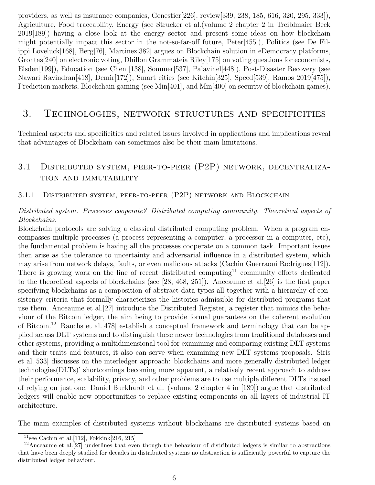providers, as well as insurance companies, Genestier[226], review[339, 238, 185, 616, 320, 295, 333]), Agriculture, Food traceability, Energy (see Strucker et al.(volume 2 chapter 2 in Treiblmaier Beck 2019[189]) having a close look at the energy sector and present some ideas on how blockchain might potentially impact this sector in the not-so-far-off future, Peter[455]), Politics (see De Filippi Loveluck[168], Berg[76], Martinez[382] argues on Blockchain solution in eDemocracy platforms, Grontas[240] on electronic voting, Dhillon Grammateia Riley[175] on voting questions for economists, Elsden[199]), Education (see Chen [138], Sommer[537], Palavinel[448]), Post-Disaster Recovery (see Nawari Ravindran[418], Demir[172]), Smart cities (see Kitchin[325], Speed[539], Ramos 2019[475]), Prediction markets, Blockchain gaming (see Min[401], and Min[400] on security of blockchain games).

# 3. Technologies, network structures and specificities

Technical aspects and specificities and related issues involved in applications and implications reveal that advantages of Blockchain can sometimes also be their main limitations.

# 3.1 Distributed system, peer-to-peer (P2P) network, decentralization and immutability

#### 3.1.1 Distributed system, peer-to-peer (P2P) network and Blockchain

#### Distributed system. Processes cooperate? Distributed computing community. Theoretical aspects of Blockchains.

Blockchain protocols are solving a classical distributed computing problem. When a program encompasses multiple processes (a process representing a computer, a processor in a computer, etc), the fundamental problem is having all the processes cooperate on a common task. Important issues then arise as the tolerance to uncertainty and adversarial influence in a distributed system, which may arise from network delays, faults, or even malicious attacks (Cachin Guerraoui Rodrigues[112]). There is growing work on the line of recent distributed computing<sup>11</sup> community efforts dedicated to the theoretical aspects of blockchains (see [28, 468, 251]). Anceaume et al.[26] is the first paper specifying blockchains as a composition of abstract data types all together with a hierarchy of consistency criteria that formally characterizes the histories admissible for distributed programs that use them. Anceaume et al.[27] introduce the Distributed Register, a register that mimics the behaviour of the Bitcoin ledger, the aim being to provide formal guarantees on the coherent evolution of Bitcoin.<sup>12</sup> Rauchs et al.[478] establish a conceptual framework and terminology that can be applied across DLT systems and to distinguish these newer technologies from traditional databases and other systems, providing a multidimensional tool for examining and comparing existing DLT systems and their traits and features, it also can serve when examining new DLT systems proposals. Siris et al.[533] discusses on the interledger approach: blockchains and more generally distributed ledger technologies(DLTs)' shortcomings becoming more apparent, a relatively recent approach to address their performance, scalability, privacy, and other problems are to use multiple different DLTs instead of relying on just one. Daniel Burkhardt et al. (volume 2 chapter 4 in [189]) argue that distributed ledgers will enable new opportunities to replace existing components on all layers of industrial IT architecture.

The main examples of distributed systems without blockchains are distributed systems based on

<sup>&</sup>lt;sup>11</sup>see Cachin et al. [112], Fokkink[216, 215]

 $12$ Anceaume et al.<sup>[27]</sup> underlines that even though the behaviour of distributed ledgers is similar to abstractions that have been deeply studied for decades in distributed systems no abstraction is sufficiently powerful to capture the distributed ledger behaviour.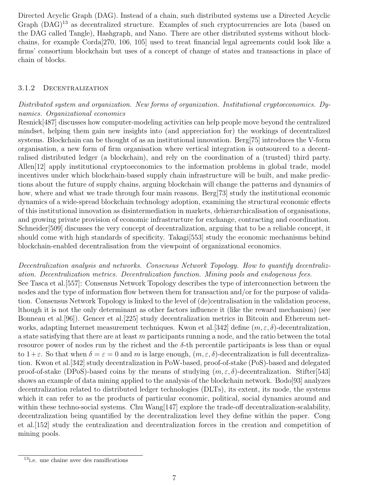Directed Acyclic Graph (DAG). Instead of a chain, such distributed systems use a Directed Acyclic Graph (DAG)<sup>13</sup> as decentralized structure. Examples of such cryptocurrencies are Iota (based on the DAG called Tangle), Hashgraph, and Nano. There are other distributed systems without blockchains, for example Corda[270, 106, 105] used to treat financial legal agreements could look like a firms' consortium blockchain but uses of a concept of change of states and transactions in place of chain of blocks.

#### 3.1.2 Decentralization

#### Distributed system and organization. New forms of organization. Institutional cryptoeconomics. Dynamics. Organizational economics

Resnick[487] discusses how computer-modeling activities can help people move beyond the centralized mindset, helping them gain new insights into (and appreciation for) the workings of decentralized systems. Blockchain can be thought of as an institutional innovation. Berg[75] introduces the V-form organisation, a new form of firm organisation where vertical integration is outsourced to a decentralised distributed ledger (a blockchain), and rely on the coordination of a (trusted) third party. Allen[12] apply institutional cryptoeconomics to the information problems in global trade, model incentives under which blockchain-based supply chain infrastructure will be built, and make predictions about the future of supply chains, arguing blockchain will change the patterns and dynamics of how, where and what we trade through four main reasons. Berg[73] study the institutional economic dynamics of a wide-spread blockchain technology adoption, examining the structural economic effects of this institutional innovation as disintermediation in markets, dehierarchicalisation of organisations, and growing private provision of economic infrastructure for exchange, contracting and coordination. Schneider[509] discusses the very concept of decentralization, arguing that to be a reliable concept, it should come with high standards of specificity. Takagi[553] study the economic mechanisms behind blockchain-enabled decentralisation from the viewpoint of organizational economics.

Decentralization analysis and networks. Consensus Network Topology. How to quantify decentralization. Decentralization metrics. Decentralization function. Mining pools and endogenous fees. See Tasca et al.[557]: Consensus Network Topology describes the type of interconnection between the nodes and the type of information flow between them for transaction and/or for the purpose of validation. Consensus Network Topology is linked to the level of (de)centralisation in the validation process, lthough it is not the only determinant as other factors influence it (like the reward mechanism) (see Bonneau et al.[96]). Gencer et al.[225] study decentralization metrics in Bitcoin and Ethereum networks, adapting Internet measurement techniques. Kwon et al. [342] define  $(m, \varepsilon, \delta)$ -decentralization, a state satisfying that there are at least  $m$  participants running a node, and the ratio between the total resource power of nodes run by the richest and the  $\delta$ -th percentile participants is less than or equal to  $1+\varepsilon$ . So that when  $\delta=\varepsilon=0$  and m is large enough,  $(m,\varepsilon,\delta)$ -decentralization is full decentralization. Kwon et al.[342] study decentralization in PoW-based, proof-of-stake (PoS)-based and delegated proof-of-stake (DPoS)-based coins by the means of studying  $(m, \varepsilon, \delta)$ -decentralization. Stifter[543] shows an example of data mining applied to the analysis of the blockchain network. Bodo[93] analyzes decentralization related to distributed ledger technologies (DLTs), its extent, its mode, the systems which it can refer to as the products of particular economic, political, social dynamics around and within these techno-social systems. Chu Wang[147] explore the trade-off decentralization-scalability, decentralization being quantified by the decentralization level they define within the paper. Cong et al.[152] study the centralization and decentralization forces in the creation and competition of mining pools.

<sup>13</sup>i.e. une chaine avec des ramifications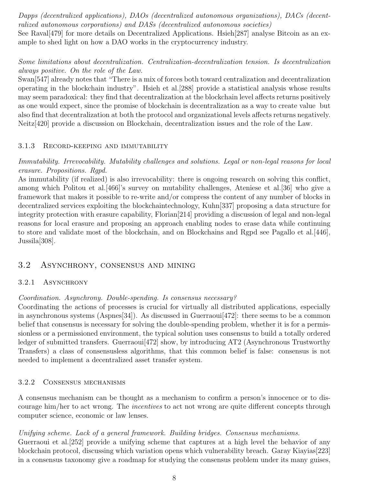Dapps (decentralized applications), DAOs (decentralized autonomous organizations), DACs (decentralized autonomous corporations) and DASs (decentralized autonomous societies)

See Raval<sup>[479]</sup> for more details on Decentralized Applications. Hsieh<sup>[287]</sup> analyse Bitcoin as an example to shed light on how a DAO works in the cryptocurrency industry.

## Some limitations about decentralization. Centralization-decentralization tension. Is decentralization always positive. On the role of the Law.

Swan[547] already notes that "There is a mix of forces both toward centralization and decentralization operating in the blockchain industry". Hsieh et al.[288] provide a statistical analysis whose results may seem paradoxical: they find that decentralization at the blockchain level affects returns positively as one would expect, since the promise of blockchain is decentralization as a way to create value but also find that decentralization at both the protocol and organizational levels affects returns negatively. Neitz[420] provide a discussion on Blockchain, decentralization issues and the role of the Law.

#### 3.1.3 Record-keeping and immutability

Immutability. Irrevocability. Mutability challenges and solutions. Legal or non-legal reasons for local erasure. Propositions. Rgpd.

As immutability (if realized) is also irrevocability: there is ongoing research on solving this conflict, among which Politou et al.[466]'s survey on mutability challenges, Ateniese et al.[36] who give a framework that makes it possible to re-write and/or compress the content of any number of blocks in decentralized services exploiting the blockchaintechnology, Kuhn[337] proposing a data structure for integrity protection with erasure capability, Florian[214] providing a discussion of legal and non-legal reasons for local erasure and proposing an approach enabling nodes to erase data while continuing to store and validate most of the blockchain, and on Blockchains and Rgpd see Pagallo et al.[446], Jussila[308].

### 3.2 Asynchrony, consensus and mining

#### 3.2.1 ASYNCHRONY

#### Coordination. Asynchrony. Double-spending. Is consensus necessary?

Coordinating the actions of processes is crucial for virtually all distributed applications, especially in asynchronous systems (Aspnes[34]). As discussed in Guerraoui<sup>[472]</sup>: there seems to be a common belief that consensus is necessary for solving the double-spending problem, whether it is for a permissionless or a permissioned environment, the typical solution uses consensus to build a totally ordered ledger of submitted transfers. Guerraoui<sup>[472]</sup> show, by introducing AT2 (Asynchronous Trustworthy Transfers) a class of consensusless algorithms, that this common belief is false: consensus is not needed to implement a decentralized asset transfer system.

#### 3.2.2 Consensus mechanisms

A consensus mechanism can be thought as a mechanism to confirm a person's innocence or to discourage him/her to act wrong. The incentives to act not wrong are quite different concepts through computer science, economic or law lenses.

Unifying scheme. Lack of a general framework. Building bridges. Consensus mechanisms. Guerraoui et al.[252] provide a unifying scheme that captures at a high level the behavior of any blockchain protocol, discussing which variation opens which vulnerability breach. Garay Kiayias[223] in a consensus taxonomy give a roadmap for studying the consensus problem under its many guises,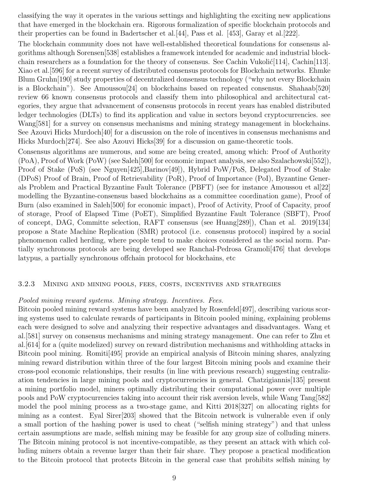classifying the way it operates in the various settings and highlighting the exciting new applications that have emerged in the blockchain era. Rigorous formalization of specific blockchain protocols and their properties can be found in Badertscher et al.[44], Pass et al. [453], Garay et al.[222].

The blockchain community does not have well-established theoretical foundations for consensus algorithms although Sorensen[538] establishes a framework intended for academic and industrial blockchain researchers as a foundation for the theory of consensus. See Cachin Vukolić $[114]$ , Cachin $[113]$ . Xiao et al.[596] for a recent survey of distributed consensus protocols for Blockchain networks. Ehmke Blum Gruhn[190] study properties of decentralized donsensus technology ("why not every Blockchain is a Blockchain"). See Amoussou[24] on blockchains based on repeated consensus. Shahaab[520] review 66 known consensus protocols and classify them into philosophical and architectural categories, they argue that advancement of consensus protocols in recent years has enabled distributed ledger technologies (DLTs) to find its application and value in sectors beyond cryptocurrencies. see Wang<sup>[581]</sup> for a survey on consensus mechanisms and mining strategy management in blockchains. See Azouvi Hicks Murdoch[40] for a discussion on the role of incentives in consensus mechanisms and Hicks Murdoch[274]. See also Azouvi Hicks[39] for a discussion on game-theoretic tools.

Consensus algorithms are numerous, and some are being created, among which: Proof of Authority (PoA), Proof of Work (PoW) (see Saleh[500] for economic impact analysis, see also Szalachowski[552]), Proof of Stake (PoS) (see Nguyen[425],Barinov[49]), Hybrid PoW/PoS, Delegated Proof of Stake (DPoS) Proof of Brain, Proof of Retrievability (PoR), Proof of Importance (PoI), Byzantine Generals Problem and Practical Byzantine Fault Tolerance (PBFT) (see for instance Amoussou et al[22] modelling the Byzantine-consensus based blockchains as a committee coordination game), Proof of Burn (also examined in Saleh[500] for economic impact), Proof of Activity, Proof of Capacity, proof of storage, Proof of Elapsed Time (PoET), Simplified Byzantine Fault Tolerance (SBFT), Proof of concept, DAG, Committe selection, RAFT consensus (see Huang[289]), Chan et al. 2019[134] propose a State Machine Replication (SMR) protocol (i.e. consensus protocol) inspired by a social phenomenon called herding, where people tend to make choices considered as the social norm. Partially synchronous protocols are being developed see Ranchal-Pedrosa Gramoli[476] that develops latypus, a partially synchronous offchain protocol for blockchains, etc

#### 3.2.3 Mining and mining pools, fees, costs, incentives and strategies

#### Pooled mining reward systems. Mining strategy. Incentives. Fees.

Bitcoin pooled mining reward systems have been analyzed by Rosenfeld[497], describing various scoring systems used to calculate rewards of participants in Bitcoin pooled mining, explaining problems each were designed to solve and analyzing their respective advantages and disadvantages. Wang et al.[581] survey on consensus mechanisms and mining strategy management. One can refer to Zhu et al.[614] for a (quite modelized) survey on reward distribution mechanisms and withholding attacks in Bitcoin pool mining. Romiti[495] provide an empirical analysis of Bitcoin mining shares, analyzing mining reward distribution within three of the four largest Bitcoin mining pools and examine their cross-pool economic relationships, their results (in line with previous research) suggesting centralization tendencies in large mining pools and cryptocurrencies in general. Chatzigiannis[135] present a mining portfolio model, miners optimally distributing their computational power over multiple pools and PoW cryptocurrencies taking into account their risk aversion levels, while Wang Tang[582] model the pool mining process as a two-stage game, and Kitti 2018[327] on allocating rights for mining as a contest. Eyal Sirer[203] showed that the Bitcoin network is vulnerable even if only a small portion of the hashing power is used to cheat ("selfish mining strategy") and that unless certain assumptions are made, selfish mining may be feasible for any group size of colluding miners. The Bitcoin mining protocol is not incentive-compatible, as they present an attack with which colluding miners obtain a revenue larger than their fair share. They propose a practical modification to the Bitcoin protocol that protects Bitcoin in the general case that prohibits selfish mining by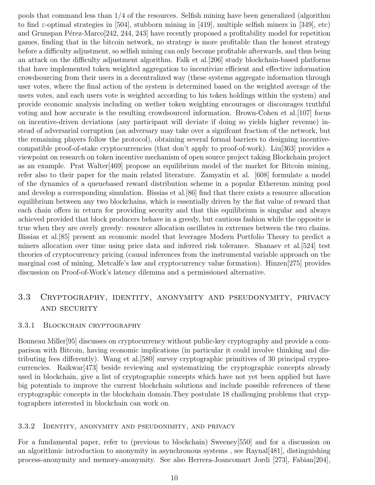pools that command less than 1/4 of the resources. Selfish mining have been generalized (algorithm to find  $\varepsilon$ -optimal strategies in [504], stubborn mining in [419], multiple selfish miners in [349], etc) and Grunspan Pérez-Marco[242, 244, 243] have recently proposed a profitability model for repetition games, finding that in the bitcoin network, no strategy is more profitable than the honest strategy before a difficulty adjustment, so selfish mining can only become profitable afterwards, and thus being an attack on the difficulty adjustment algorithm. Falk et al.[206] study blockchain-based platforms that have implemented token weighted aggregation to incentivize efficient and effective information crowdsourcing from their users in a decentralized way (these systems aggregate information through user votes, where the final action of the system is determined based on the weighted average of the users votes, and each users vote is weighted according to his token holdings within the system) and provide economic analysis including on wether token weighting encourages or discourages truthful voting and how accurate is the resulting crowdsourced information. Brown-Cohen et al.[107] focus on incentive-driven deviations (any participant will deviate if doing so yields higher revenue) instead of adversarial corruption (an adversary may take over a signifcant fraction of the network, but the remaining players follow the protocol), obtaining several formal barriers to designing incentivecompatible proof-of-stake cryptocurrencies (that don't apply to proof-of-work). Liu[363] provides a viewpoint on research on token incentive mechanism of open source project taking Blockchain project as an example. Prat Walter[469] propose an equilibrium model of the market for Bitcoin mining, refer also to their paper for the main related literature. Zamyatin et al. [608] formulate a model of the dynamics of a queuebased reward distribution scheme in a popular Ethereum mining pool and develop a corresponding simulation. Bissias et al.[86] find that there exists a resource allocation equilibrium between any two blockchains, which is essentially driven by the fiat value of reward that each chain offers in return for providing security and that this equilibrium is singular and always achieved provided that block producers behave in a greedy, but cautious fashion while the opposite is true when they are overly greedy: resource allocation oscillates in extremes between the two chains. Bissias et al.[85] present an economic model that leverages Modern Portfolio Theory to predict a miners allocation over time using price data and inferred risk tolerance. Shanaev et al.[524] test theories of cryptocurrency pricing (causal inferences from the instrumental variable approach on the marginal cost of mining, Metcalfe's law and cryptocurrency value formation). Hinzen[275] provides discussion on Proof-of-Work's latency dilemma and a permissioned alternative.

# 3.3 Cryptography, identity, anonymity and pseudonymity, privacy and security

#### 3.3.1 Blockchain cryptography

Bonneau Miller[95] discusses on cryptocurrency without public-key cryptography and provide a comparison with Bitcoin, having economic implications (in particular it could involve thinking and distributing fees differently). Wang et al.[580] survey cryptographic primitives of 30 principal cryprocurrencies. Raikwar[473] beside reviewing and systematizing the cryptographic concepts already used in blockchain, give a list of cryptographic concepts which have not yet been applied but have big potentials to improve the current blockchain solutions and include possible references of these cryptographic concepts in the blockchain domain.They postulate 18 challenging problems that cryptographers interested in blockchain can work on.

#### 3.3.2 Identity, anonymity and pseudonimity, and privacy

For a fundamental paper, refer to (previous to blockchain) Sweeney[550] and for a discussion on an algorithmic introduction to anonymity in asynchronous systems , see Raynal[481], distinguishing process-anonymity and memory-anonymity. See also Herrera-Joancomart Jordi [273], Fabian[204],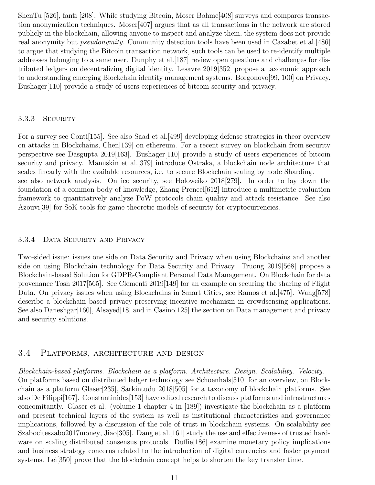ShenTu [526], fanti [208]. While studying Bitcoin, Moser Bohme[408] surveys and compares transaction anonymization techniques. Moser[407] argues that as all transactions in the network are stored publicly in the blockchain, allowing anyone to inspect and analyze them, the system does not provide real anonymity but *pseudonymity*. Community detection tools have been used in Cazabet et al. [486] to argue that studying the Bitcoin transaction network, such tools can be used to re-identify multiple addresses belonging to a same user. Dunphy et al.[187] review open questions and challenges for distributed ledgers on decentralizing digital identity. Lesavre 2019[352] propose a taxonomic approach to understanding emerging Blockchain identity management systems. Borgonovo[99, 100] on Privacy. Bushager[110] provide a study of users experiences of bitcoin security and privacy.

#### 3.3.3 SECURITY

For a survey see Conti[155]. See also Saad et al.[499] developing defense strategies in theor overview on attacks in Blockchains, Chen[139] on ethereum. For a recent survey on blockchain from security perspective see Dasgupta 2019[163]. Bushager[110] provide a study of users experiences of bitcoin security and privacy. Manuskin et al.[379] introduce Ostraka, a blockchain node architecture that scales linearly with the available resources, i.e. to secure Blockchain scaling by node Sharding. see also network analysis. On ico security, see Holoweiko 2018[279]. In order to lay down the foundation of a common body of knowledge, Zhang Preneel[612] introduce a multimetric evaluation framework to quantitatively analyze PoW protocols chain quality and attack resistance. See also Azouvi[39] for SoK tools for game theoretic models of security for cryptocurrencies.

#### 3.3.4 DATA SECURITY AND PRIVACY

Two-sided issue: issues one side on Data Security and Privacy when using Blockchains and another side on using Blockchain technology for Data Security and Privacy. Truong 2019[568] propose a Blockchain-based Solution for GDPR-Compliant Personal Data Management. On Blockchain for data provenance Tosh 2017[565]. See Clementi 2019[149] for an example on securing the sharing of Flight Data. On privacy issues when using Blockchains in Smart Cities, see Ramos et al. [475]. Wang[578] describe a blockchain based privacy-preserving incentive mechanism in crowdsensing applications. See also Daneshgar<sup>[160]</sup>, Alsayed<sup>[18]</sup> and in Casino<sup>[125]</sup> the section on Data management and privacy and security solutions.

#### 3.4 Platforms, architecture and design

Blockchain-based platforms. Blockchain as a platform. Architecture. Design. Scalability. Velocity. On platforms based on distributed ledger technology see Schoenhals[510] for an overview, on Blockchain as a platform Glaser[235], Sarkintudu 2018[505] for a taxonomy of blockchain platforms. See also De Filippi[167]. Constantinides[153] have edited research to discuss platforms and infrastructures concomitantly. Glaser et al. (volume 1 chapter 4 in [189]) investigate the blockchain as a platform and present technical layers of the system as well as institutional characteristics and governance implications, followed by a discussion of the role of trust in blockchain systems. On scalability see Szabociteszabo2017money, Jiao<sup>[305]</sup>. Dang et al. [161] study the use and effectiveness of trusted hardware on scaling distributed consensus protocols. Duffie<sup>[186]</sup> examine monetary policy implications and business strategy concerns related to the introduction of digital currencies and faster payment systems. Lei<sup>[350]</sup> prove that the blockchain concept helps to shorten the key transfer time.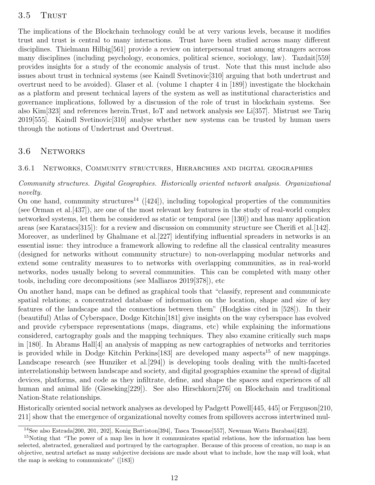#### 3.5 TRUST

The implications of the Blockchain technology could be at very various levels, because it modifies trust and trust is central to many interactions. Trust have been studied across many different disciplines. Thielmann Hilbig[561] provide a review on interpersonal trust among strangers accross many disciplines (including psychology, economics, political science, sociology, law). Tazdait[559] provides insights for a study of the economic analysis of trust. Note that this must include also issues about trust in technical systems (see Kaindl Svetinovic[310] arguing that both undertrust and overtrust need to be avoided). Glaser et al. (volume 1 chapter 4 in [189]) investigate the blockchain as a platform and present technical layers of the system as well as institutional characteristics and governance implications, followed by a discussion of the role of trust in blockchain systems. See also Kim[323] and references herein.Trust, IoT and network analysis see Li[357]. Mistrust see Tariq 2019[555]. Kaindl Svetinovic[310] analyse whether new systems can be trusted by human users through the notions of Undertrust and Overtrust.

#### 3.6 Networks

#### 3.6.1 Networks, Community structures, Hierarchies and digital geographies

Community structures. Digital Geographies. Historically oriented network analysis. Organizational novelty.

On one hand, community structures<sup>14</sup> ([424]), including topological properties of the communities (see Orman et al.[437]), are one of the most relevant key features in the study of real-world complex networked systems, let them be considered as static or temporal (see [130]) and has many application areas (see Karatacs[315]): for a review and discussion on community structure see Cherifi et al.[142]. Moreover, as underlined by Ghalmane et al.[227] identifying influential spreaders in networks is an essential issue: they introduce a framework allowing to redefine all the classical centrality measures (designed for networks without community structure) to non-overlapping modular networks and extend some centrality measures to to networks with overlapping communities, as in real-world networks, nodes usually belong to several communities. This can be completed with many other tools, including core decompositions (see Malliaros 2019[378]), etc

On another hand, maps can be defined as graphical tools that "classify, represent and communicate spatial relations; a concentrated database of information on the location, shape and size of key features of the landscape and the connections between them" (Hodgkiss cited in [528]). In their (beautiful) Atlas of Cyberspace, Dodge Kitchin[181] give insights on the way cyberspace has evolved and provide cyberspace representations (maps, diagrams, etc) while explaining the informations considered, cartography goals and the mapping techniques. They also examine critically such maps in [180]. In Abrams Hall[4] an analysis of mapping as new cartographies of networks and territories is provided while in Dodge Kitchin Perkins [183] are developed many aspects<sup>15</sup> of new mappings. Landscape research (see Hunziker et al.[294]) is developing tools dealing with the multi-faceted interrelationship between landscape and society, and digital geographies examine the spread of digital devices, platforms, and code as they infiltrate, define, and shape the spaces and experiences of all human and animal life (Gieseking[229]). See also Hirschkorn[276] on Blockchain and traditional Nation-State relationships.

Historically oriented social network analyses as developed by Padgett Powell[445, 445] or Ferguson[210, 211] show that the emergence of organizational novelty comes from spillovers accross intertwined mul-

<sup>&</sup>lt;sup>14</sup>See also Estrada<sup>[200, 201, 202], Konig Battiston<sup>[394]</sup>, Tasca Tessone<sup>[557]</sup>, Newman Watts Barabasi<sup>[423]</sup>.</sup>

<sup>&</sup>lt;sup>15</sup>Noting that "The power of a map lies in how it communicates spatial relations, how the information has been selected, abstracted, generalized and portrayed by the cartographer. Because of this process of creation, no map is an objective, neutral artefact as many subjective decisions are made about what to include, how the map will look, what the map is seeking to communicate" ([183])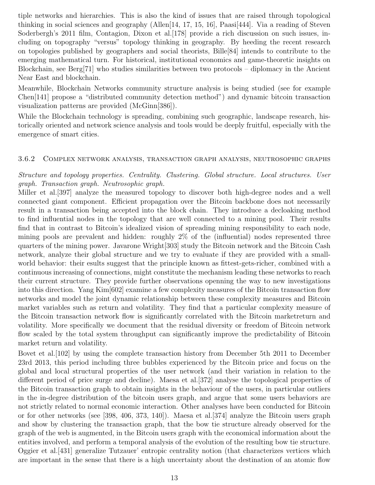tiple networks and hierarchies. This is also the kind of issues that are raised through topological thinking in social sciences and geography (Allen<sup>[14, 17, 15, 16]</sup>, Paasi<sup>[444]</sup>. Via a reading of Steven Soderbergh's 2011 film, Contagion, Dixon et al. [178] provide a rich discussion on such issues, including on topography "versus" topology thinking in geography. By heeding the recent research on topologies published by geographers and social theorists, Bille[84] intends to contribute to the emerging mathematical turn. For historical, institutional economics and game-theoretic insights on Blockchain, see Berg[71] who studies similarities between two protocols – diplomacy in the Ancient Near East and blockchain.

Meanwhile, Blockchain Networks community structure analysis is being studied (see for example Chen[141] propose a "distributed community detection method") and dynamic bitcoin transaction visualization patterns are provided (McGinn[386]).

While the Blockchain technology is spreading, combining such geographic, landscape research, historically oriented and network science analysis and tools would be deeply fruitful, especially with the emergence of smart cities.

#### 3.6.2 Complex network analysis, transaction graph analysis, neutrosophic graphs

Structure and topology properties. Centrality. Clustering. Global structure. Local structures. User graph. Transaction graph. Neutrosophic graph.

Miller et al.[397] analyze the measured topology to discover both high-degree nodes and a well connected giant component. Efficient propagation over the Bitcoin backbone does not necessarily result in a transaction being accepted into the block chain. They introduce a decloaking method to find influential nodes in the topology that are well connected to a mining pool. Their results find that in contrast to Bitcoin's idealized vision of spreading mining responsibility to each node, mining pools are prevalent and hidden: roughly 2% of the (influential) nodes represented three quarters of the mining power. Javarone Wright[303] study the Bitcoin network and the Bitcoin Cash network, analyze their global structure and we try to evaluate if they are provided with a smallworld behavior: their esults suggest that the principle known as fittest-gets-richer, combined with a continuous increasing of connections, might constitute the mechanism leading these networks to reach their current structure. They provide further observations openning the way to new investigations into this direction. Yang Kim[602] examine a few complexity measures of the Bitcoin transaction flow networks and model the joint dynamic relationship between these complexity measures and Bitcoin market variables such as return and volatility. They find that a particular complexity measure of the Bitcoin transaction network flow is significantly correlated with the Bitcoin marketreturn and volatility. More specifically we document that the residual diversity or freedom of Bitcoin network flow scaled by the total system throughput can significantly improve the predictability of Bitcoin market return and volatility.

Bovet et al.[102] by using the complete transaction history from December 5th 2011 to December 23rd 2013, this period including three bubbles experienced by the Bitcoin price and focus on the global and local structural properties of the user network (and their variation in relation to the different period of price surge and decline). Maesa et al.[372] analyse the topological properties of the Bitcoin transaction graph to obtain insights in the behaviour of the users, in particular outliers in the in-degree distribution of the bitcoin users graph, and argue that some users behaviors are not strictly related to normal economic interaction. Other analyses have been conducted for Bitcoin or for other networks (see [398, 406, 373, 140]). Maesa et al.[374] analyze the Bitcoin users graph and show by clustering the transaction graph, that the bow tie structure already observed for the graph of the web is augmented, in the Bitcoin users graph with the economical information about the entities involved, and perform a temporal analysis of the evolution of the resulting bow tie structure. Oggier et al.[431] generalize Tutzauer' entropic centrality notion (that characterizes vertices which are important in the sense that there is a high uncertainty about the destination of an atomic flow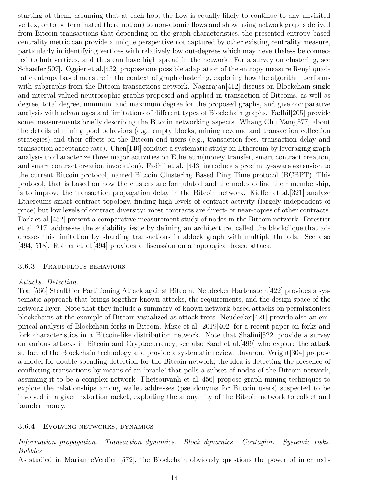starting at them, assuming that at each hop, the flow is equally likely to continue to any unvisited vertex, or to be terminated there notion) to non-atomic flows and show using network graphs derived from Bitcoin transactions that depending on the graph characteristics, the presented entropy based centrality metric can provide a unique perspective not captured by other existing centrality measure, particularly in identifying vertices with relatively low out-degrees which may nevertheless be connected to hub vertices, and thus can have high spread in the network. For a survey on clustering, see Schaeffer[507]. Oggier et al.[432] propose one possible adaptation of the entropy measure Renyi quadratic entropy based measure in the context of graph clustering, exploring how the algorithm performs with subgraphs from the Bitcoin transactions network. Nagarajan<sup>[412]</sup> discuss on Blockchain single and interval valued neutrosophic graphs proposed and applied in transaction of Bitcoins, as well as degree, total degree, minimum and maximum degree for the proposed graphs, and give comparative analysis with advantages and limitations of different types of Blockchain graphs. Fadhil[205] provide some measurements briefly describing the Bitcoin networking aspects. Whang Chu Yang[577] about the details of mining pool behaviors (e.g., empty blocks, mining revenue and transaction collection strategies) and their effects on the Bitcoin end users (e.g., transaction fees, transaction delay and transaction acceptance rate). Chen[140] conduct a systematic study on Ethereum by leveraging graph analysis to characterize three major activities on Ethereum(money transfer, smart contract creation, and smart contract creation invocation). Fadhil et al. [443] introduce a proximity-aware extension to the current Bitcoin protocol, named Bitcoin Clustering Based Ping Time protocol (BCBPT). This protocol, that is based on how the clusters are formulated and the nodes define their membership, is to improve the transaction propagation delay in the Bitcoin network. Kieffer et al.[321] analyze Ethereums smart contract topology, finding high levels of contract activity (largely independent of price) but low levels of contract diversity: most contracts are direct- or near-copies of other contracts. Park et al.[452] present a comparative measurement study of nodes in the Bitcoin network. Forestier et al.[217] addresses the scalability issue by defining an architecture, called the blockclique,that addresses this limitation by sharding transactions in ablock graph with multiple threads. See also [494, 518]. Rohrer et al.[494] provides a discussion on a topological based attack.

#### 3.6.3 Fraudulous behaviors

#### Attacks. Detection.

Tran[566] Stealthier Partitioning Attack against Bitcoin. Neudecker Hartenstein[422] provides a systematic approach that brings together known attacks, the requirements, and the design space of the network layer. Note that they include a summary of known network-based attacks on permissionless blockchains at the example of Bitcoin visualized as attack trees. Neudecker[421] provide also an empirical analysis of Blockchain forks in Bitcoin. Misic et al. 2019[402] for a recent paper on forks and fork characteristics in a Bitcoin-like distribution network. Note that Shalini[522] provide a survey on various attacks in Bitcoin and Cryptocurrency, see also Saad et al.[499] who explore the attack surface of the Blockchain technology and provide a systematic review. Javarone Wright[304] propose a model for double-spending detection for the Bitcoin network, the idea is detecting the presence of conflicting transactions by means of an 'oracle' that polls a subset of nodes of the Bitcoin network, assuming it to be a complex network. Phetsouvanh et al.[456] propose graph mining techniques to explore the relationships among wallet addresses (pseudonyms for Bitcoin users) suspected to be involved in a given extortion racket, exploiting the anonymity of the Bitcoin network to collect and launder money.

#### 3.6.4 Evolving networks, dynamics

Information propagation. Transaction dynamics. Block dynamics. Contagion. Systemic risks. Bubbles

As studied in MarianneVerdier [572], the Blockchain obviously questions the power of intermedi-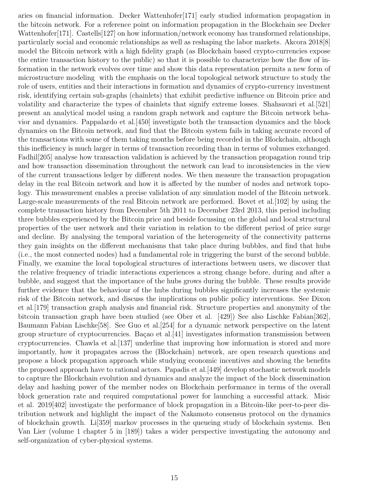aries on financial information. Decker Wattenhofer[171] early studied information propagation in the bitcoin network. For a reference point on information propagation in the Blockchain see Decker Wattenhofer[171]. Castells[127] on how information/network economy has transformed relationships, particularly social and economic relationships as well as reshaping the labor markets. Akcora 2018[8] model the Bitcoin network with a high fidelity graph (as Blockchain based crypto-currencies expose the entire transaction history to the public) so that it is possible to characterize how the flow of information in the network evolves over time and show this data representation permits a new form of microstructure modeling with the emphasis on the local topological network structure to study the role of users, entities and their interactions in formation and dynamics of crypto-currency investment risk, identifying certain sub-graphs (chainlets) that exhibit predictive influence on Bitcoin price and volatility and characterize the types of chainlets that signify extreme losses. Shahsavari et al.[521] present an analytical model using a random graph network and capture the Bitcoin network behavior and dynamics. Pappalardo et al.[450] investigate both the transaction dynamics and the block dynamics on the Bitcoin network, and find that the Bitcoin system fails in taking accurate record of the transactions with some of them taking months before being recorded in the Blockchain, although this inefficiency is much larger in terms of transaction recording than in terms of volumes exchanged. Fadhil[205] analyse how transaction validation is achieved by the transaction propagation round trip and how transaction dissemination throughout the network can lead to inconsistencies in the view of the current transactions ledger by different nodes. We then measure the transaction propagation delay in the real Bitcoin network and how it is affected by the number of nodes and network topology. This measurement enables a precise validation of any simulation model of the Bitcoin network. Large-scale measurements of the real Bitcoin network are performed. Bovet et al.[102] by using the complete transaction history from December 5th 2011 to December 23rd 2013, this period including three bubbles experienced by the Bitcoin price and beside focussing on the global and local structural properties of the user network and their variation in relation to the different period of price surge and decline. By analysing the temporal variation of the heterogeneity of the connectivity patterns they gain insights on the different mechanisms that take place during bubbles, and find that hubs (i.e., the most connected nodes) had a fundamental role in triggering the burst of the second bubble. Finally, we examine the local topological structures of interactions between users, we discover that the relative frequency of triadic interactions experiences a strong change before, during and after a bubble, and suggest that the importance of the hubs grows during the bubble. These results provide further evidence that the behaviour of the hubs during bubbles significantly increases the systemic risk of the Bitcoin network, and discuss the implications on public policy interventions. See Dixon et al.[179] transaction graph analysis and financial risk. Structure properties and anonymity of the bitcoin transaction graph have been studied (see Ober et al. [429]) See also Lischke Fabian[362], Baumann Fabian Lischke[58]. See Guo et al.[254] for a dynamic network perspective on the latent group structure of cryptocurrencies. Bação et al.  $[41]$  investigates information transmission between cryptocurrencies. Chawla et al.[137] underline that improving how information is stored and more importantly, how it propagates across the (Blockchain) network, are open research questions and propose a block propagation approach while studying economic incentives and showing the benefits the proposed approach have to rational actors. Papadis et al.[449] develop stochastic network models to capture the Blockchain evolution and dynamics and analyze the impact of the block dissemination delay and hashing power of the member nodes on Blockchain performance in terms of the overall block generation rate and required computational power for launching a successful attack. Misic et al. 2019[402] investigate the performance of block propagation in a Bitcoin-like peer-to-peer distribution network and highlight the impact of the Nakamoto consensus protocol on the dynamics of blockchain growth. Li[359] markov processes in the queueing study of blockchain systems. Ben Van Lier (volume 1 chapter 5 in [189]) takes a wider perspective investigating the autonomy and self-organization of cyber-physical systems.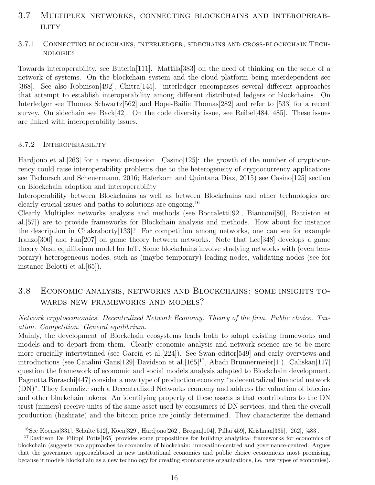# 3.7 Multiplex networks, connecting blockchains and interoperab-**ILITY**

#### 3.7.1 Connecting blockchains, interledger, sidechains and cross-blockchain Technologies

Towards interoperability, see Buterin[111]. Mattila[383] on the need of thinking on the scale of a network of systems. On the blockchain system and the cloud platform being interdependent see [368]. See also Robinson[492], Chitra[145]. interledger encompasses several different approaches that attempt to establish interoperability among different distributed ledgers or blockchains. On Interledger see Thomas Schwartz[562] and Hope-Bailie Thomas[282] and refer to [533] for a recent survey. On sidechain see Back[42]. On the code diversity issue, see Reibel[484, 485]. These issues are linked with interoperability issues.

#### 3.7.2 Interoperability

Hardjono et al. [263] for a recent discussion. Casino [125]: the growth of the number of cryptocurrency could raise interoperability problems due to the heterogeneity of cryptocurrency applications see Tschorsch and Scheuermann, 2016; Haferkorn and Quintana Diaz, 2015) see Casino[125] section on Blockchain adoption and interoperability

Interoperability between Blockchains as well as between Blockchains and other technologies are clearly crucial issues and paths to solutions are ongoing.<sup>16</sup>

Clearly Multiplex networks analysis and methods (see Boccaletti[92], Bianconi[80], Battiston et al.[57]) are to provide frameworks for Blockchain analysis and methods. How about for instance the description in Chakraborty[133]? For competition among networks, one can see for example Iranzo[300] and Fan[207] on game theory between networks. Note that Lee[348] develops a game theory Nash equilibrium model for IoT. Some blockchains involve studying networks with (even temporary) heterogeneous nodes, such as (maybe temporary) leading nodes, validating nodes (see for instance Belotti et al.[65]).

# 3.8 Economic analysis, networks and Blockchains: some insights towards new frameworks and models?

#### Network cryptoeconomics. Decentralized Network Economy. Theory of the firm. Public choice. Taxation. Competition. General equilibrium.

Mainly, the development of Blockchain ecosystems leads both to adapt existing frameworks and models and to depart from them. Clearly economic analysis and network science are to be more more crucially intertwinned (see Garcia et al.[224]). See Swan editor[549] and early overviews and introductions (see Catalini Gans[129] Davidson et al. [165]<sup>17</sup>, Abadi Brunnermeier[1]). Caliskan[117] question the framework of economic and social models analysis adapted to Blockchain development. Pagnotta Buraschi[447] consider a new type of production economy "a decentralized financial network (DN)". They formalize such a Decentralized Networks economy and address the valuation of bitcoins and other blockchain tokens. An identifying property of these assets is that contributors to the DN trust (miners) receive units of the same asset used by consumers of DN services, and then the overall production (hashrate) and the bitcoin price are jointly determined. They characterize the demand

<sup>16</sup>See Koensa[331], Schulte[512], Koen[329], Hardjono[262], Brogan[104], Pillai[459], Krishnan[335], [262], [483].

<sup>&</sup>lt;sup>17</sup>Davidson De Filippi Potts<sup>[165]</sup> provides some propositions for building analytical frameworks for economics of blockchain (suggests two approaches to economics of blockchain: innovation-centred and governance-centred. Argues that the governance approachbased in new institutional economics and public choice economicsis most promising, because it models blockchain as a new technology for creating spontaneous organizations, i.e. new types of economies).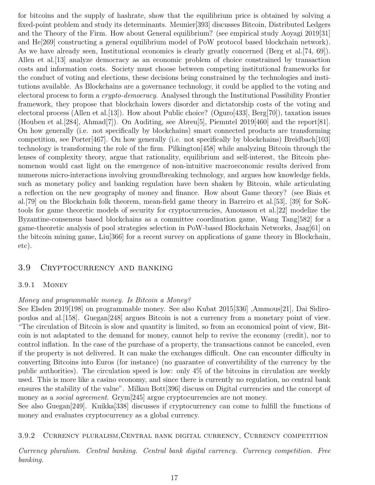for bitcoins and the supply of hashrate, show that the equilibrium price is obtained by solving a fixed-point problem and study its determinants. Meunier[393] discusses Bitcoin, Distributed Ledgers and the Theory of the Firm. How about General equilibrium? (see empirical study Aoyagi 2019[31] and He[269] constructing a general equilibrium model of PoW protocol based blockchain network). As we have already seen, Institutional economics is clearly greatly concerned (Berg et al. [74, 69]). Allen et al. [13] analyze democracy as an economic problem of choice constrained by transaction costs and information costs. Society must choose between competing institutional frameworks for the conduct of voting and elections, these decisions being constrained by the technologies and institutions available. As Blockchains are a governance technology, it could be applied to the voting and electoral process to form a crypto-democracy. Analysed through the Institutional Possibility Frontier framework, they propose that blockchain lowers disorder and dictatorship costs of the voting and electoral process (Allen et al.[13]). How about Public choice? (Oguro[433], Berg[70]), taxation issues (Houben et al.[284], Ahmad[7]). On Auditing, see Abreu[5], Piemntel 2019[460] and the report[81]. On how generally (i.e. not specifically by blockchains) smart connected products are transforming competition, see Porter[467]. On how generally (i.e. not specifically by blockchains) Breidbach[103] technology is transforming the role of the firm. Pilkington[458] while analyzing Bitcoin through the lenses of complexity theory, argue that rationality, equilibrium and self-interest, the Bitcoin phenomenon would cast light on the emergence of non-intuitive macroeconomic results derived from numerous micro-interactions involving groundbreaking technology, and argues how knowledge fields, such as monetary policy and banking regulation have been shaken by Bitcoin, while articulating a reflection on the new geography of money and finance. How about Game theory? (see Biais et al.[79] on the Blockchain folk theorem, mean-field game theory in Barreiro et al.[53], [39] for SoKtools for game theoretic models of security for cryptocurrencies, Amoussou et al.[22] modelize the Byzantine-consensus based blockchains as a committee coordination game, Wang Tang[582] for a game-theoretic analysis of pool strategies selection in PoW-based Blockchain Networks, Jaag[61] on the bitcoin mining game, Liu[366] for a recent survey on applications of game theory in Blockchain, etc).

#### 3.9 Cryptocurrency and banking

#### 3.9.1 Money

#### Money and programmable money. Is Bitcoin a Money?

See Elsden 2019[198] on programmable money. See also Kubat 2015[336] ,Ammous[21], Dai Sidiropoulos and al.[158]. Guegan[248] argues Bitcoin is not a currency from a monetary point of view. "The circulation of Bitcoin is slow and quantity is limited, so from an economical point of view, Bitcoin is not adaptated to the demand for money, cannot help to revive the economy (credit), nor to control inflation. In the case of the purchase of a property, the transactions cannot be canceled, even if the property is not delivered. It can make the exchanges difficult. One can encounter difficulty in converting Bitcoins into Euros (for instance) (no guarantee of convertibility of the currency by the public authorities). The circulation speed is low: only 4% of the bitcoins in circulation are weekly used. This is more like a casino economy, and since there is currently no regulation, no central bank ensures the stability of the value". Milkau Bott[396] discuss on Digital currencies and the concept of money as a *social agreement*. Grym<sup>[245]</sup> argue cryptocurrencies are not money.

See also Guegan[249]. Kuikka[338] discusses if cryptocurrency can come to fulfill the functions of money and evaluates cryptocurrency as a global currency.

3.9.2 Currency pluralism,Central bank digital currency, Currency competition

Currency pluralism. Central banking. Central bank digital currency. Currency competition. Free banking.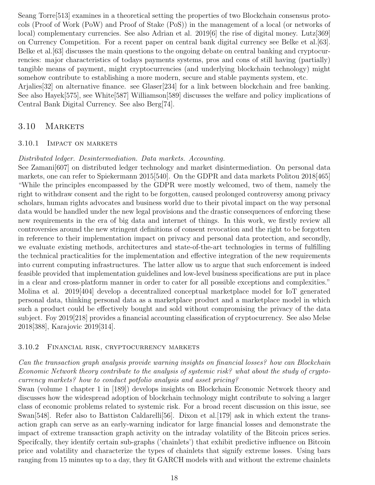Seang Torre[513] examines in a theoretical setting the properties of two Blockchain consensus protocols (Proof of Work (PoW) and Proof of Stake (PoS)) in the management of a local (or networks of local) complementary currencies. See also Adrian et al. 2019<sup>[6]</sup> the rise of digital money. Lutz<sup>[369]</sup> on Currency Competition. For a recent paper on central bank digital currency see Belke et al.[63]. Belke et al.[63] discusses the main questions to the ongoing debate on central banking and cryptocurrencies: major characteristics of todays payments systems, pros and cons of still having (partially) tangible means of payment, might cryptocurrencies (and underlying blockchain technology) might somehow contribute to establishing a more modern, secure and stable payments system, etc. Arjalies[32] on alternative finance. see Glaser[234] for a link between blockchain and free banking.

See also Hayek[575], see White[587] Williamson[589] discusses the welfare and policy implications of Central Bank Digital Currency. See also Berg[74].

### 3.10 MARKETS

#### 3.10.1 Impact on markets

#### Distributed ledger. Desintermediation. Data markets. Accounting.

See Zamani[607] on distributed ledger technology and market disintermediation. On personal data markets, one can refer to Spiekermann 2015[540]. On the GDPR and data markets Politou 2018[465] "While the principles encompassed by the GDPR were mostly welcomed, two of them, namely the right to withdraw consent and the right to be forgotten, caused prolonged controversy among privacy scholars, human rights advocates and business world due to their pivotal impact on the way personal data would be handled under the new legal provisions and the drastic consequences of enforcing these new requirements in the era of big data and internet of things. In this work, we firstly review all controversies around the new stringent definitions of consent revocation and the right to be forgotten in reference to their implementation impact on privacy and personal data protection, and secondly, we evaluate existing methods, architectures and state-of-the-art technologies in terms of fulfilling the technical practicalities for the implementation and effective integration of the new requirements into current computing infrastructures. The latter allow us to argue that such enforcement is indeed feasible provided that implementation guidelines and low-level business specifications are put in place in a clear and cross-platform manner in order to cater for all possible exceptions and complexities." Molina et al. 2019[404] develop a decentralized conceptual marketplace model for IoT generated personal data, thinking personal data as a marketplace product and a marketplace model in which such a product could be effectively bought and sold without compromising the privacy of the data subject. Foy 2019[218] provides a financial accounting classification of cryptocurrency. See also Melse 2018[388], Karajovic 2019[314].

#### 3.10.2 Financial risk, cryptocurrency markets

Can the transaction graph analysis provide warning insights on financial losses? how can Blockchain Economic Network theory contribute to the analysis of systemic risk? what about the study of cryptocurrency markets? how to conduct potfolio analysis and asset pricing?

Swan (volume 1 chapter 1 in [189]) develops insights on Blockchain Economic Network theory and discusses how the widespread adoption of blockchain technology might contribute to solving a larger class of economic problems related to systemic risk. For a broad recent discussion on this issue, see Swan<sup>[548]</sup>. Refer also to Battiston Caldarelli<sup>[56]</sup>. Dixon et al. [179] ask in which extent the transaction graph can serve as an early-warning indicator for large financial losses and demonstrate the impact of extreme transaction graph activity on the intraday volatility of the Bitcoin prices series. Specifcally, they identify certain sub-graphs ('chainlets') that exhibit predictive influence on Bitcoin price and volatility and characterize the types of chainlets that signify extreme losses. Using bars ranging from 15 minutes up to a day, they fit GARCH models with and without the extreme chainlets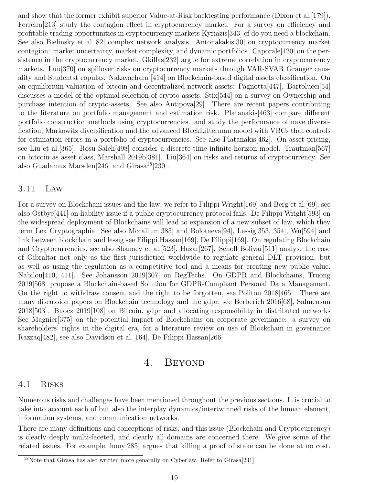and show that the former exhibit superior Value-at-Risk backtesting performance (Dixon et al. [179]). Ferreira[213] study the contagion effect in cryptocurrency market. For a survey on efficiency and profitable trading opportunities in cryptocurrency markets Kyriazis[343] cf do you need a blockchain. See also Bielinsky et al.[82] complex network analysis. Antonakakis[30] on cryptocurrency market contagion: market uncertainty, market complexity, and dynamic portfolios. Caporale[120] on the persistence in the cryptocurrency market. Gkillas<sup>[232]</sup> argue for extreme correlation in cryptocurrency markets. Luu[370] on spillover risks on cryptocurrency markets through VAR-SVAR Granger causality and Studentst copulas. Nakavachara [414] on Blockchain-based digital assets classification. On an equilibrium valuation of bitcoin and decentralized network assets: Pagnotta[447]. Bartolucci[54] discusses a model of the optimal selection of crypto assets. Stix[544] on a survey on Ownership and purchase intention of crypto-assets. See also Antipova[29]. There are recent papers contributing to the literature on portfolio management and estimation risk. Platanakis[463] compare different portfolio construction methods using cryptocurrencies. and study the performance of nave diversification, Markowitz diversification and the advanced BlackLitterman model with VBCs that controls for estimation errors in a portfolio of cryptocurrencies. See also Platanakis[462]. On asset pricing, see Liu et al.[365]. Rosu Saleh[498] consider a discrete-time infinite-horizon model. Trautman[567] on bitcoin as asset class, Marshall 2019b[381]. Liu[364] on risks and returns of cryptocurrency. See also Guadamuz Marsden $[246]$  and Girasa<sup>18</sup> $[230]$ .

#### 3.11 Law

For a survey on Blockchain issues and the law, we refer to Filippi Wright[169] and Berg et al.[69], see also Ostbye[441] on liability issue if a public cryptocurrency protocol fails. De Filippi Wright[593] on the widespread deployment of Blockchains will lead to expansion of a new subset of law, which they term Lex Cryptographia. See also Mccallum[385] and Bolotaeva[94], Lessig[353, 354], Wu[594] and link between blockchain and lessig see Filippi Hassan [169], De Filippi [169]. On regulating Blockchain and Cryptocurrencies, see also Shanaev et al.[523], Hazar[267]. Scholl Bolivar[511] analyse the case of Gibraltar not only as the first jurisdiction worldwide to regulate general DLT provision, but as well as using the regulation as a competitive tool and a means for creating new public value. Nabilou[410, 411]. See Johansson 2019[307] on RegTechs. On GDPR and Blockchains, Truong 2019[568] propose a Blockchain-based Solution for GDPR-Compliant Personal Data Management. On the right to withdraw consent and the right to be forgotten, see Politou 2018[465]. There are many discussion papers on Blockchain technology and the gdpr, see Berberich 2016[68], Salmensuu 2018[503]. Buocz 2019[108] on Bitcoin, gdpr and allocating responsibility in distributed networks See Magnier[375] on the potential impact of Blockchains on corporate governance: a survey on shareholders' rights in the digital era, for a literature review on use of Blockchain in governance Razzaq[482], see also Davidson et al.[164], De Filippi Hassan[266].

# 4. Beyond

#### 4.1 Risks

Numerous risks and challenges have been mentioned throughout the previous sections. It is crucial to take into account each of but also the interplay dynamics/intertwinned risks of the human element, information systems, and communication networks.

There are many definitions and conceptions of risks, and this issue (Blockchain and Cryptocurrency) is clearly deeply multi-faceted, and clearly all domains are concerned there. We give some of the related issues. For example, houy[285] argues that killing a proof of stake can be done at no cost.

<sup>&</sup>lt;sup>18</sup>Note that Girasa has also written more genarally on Cyberlaw. Refer to Girasa<sup>[231]</sup>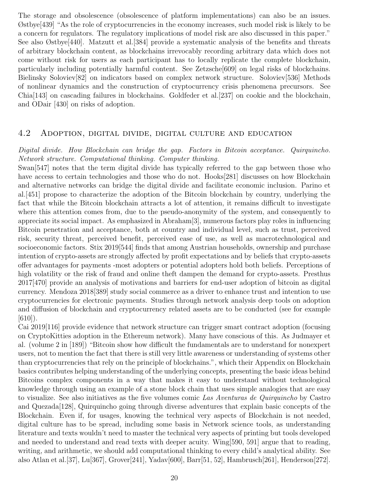The storage and obsolescence (obsolescence of platform implementations) can also be an issues. Østbye[439] "As the role of cryptocurrencies in the economy increases, such model risk is likely to be a concern for regulators. The regulatory implications of model risk are also discussed in this paper." See also Østbye[440]. Matzutt et al.[384] provide a systematic analysis of the benefits and threats of arbitrary blockchain content, as blockchains irrevocably recording arbitrary data which does not come without risk for users as each participant has to locally replicate the complete blockchain, particularly including potentially harmful content. See Zetzsche[609] on legal risks of blockchains. Bielinsky Soloviev[82] on indicators based on complex network structure. Soloviev[536] Methods of nonlinear dynamics and the construction of cryptocurrency crisis phenomena precursors. See Chia[143] on cascading failures in blockchains. Goldfeder et al.[237] on cookie and the blockchain, and ODair [430] on risks of adoption.

#### 4.2 Adoption, digital divide, digital culture and education

#### Digital divide. How Blockchain can bridge the gap. Factors in Bitcoin acceptance. Quirquincho. Network structure. Computational thinking. Computer thinking.

Swan[547] notes that the term digital divide has typically referred to the gap between those who have access to certain technologies and those who do not. Hooks[281] discusses on how Blockchain and alternative networks can bridge the digital divide and facilitate economic inclusion. Parino et al.[451] propose to characterize the adoption of the Bitcoin blockchain by country, underlying the fact that while the Bitcoin blockchain attracts a lot of attention, it remains difficult to investigate where this attention comes from, due to the pseudo-anonymity of the system, and consequently to appreciate its social impact. As emphasized in Abraham[3], numerous factors play roles in influencing Bitcoin penetration and acceptance, both at country and individual level, such as trust, perceived risk, security threat, perceived benefit, perceived ease of use, as well as macrotechnological and socioeconomic factors. Stix 2019[544] finds that among Austrian households, ownership and purchase intention of crypto-assets are strongly affected by profit expectations and by beliefs that crypto-assets offer advantages for payments -most adopters or potential adopters hold both beliefs. Perceptions of high volatility or the risk of fraud and online theft dampen the demand for crypto-assets. Presthus 2017[470] provide an analysis of motivations and barriers for end-user adoption of bitcoin as digital currency. Mendoza 2018[389] study social commerce as a driver to enhance trust and intention to use cryptocurrencies for electronic payments. Studies through network analysis deep tools on adoption and diffusion of blockchain and cryptocurrency related assets are to be conducted (see for example  $|610\rangle$ .

Cai 2019[116] provide evidence that network structure can trigger smart contract adoption (focusing on CryptoKitties adoption in the Ethereum network). Many have conscious of this. As Judmayer et al. (volume 2 in [189]) "Bitcoin show how difficult the fundamentals are to understand for nonexpert users, not to mention the fact that there is still very little awareness or understanding of systems other than cryptocurrencies that rely on the principle of blockchains.", which their Appendix on Blockchain basics contributes helping understanding of the underlying concepts, presenting the basic ideas behind Bitcoins complex components in a way that makes it easy to understand without technological knowledge through using an example of a stone block chain that uses simple analogies that are easy to visualize. See also initiatives as the five volumes comic Las Aventuras de Quirquincho by Castro and Quezada[128], Quirquincho going through diverse adventures that explain basic concepts of the Blockchain. Even if, for usages, knowing the technical very aspects of Blockchain is not needed, digital culture has to be spread, including some basis in Network science tools, as understanding literature and texts wouldn't need to master the technical very aspects of printing but tools developed and needed to understand and read texts with deeper acuity. Wing[590, 591] argue that to reading, writing, and arithmetic, we should add computational thinking to every child's analytical ability. See also Atlan et al.[37], Lu[367], Grover[241], Yadav[600], Barr[51, 52], Hambrusch[261], Henderson[272].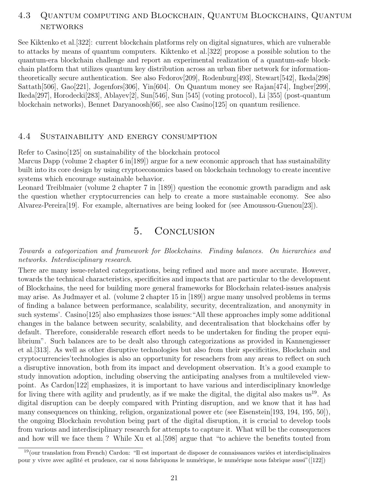# 4.3 Quantum computing and Blockchain, Quantum Blockchains, Quantum **NETWORKS**

See Kiktenko et al.[322]: current blockchain platforms rely on digital signatures, which are vulnerable to attacks by means of quantum computers. Kiktenko et al.[322] propose a possible solution to the quantum-era blockchain challenge and report an experimental realization of a quantum-safe blockchain platform that utilizes quantum key distribution across an urban fiber network for informationtheoretically secure authentication. See also Fedorov[209], Rodenburg[493], Stewart[542], Ikeda[298] Sattath[506], Gao[221], Jogenfors[306], Yin[604]. On Quantum money see Rajan[474], Ingber[299], Ikeda[297], Horodecki[283], Ablayev[2], Sun[546], Sun [545] (voting protocol), Li [355] (post-quantum blockchain networks), Bennet Daryanoosh[66], see also Casino[125] on quantum resilience.

#### 4.4 Sustainability and energy consumption

Refer to Casino[125] on sustainability of the blockchain protocol

Marcus Dapp (volume 2 chapter 6 in[189]) argue for a new economic approach that has sustainability built into its core design by using cryptoeconomics based on blockchain technology to create incentive systems which encourage sustainable behavior.

Leonard Treiblmaier (volume 2 chapter 7 in [189]) question the economic growth paradigm and ask the question whether cryptocurrencies can help to create a more sustainable economy. See also Alvarez-Pereira[19]. For example, alternatives are being looked for (see Amoussou-Guenou[23]).

# 5. Conclusion

#### Towards a categorization and framework for Blockchains. Finding balances. On hierarchies and networks. Interdisciplinary research.

There are many issue-related categorizations, being refined and more and more accurate. However, towards the technical characteristics, specificities and impacts that are particular to the development of Blockchains, the need for building more general frameworks for Blockchain related-issues analysis may arise. As Judmayer et al. (volume 2 chapter 15 in [189]) argue many unsolved problems in terms of finding a balance between performance, scalability, security, decentralization, and anonymity in such systems'. Casino[125] also emphasizes those issues:"All these approaches imply some additional changes in the balance between security, scalability, and decentralisation that blockchains offer by default. Therefore, considerable research effort needs to be undertaken for finding the proper equilibrium". Such balances are to be dealt also through categorizations as provided in Kannengiesser et al.[313]. As well as other disruptive technologies but also from their specificities, Blockchain and cryptocurrencies'technologies is also an opportunity for reseachers from any areas to reflect on such a disruptive innovation, both from its impact and development observation. It's a good example to study innovation adoption, including observing the anticipating analyses from a multileveled viewpoint. As Cardon[122] emphasizes, it is important to have various and interdisciplinary knowledge for living there with agility and prudently, as if we make the digital, the digital also makes us<sup>19</sup>. As digital disruption can be deeply compared with Printing disruption, and we know that it has had many consequences on thinking, religion, organizational power etc (see Eisenstein[193, 194, 195, 50]), the ongoing Blockchain revolution being part of the digital disruption, it is crucial to develop tools from various and interdisciplinary research for attempts to capture it. What will be the consequences and how will we face them ? While Xu et al.[598] argue that "to achieve the benefits touted from

 $19$ (our translation from French) Cardon: "Il est important de disposer de connaissances variées et interdisciplinaires pour y vivre avec agilité et prudence, car si nous fabriquons le numérique, le numérique nous fabrique aussi"([122])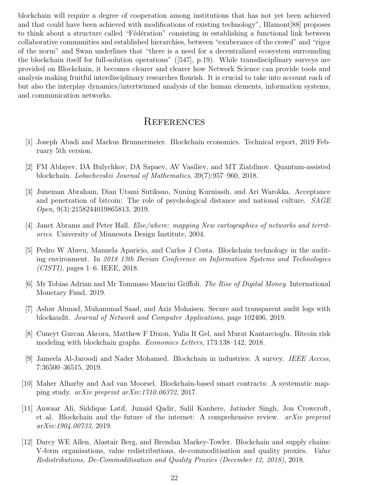blockchain will require a degree of cooperation among institutions that has not yet been achieved and that could have been achieved with modifications of existing technology", Blamont[88] proposes to think about a structure called "Fédération" consisting in establishing a functional link between collaborative communities and established hierarchies, between "exuberance of the crowd" and "rigor of the norm" and Swan underlines that "there is a need for a decentralized ecosystem surrounding the blockchain itself for full-solution operations" ([547], p.19). While transdisciplinary surveys are provided on Blockchain, it becomes clearer and clearer how Network Science can provide tools and analysis making fruitful interdisciplinary researches flourish. It is crucial to take into account each of but also the interplay dynamics/intertwinned analysis of the human elements, information systems, and communication networks.

# **REFERENCES**

- [1] Joseph Abadi and Markus Brunnermeier. Blockchain economics. Technical report, 2019 February 5th version.
- [2] FM Ablayev, DA Bulychkov, DA Sapaev, AV Vasiliev, and MT Ziatdinov. Quantum-assisted blockchain. Lobachevskii Journal of Mathematics, 39(7):957–960, 2018.
- [3] Juneman Abraham, Dian Utami Sutiksno, Nuning Kurniasih, and Ari Warokka. Acceptance and penetration of bitcoin: The role of psychological distance and national culture. SAGE Open, 9(3):2158244019865813, 2019.
- [4] Janet Abrams and Peter Hall. Else/where: mapping New cartographies of networks and territories. University of Minnesota Design Institute, 2004.
- [5] Pedro W Abreu, Manuela Aparicio, and Carlos J Costa. Blockchain technology in the auditing environment. In 2018 13th Iberian Conference on Information Systems and Technologies  $(CISTI)$ , pages 1–6. IEEE, 2018.
- [6] Mr Tobias Adrian and Mr Tommaso Mancini Griffoli. The Rise of Digital Money. International Monetary Fund, 2019.
- [7] Ashar Ahmad, Muhammad Saad, and Aziz Mohaisen. Secure and transparent audit logs with blockaudit. Journal of Network and Computer Applications, page 102406, 2019.
- [8] Cuneyt Gurcan Akcora, Matthew F Dixon, Yulia R Gel, and Murat Kantarcioglu. Bitcoin risk modeling with blockchain graphs. Economics Letters, 173:138–142, 2018.
- [9] Jameela Al-Jaroodi and Nader Mohamed. Blockchain in industries: A survey. IEEE Access, 7:36500–36515, 2019.
- [10] Maher Alharby and Aad van Moorsel. Blockchain-based smart contracts: A systematic mapping study. arXiv preprint arXiv:1710.06372, 2017.
- [11] Anwaar Ali, Siddique Latif, Junaid Qadir, Salil Kanhere, Jatinder Singh, Jon Crowcroft, et al. Blockchain and the future of the internet: A comprehensive review.  $arXiv$  preprint arXiv:1904.00733, 2019.
- [12] Darcy WE Allen, Alastair Berg, and Brendan Markey-Towler. Blockchain and supply chains: V-form organisations, value redistributions, de-commoditisation and quality proxies. Value Redistributions, De-Commoditisation and Quality Proxies (December 12, 2018), 2018.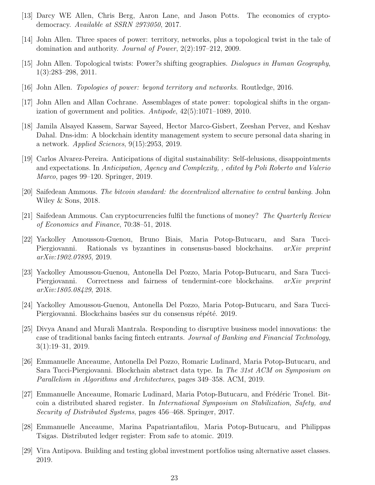- [13] Darcy WE Allen, Chris Berg, Aaron Lane, and Jason Potts. The economics of cryptodemocracy. Available at SSRN 2973050, 2017.
- [14] John Allen. Three spaces of power: territory, networks, plus a topological twist in the tale of domination and authority. Journal of Power, 2(2):197–212, 2009.
- [15] John Allen. Topological twists: Power?s shifting geographies. Dialogues in Human Geography, 1(3):283–298, 2011.
- [16] John Allen. Topologies of power: beyond territory and networks. Routledge, 2016.
- [17] John Allen and Allan Cochrane. Assemblages of state power: topological shifts in the organization of government and politics. Antipode, 42(5):1071–1089, 2010.
- [18] Jamila Alsayed Kassem, Sarwar Sayeed, Hector Marco-Gisbert, Zeeshan Pervez, and Keshav Dahal. Dns-idm: A blockchain identity management system to secure personal data sharing in a network. Applied Sciences, 9(15):2953, 2019.
- [19] Carlos Alvarez-Pereira. Anticipations of digital sustainability: Self-delusions, disappointments and expectations. In Anticipation, Agency and Complexity, , edited by Poli Roberto and Valerio Marco, pages 99–120. Springer, 2019.
- [20] Saifedean Ammous. The bitcoin standard: the decentralized alternative to central banking. John Wiley & Sons, 2018.
- [21] Saifedean Ammous. Can cryptocurrencies fulfil the functions of money? The Quarterly Review of Economics and Finance, 70:38–51, 2018.
- [22] Yackolley Amoussou-Guenou, Bruno Biais, Maria Potop-Butucaru, and Sara Tucci-Piergiovanni. Rationals vs byzantines in consensus-based blockchains. arXiv preprint arXiv:1902.07895, 2019.
- [23] Yackolley Amoussou-Guenou, Antonella Del Pozzo, Maria Potop-Butucaru, and Sara Tucci-Piergiovanni. Correctness and fairness of tendermint-core blockchains. *arXiv preprint* arXiv:1805.08429, 2018.
- [24] Yackolley Amoussou-Guenou, Antonella Del Pozzo, Maria Potop-Butucaru, and Sara Tucci-Piergiovanni. Blockchains basées sur du consensus répété. 2019.
- [25] Divya Anand and Murali Mantrala. Responding to disruptive business model innovations: the case of traditional banks facing fintech entrants. Journal of Banking and Financial Technology, 3(1):19–31, 2019.
- [26] Emmanuelle Anceaume, Antonella Del Pozzo, Romaric Ludinard, Maria Potop-Butucaru, and Sara Tucci-Piergiovanni. Blockchain abstract data type. In The 31st ACM on Symposium on Parallelism in Algorithms and Architectures, pages 349–358. ACM, 2019.
- [27] Emmanuelle Anceaume, Romaric Ludinard, Maria Potop-Butucaru, and Frédéric Tronel. Bitcoin a distributed shared register. In International Symposium on Stabilization, Safety, and Security of Distributed Systems, pages 456–468. Springer, 2017.
- [28] Emmanuelle Anceaume, Marina Papatriantafilou, Maria Potop-Butucaru, and Philippas Tsigas. Distributed ledger register: From safe to atomic. 2019.
- [29] Vira Antipova. Building and testing global investment portfolios using alternative asset classes. 2019.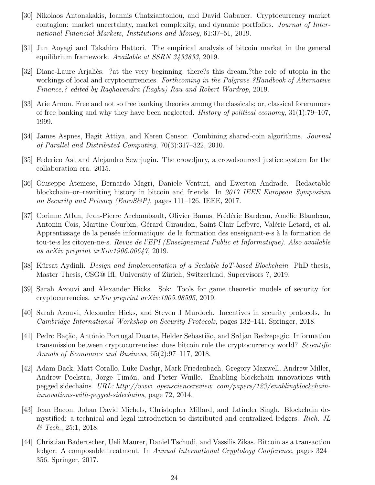- [30] Nikolaos Antonakakis, Ioannis Chatziantoniou, and David Gabauer. Cryptocurrency market contagion: market uncertainty, market complexity, and dynamic portfolios. Journal of International Financial Markets, Institutions and Money, 61:37–51, 2019.
- [31] Jun Aoyagi and Takahiro Hattori. The empirical analysis of bitcoin market in the general equilibrium framework. Available at SSRN 3433833, 2019.
- [32] Diane-Laure Arjalies. ?at the very beginning, there?s this dream.?the role of utopia in the workings of local and cryptocurrencies. Forthcoming in the Palgrave ?Handbook of Alternative Finance,? edited by Raghavendra (Raghu) Rau and Robert Wardrop, 2019.
- [33] Arie Arnon. Free and not so free banking theories among the classicals; or, classical forerunners of free banking and why they have been neglected. *History of political economy*,  $31(1)$ :79–107, 1999.
- [34] James Aspnes, Hagit Attiya, and Keren Censor. Combining shared-coin algorithms. Journal of Parallel and Distributed Computing, 70(3):317–322, 2010.
- [35] Federico Ast and Alejandro Sewrjugin. The crowdjury, a crowdsourced justice system for the collaboration era. 2015.
- [36] Giuseppe Ateniese, Bernardo Magri, Daniele Venturi, and Ewerton Andrade. Redactable blockchain–or–rewriting history in bitcoin and friends. In 2017 IEEE European Symposium on Security and Privacy (EuroS&P), pages 111–126. IEEE, 2017.
- [37] Corinne Atlan, Jean-Pierre Archambault, Olivier Banus, Frédéric Bardeau, Amélie Blandeau, Antonin Cois, Martine Courbin, Gérard Giraudon, Saint-Clair Lefèvre, Valérie Letard, et al. Apprentissage de la pensée informatique: de la formation des enseignant-e-s à la formation de tou-te-s les citoyen-ne-s. Revue de l'EPI (Enseignement Public et Informatique). Also available as arXiv preprint arXiv:1906.00647, 2019.
- [38] Kürsat Aydinli. *Design and Implementation of a Scalable IoT-based Blockchain*. PhD thesis, Master Thesis, CSG@ IfI, University of Zürich, Switzerland, Supervisors ?, 2019.
- [39] Sarah Azouvi and Alexander Hicks. Sok: Tools for game theoretic models of security for cryptocurrencies. arXiv preprint arXiv:1905.08595, 2019.
- [40] Sarah Azouvi, Alexander Hicks, and Steven J Murdoch. Incentives in security protocols. In Cambridge International Workshop on Security Protocols, pages 132–141. Springer, 2018.
- [41] Pedro Bação, António Portugal Duarte, Helder Sebastião, and Srdjan Redzepagic. Information transmission between cryptocurrencies: does bitcoin rule the cryptocurrency world? Scientific Annals of Economics and Business, 65(2):97–117, 2018.
- [42] Adam Back, Matt Corallo, Luke Dashjr, Mark Friedenbach, Gregory Maxwell, Andrew Miller, Andrew Poelstra, Jorge Timón, and Pieter Wuille. Enabling blockchain innovations with pegged sidechains. URL: http://www. opensciencereview. com/papers/123/enablingblockchaininnovations-with-pegged-sidechains, page 72, 2014.
- [43] Jean Bacon, Johan David Michels, Christopher Millard, and Jatinder Singh. Blockchain demystified: a technical and legal introduction to distributed and centralized ledgers. Rich. JL & Tech., 25:1, 2018.
- [44] Christian Badertscher, Ueli Maurer, Daniel Tschudi, and Vassilis Zikas. Bitcoin as a transaction ledger: A composable treatment. In Annual International Cryptology Conference, pages 324– 356. Springer, 2017.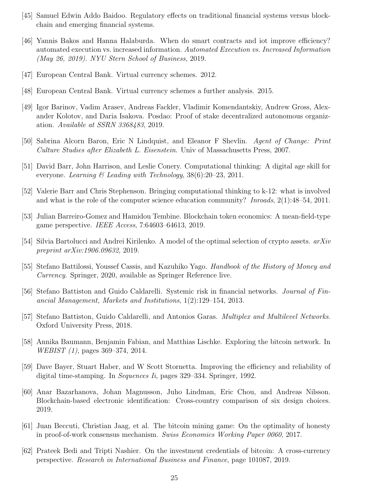- [45] Samuel Edwin Addo Baidoo. Regulatory effects on traditional financial systems versus blockchain and emerging financial systems.
- [46] Yannis Bakos and Hanna Halaburda. When do smart contracts and iot improve efficiency? automated execution vs. increased information. Automated Execution vs. Increased Information (May 26, 2019). NYU Stern School of Business, 2019.
- [47] European Central Bank. Virtual currency schemes. 2012.
- [48] European Central Bank. Virtual currency schemes a further analysis. 2015.
- [49] Igor Barinov, Vadim Arasev, Andreas Fackler, Vladimir Komendantskiy, Andrew Gross, Alexander Kolotov, and Daria Isakova. Posdao: Proof of stake decentralized autonomous organization. Available at SSRN 3368483, 2019.
- [50] Sabrina Alcorn Baron, Eric N Lindquist, and Eleanor F Shevlin. Agent of Change: Print Culture Studies after Elizabeth L. Eisenstein. Univ of Massachusetts Press, 2007.
- [51] David Barr, John Harrison, and Leslie Conery. Computational thinking: A digital age skill for everyone. Learning & Leading with Technology,  $38(6):20-23$ , 2011.
- [52] Valerie Barr and Chris Stephenson. Bringing computational thinking to k-12: what is involved and what is the role of the computer science education community? Inroads, 2(1):48–54, 2011.
- [53] Julian Barreiro-Gomez and Hamidou Tembine. Blockchain token economics: A mean-field-type game perspective. IEEE Access, 7:64603–64613, 2019.
- [54] Silvia Bartolucci and Andrei Kirilenko. A model of the optimal selection of crypto assets.  $arXiv$ preprint arXiv:1906.09632, 2019.
- [55] Stefano Battilossi, Youssef Cassis, and Kazuhiko Yago. Handbook of the History of Money and Currency. Springer, 2020, available as Springer Reference live.
- [56] Stefano Battiston and Guido Caldarelli. Systemic risk in financial networks. Journal of Financial Management, Markets and Institutions, 1(2):129–154, 2013.
- [57] Stefano Battiston, Guido Caldarelli, and Antonios Garas. Multiplex and Multilevel Networks. Oxford University Press, 2018.
- [58] Annika Baumann, Benjamin Fabian, and Matthias Lischke. Exploring the bitcoin network. In WEBIST (1), pages 369–374, 2014.
- [59] Dave Bayer, Stuart Haber, and W Scott Stornetta. Improving the efficiency and reliability of digital time-stamping. In *Sequences Ii*, pages 329–334. Springer, 1992.
- [60] Anar Bazarhanova, Johan Magnusson, Juho Lindman, Eric Chou, and Andreas Nilsson. Blockchain-based electronic identification: Cross-country comparison of six design choices. 2019.
- [61] Juan Beccuti, Christian Jaag, et al. The bitcoin mining game: On the optimality of honesty in proof-of-work consensus mechanism. Swiss Economics Working Paper 0060, 2017.
- [62] Prateek Bedi and Tripti Nashier. On the investment credentials of bitcoin: A cross-currency perspective. Research in International Business and Finance, page 101087, 2019.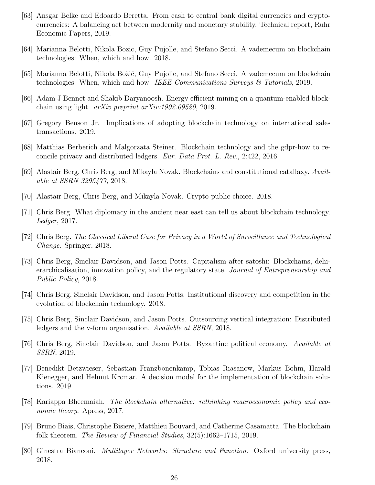- [63] Ansgar Belke and Edoardo Beretta. From cash to central bank digital currencies and cryptocurrencies: A balancing act between modernity and monetary stability. Technical report, Ruhr Economic Papers, 2019.
- [64] Marianna Belotti, Nikola Bozic, Guy Pujolle, and Stefano Secci. A vademecum on blockchain technologies: When, which and how. 2018.
- [65] Marianna Belotti, Nikola Božić, Guy Pujolle, and Stefano Secci. A vademecum on blockchain technologies: When, which and how. IEEE Communications Surveys  $\mathcal{C}_{T}$  Tutorials, 2019.
- [66] Adam J Bennet and Shakib Daryanoosh. Energy efficient mining on a quantum-enabled blockchain using light. arXiv preprint arXiv:1902.09520, 2019.
- [67] Gregory Benson Jr. Implications of adopting blockchain technology on international sales transactions. 2019.
- [68] Matthias Berberich and Malgorzata Steiner. Blockchain technology and the gdpr-how to reconcile privacy and distributed ledgers. Eur. Data Prot. L. Rev., 2:422, 2016.
- [69] Alastair Berg, Chris Berg, and Mikayla Novak. Blockchains and constitutional catallaxy. Available at SSRN 3295477, 2018.
- [70] Alastair Berg, Chris Berg, and Mikayla Novak. Crypto public choice. 2018.
- [71] Chris Berg. What diplomacy in the ancient near east can tell us about blockchain technology. Ledger, 2017.
- [72] Chris Berg. The Classical Liberal Case for Privacy in a World of Surveillance and Technological Change. Springer, 2018.
- [73] Chris Berg, Sinclair Davidson, and Jason Potts. Capitalism after satoshi: Blockchains, dehierarchicalisation, innovation policy, and the regulatory state. *Journal of Entrepreneurship and* Public Policy, 2018.
- [74] Chris Berg, Sinclair Davidson, and Jason Potts. Institutional discovery and competition in the evolution of blockchain technology. 2018.
- [75] Chris Berg, Sinclair Davidson, and Jason Potts. Outsourcing vertical integration: Distributed ledgers and the v-form organisation. Available at SSRN, 2018.
- [76] Chris Berg, Sinclair Davidson, and Jason Potts. Byzantine political economy. Available at SSRN, 2019.
- [77] Benedikt Betzwieser, Sebastian Franzbonenkamp, Tobias Riasanow, Markus B¨ohm, Harald Kienegger, and Helmut Krcmar. A decision model for the implementation of blockchain solutions. 2019.
- [78] Kariappa Bheemaiah. The blockchain alternative: rethinking macroeconomic policy and economic theory. Apress, 2017.
- [79] Bruno Biais, Christophe Bisiere, Matthieu Bouvard, and Catherine Casamatta. The blockchain folk theorem. The Review of Financial Studies, 32(5):1662–1715, 2019.
- [80] Ginestra Bianconi. Multilayer Networks: Structure and Function. Oxford university press, 2018.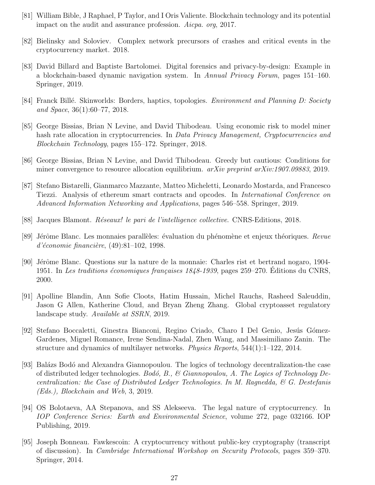- [81] William Bible, J Raphael, P Taylor, and I Oris Valiente. Blockchain technology and its potential impact on the audit and assurance profession. Aicpa. org, 2017.
- [82] Bielinsky and Soloviev. Complex network precursors of crashes and critical events in the cryptocurrency market. 2018.
- [83] David Billard and Baptiste Bartolomei. Digital forensics and privacy-by-design: Example in a blockchain-based dynamic navigation system. In Annual Privacy Forum, pages 151–160. Springer, 2019.
- [84] Franck Billé. Skinworlds: Borders, haptics, topologies. *Environment and Planning D: Society* and Space, 36(1):60–77, 2018.
- [85] George Bissias, Brian N Levine, and David Thibodeau. Using economic risk to model miner hash rate allocation in cryptocurrencies. In Data Privacy Management, Cryptocurrencies and Blockchain Technology, pages 155–172. Springer, 2018.
- [86] George Bissias, Brian N Levine, and David Thibodeau. Greedy but cautious: Conditions for miner convergence to resource allocation equilibrium. arXiv preprint arXiv:1907.09883, 2019.
- [87] Stefano Bistarelli, Gianmarco Mazzante, Matteo Micheletti, Leonardo Mostarda, and Francesco Tiezzi. Analysis of ethereum smart contracts and opcodes. In International Conference on Advanced Information Networking and Applications, pages 546–558. Springer, 2019.
- [88] Jacques Blamont. R´eseaux! le pari de l'intelligence collective. CNRS-Editions, 2018.
- [89] Jérôme Blanc. Les monnaies parallèles: évaluation du phénomène et enjeux théoriques. Revue  $d'économie financière, (49):81–102, 1998.$
- [90] Jérôme Blanc. Questions sur la nature de la monnaie: Charles rist et bertrand nogaro, 1904-1951. In Les traditions économiques françaises  $1848-1939$ , pages  $259-270$ . Editions du CNRS, 2000.
- [91] Apolline Blandin, Ann Sofie Cloots, Hatim Hussain, Michel Rauchs, Rasheed Saleuddin, Jason G Allen, Katherine Cloud, and Bryan Zheng Zhang. Global cryptoasset regulatory landscape study. Available at SSRN, 2019.
- [92] Stefano Boccaletti, Ginestra Bianconi, Regino Criado, Charo I Del Genio, Jesús Gómez-Gardenes, Miguel Romance, Irene Sendina-Nadal, Zhen Wang, and Massimiliano Zanin. The structure and dynamics of multilayer networks. Physics Reports, 544(1):1–122, 2014.
- [93] Balázs Bodó and Alexandra Giannopoulou. The logics of technology decentralization-the case of distributed ledger technologies. Bodó, B., & Giannopoulou, A. The Logics of Technology Decentralization: the Case of Distributed Ledger Technologies. In M. Ragnedda,  $\mathcal{C}_G$  G. Destefanis (Eds.), Blockchain and Web, 3, 2019.
- [94] OS Bolotaeva, AA Stepanova, and SS Alekseeva. The legal nature of cryptocurrency. In IOP Conference Series: Earth and Environmental Science, volume 272, page 032166. IOP Publishing, 2019.
- [95] Joseph Bonneau. Fawkescoin: A cryptocurrency without public-key cryptography (transcript of discussion). In Cambridge International Workshop on Security Protocols, pages 359–370. Springer, 2014.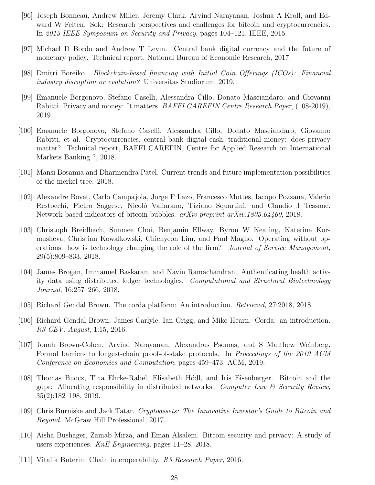- [96] Joseph Bonneau, Andrew Miller, Jeremy Clark, Arvind Narayanan, Joshua A Kroll, and Edward W Felten. Sok: Research perspectives and challenges for bitcoin and cryptocurrencies. In 2015 IEEE Symposium on Security and Privacy, pages 104–121. IEEE, 2015.
- [97] Michael D Bordo and Andrew T Levin. Central bank digital currency and the future of monetary policy. Technical report, National Bureau of Economic Research, 2017.
- [98] Dmitri Boreiko. Blockchain-based financing with Initial Coin Offerings (ICOs): Financial industry disruption or evolution? Universitas Studiorum, 2019.
- [99] Emanuele Borgonovo, Stefano Caselli, Alessandra Cillo, Donato Masciandaro, and Giovanni Rabitti. Privacy and money: It matters. *BAFFI CAREFIN Centre Research Paper*, (108-2019), 2019.
- [100] Emanuele Borgonovo, Stefano Caselli, Alessandra Cillo, Donato Masciandaro, Giovanno Rabitti, et al. Cryptocurrencies, central bank digital cash, traditional money: does privacy matter? Technical report, BAFFI CAREFIN, Centre for Applied Research on International Markets Banking ?, 2018.
- [101] Mansi Bosamia and Dharmendra Patel. Current trends and future implementation possibilities of the merkel tree. 2018.
- [102] Alexandre Bovet, Carlo Campajola, Jorge F Lazo, Francesco Mottes, Iacopo Pozzana, Valerio Restocchi, Pietro Saggese, Nicoló Vallarano, Tiziano Squartini, and Claudio J Tessone. Network-based indicators of bitcoin bubbles. arXiv preprint arXiv:1805.04460, 2018.
- [103] Christoph Breidbach, Sunmee Choi, Benjamin Ellway, Byron W Keating, Katerina Kormusheva, Christian Kowalkowski, Chiehyeon Lim, and Paul Maglio. Operating without operations: how is technology changing the role of the firm? Journal of Service Management, 29(5):809–833, 2018.
- [104] James Brogan, Immanuel Baskaran, and Navin Ramachandran. Authenticating health activity data using distributed ledger technologies. Computational and Structural Biotechnology Journal, 16:257–266, 2018.
- [105] Richard Gendal Brown. The corda platform: An introduction. Retrieved, 27:2018, 2018.
- [106] Richard Gendal Brown, James Carlyle, Ian Grigg, and Mike Hearn. Corda: an introduction. R3 CEV, August, 1:15, 2016.
- [107] Jonah Brown-Cohen, Arvind Narayanan, Alexandros Psomas, and S Matthew Weinberg. Formal barriers to longest-chain proof-of-stake protocols. In Proceedings of the 2019 ACM Conference on Economics and Computation, pages 459–473. ACM, 2019.
- [108] Thomas Buocz, Tina Ehrke-Rabel, Elisabeth Hödl, and Iris Eisenberger. Bitcoin and the gdpr: Allocating responsibility in distributed networks. Computer Law  $\mathcal{C}$  Security Review, 35(2):182–198, 2019.
- [109] Chris Burniske and Jack Tatar. Cryptoassets: The Innovative Investor's Guide to Bitcoin and Beyond. McGraw Hill Professional, 2017.
- [110] Aisha Bushager, Zainab Mirza, and Eman Alsalem. Bitcoin security and privacy: A study of users experiences. KnE Engineering, pages 11–28, 2018.
- [111] Vitalik Buterin. Chain interoperability. R3 Research Paper, 2016.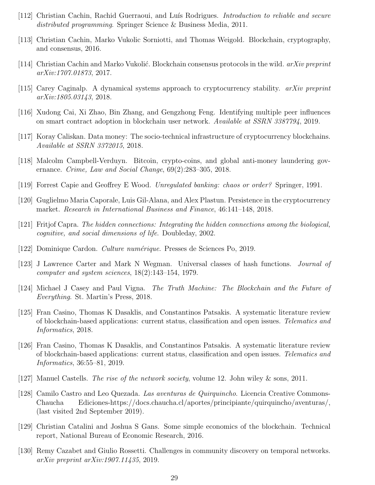- [112] Christian Cachin, Rachid Guerraoui, and Luís Rodrigues. *Introduction to reliable and secure* distributed programming. Springer Science & Business Media, 2011.
- [113] Christian Cachin, Marko Vukolic Sorniotti, and Thomas Weigold. Blockchain, cryptography, and consensus, 2016.
- [114] Christian Cachin and Marko Vukolić. Blockchain consensus protocols in the wild.  $arXiv$  preprint arXiv:1707.01873, 2017.
- [115] Carey Caginalp. A dynamical systems approach to cryptocurrency stability. arXiv preprint arXiv:1805.03143, 2018.
- [116] Xudong Cai, Xi Zhao, Bin Zhang, and Gengzhong Feng. Identifying multiple peer influences on smart contract adoption in blockchain user network. Available at SSRN 3387794, 2019.
- [117] Koray Caliskan. Data money: The socio-technical infrastructure of cryptocurrency blockchains. Available at SSRN 3372015, 2018.
- [118] Malcolm Campbell-Verduyn. Bitcoin, crypto-coins, and global anti-money laundering governance. Crime, Law and Social Change, 69(2):283–305, 2018.
- [119] Forrest Capie and Geoffrey E Wood. Unregulated banking: chaos or order? Springer, 1991.
- [120] Guglielmo Maria Caporale, Luis Gil-Alana, and Alex Plastun. Persistence in the cryptocurrency market. Research in International Business and Finance, 46:141–148, 2018.
- [121] Fritjof Capra. The hidden connections: Integrating the hidden connections among the biological, cognitive, and social dimensions of life. Doubleday, 2002.
- [122] Dominique Cardon. *Culture numérique*. Presses de Sciences Po, 2019.
- [123] J Lawrence Carter and Mark N Wegman. Universal classes of hash functions. Journal of computer and system sciences, 18(2):143–154, 1979.
- [124] Michael J Casey and Paul Vigna. The Truth Machine: The Blockchain and the Future of Everything. St. Martin's Press, 2018.
- [125] Fran Casino, Thomas K Dasaklis, and Constantinos Patsakis. A systematic literature review of blockchain-based applications: current status, classification and open issues. Telematics and Informatics, 2018.
- [126] Fran Casino, Thomas K Dasaklis, and Constantinos Patsakis. A systematic literature review of blockchain-based applications: current status, classification and open issues. Telematics and Informatics, 36:55–81, 2019.
- [127] Manuel Castells. *The rise of the network society*, volume 12. John wiley & sons, 2011.
- [128] Camilo Castro and Leo Quezada. Las aventuras de Quirquincho. Licencia Creative Commons-Chaucha Ediciones-https://docs.chaucha.cl/aportes/principiante/quirquincho/aventuras/, (last visited 2nd September 2019).
- [129] Christian Catalini and Joshua S Gans. Some simple economics of the blockchain. Technical report, National Bureau of Economic Research, 2016.
- [130] Remy Cazabet and Giulio Rossetti. Challenges in community discovery on temporal networks. arXiv preprint arXiv:1907.11435, 2019.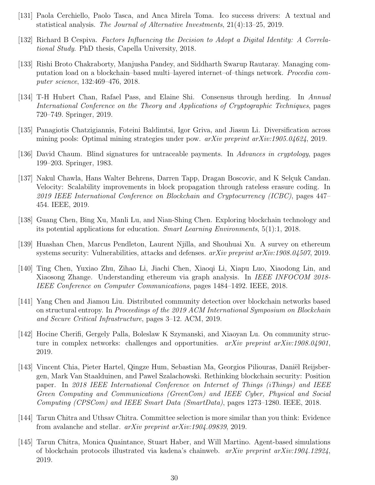- [131] Paola Cerchiello, Paolo Tasca, and Anca Mirela Toma. Ico success drivers: A textual and statistical analysis. The Journal of Alternative Investments, 21(4):13–25, 2019.
- [132] Richard B Cespiva. Factors Influencing the Decision to Adopt a Digital Identity: A Correlational Study. PhD thesis, Capella University, 2018.
- [133] Rishi Broto Chakraborty, Manjusha Pandey, and Siddharth Swarup Rautaray. Managing computation load on a blockchain–based multi–layered internet–of–things network. Procedia computer science, 132:469–476, 2018.
- [134] T-H Hubert Chan, Rafael Pass, and Elaine Shi. Consensus through herding. In Annual International Conference on the Theory and Applications of Cryptographic Techniques, pages 720–749. Springer, 2019.
- [135] Panagiotis Chatzigiannis, Foteini Baldimtsi, Igor Griva, and Jiasun Li. Diversification across mining pools: Optimal mining strategies under pow.  $a r Xiv$  preprint  $a r Xiv$ :1905.04624, 2019.
- [136] David Chaum. Blind signatures for untraceable payments. In Advances in cryptology, pages 199–203. Springer, 1983.
- [137] Nakul Chawla, Hans Walter Behrens, Darren Tapp, Dragan Boscovic, and K Selçuk Candan. Velocity: Scalability improvements in block propagation through rateless erasure coding. In 2019 IEEE International Conference on Blockchain and Cryptocurrency (ICBC), pages 447– 454. IEEE, 2019.
- [138] Guang Chen, Bing Xu, Manli Lu, and Nian-Shing Chen. Exploring blockchain technology and its potential applications for education. Smart Learning Environments, 5(1):1, 2018.
- [139] Huashan Chen, Marcus Pendleton, Laurent Njilla, and Shouhuai Xu. A survey on ethereum systems security: Vulnerabilities, attacks and defenses.  $arXiv$  preprint  $arXiv:1908.04507$ , 2019.
- [140] Ting Chen, Yuxiao Zhu, Zihao Li, Jiachi Chen, Xiaoqi Li, Xiapu Luo, Xiaodong Lin, and Xiaosong Zhange. Understanding ethereum via graph analysis. In *IEEE INFOCOM 2018*-IEEE Conference on Computer Communications, pages 1484–1492. IEEE, 2018.
- [141] Yang Chen and Jiamou Liu. Distributed community detection over blockchain networks based on structural entropy. In Proceedings of the 2019 ACM International Symposium on Blockchain and Secure Critical Infrastructure, pages 3–12. ACM, 2019.
- [142] Hocine Cherifi, Gergely Palla, Boleslaw K Szymanski, and Xiaoyan Lu. On community structure in complex networks: challenges and opportunities.  $arXiv$  preprint  $arXiv:1908.04901$ , 2019.
- [143] Vincent Chia, Pieter Hartel, Qingze Hum, Sebastian Ma, Georgios Piliouras, Daniël Reijsbergen, Mark Van Staalduinen, and Pawel Szalachowski. Rethinking blockchain security: Position paper. In 2018 IEEE International Conference on Internet of Things (iThings) and IEEE Green Computing and Communications (GreenCom) and IEEE Cyber, Physical and Social Computing (CPSCom) and IEEE Smart Data (SmartData), pages 1273–1280. IEEE, 2018.
- [144] Tarun Chitra and Uthsav Chitra. Committee selection is more similar than you think: Evidence from avalanche and stellar. arXiv preprint arXiv:1904.09839, 2019.
- [145] Tarun Chitra, Monica Quaintance, Stuart Haber, and Will Martino. Agent-based simulations of blockchain protocols illustrated via kadena's chainweb. arXiv preprint arXiv:1904.12924, 2019.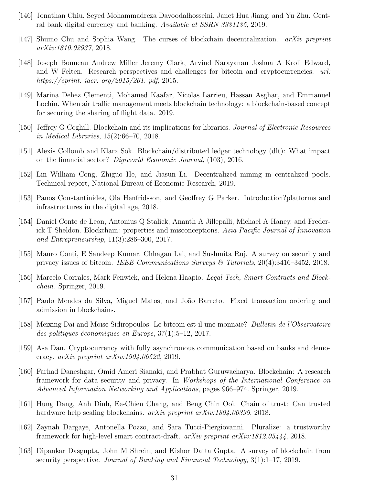- [146] Jonathan Chiu, Seyed Mohammadreza Davoodalhosseini, Janet Hua Jiang, and Yu Zhu. Central bank digital currency and banking. Available at SSRN 3331135, 2019.
- [147] Shumo Chu and Sophia Wang. The curses of blockchain decentralization. arXiv preprint arXiv:1810.02937, 2018.
- [148] Joseph Bonneau Andrew Miller Jeremy Clark, Arvind Narayanan Joshua A Kroll Edward, and W Felten. Research perspectives and challenges for bitcoin and cryptocurrencies. url: https://eprint. iacr. org/2015/261. pdf, 2015.
- [149] Marina Dehez Clementi, Mohamed Kaafar, Nicolas Larrieu, Hassan Asghar, and Emmanuel Lochin. When air traffic management meets blockchain technology: a blockchain-based concept for securing the sharing of flight data. 2019.
- [150] Jeffrey G Coghill. Blockchain and its implications for libraries. Journal of Electronic Resources in Medical Libraries, 15(2):66–70, 2018.
- [151] Alexis Collomb and Klara Sok. Blockchain/distributed ledger technology (dlt): What impact on the financial sector? Digiworld Economic Journal, (103), 2016.
- [152] Lin William Cong, Zhiguo He, and Jiasun Li. Decentralized mining in centralized pools. Technical report, National Bureau of Economic Research, 2019.
- [153] Panos Constantinides, Ola Henfridsson, and Geoffrey G Parker. Introduction?platforms and infrastructures in the digital age, 2018.
- [154] Daniel Conte de Leon, Antonius Q Stalick, Ananth A Jillepalli, Michael A Haney, and Frederick T Sheldon. Blockchain: properties and misconceptions. Asia Pacific Journal of Innovation and Entrepreneurship, 11(3):286–300, 2017.
- [155] Mauro Conti, E Sandeep Kumar, Chhagan Lal, and Sushmita Ruj. A survey on security and privacy issues of bitcoin. IEEE Communications Surveys & Tutorials,  $20(4):3416-3452$ , 2018.
- [156] Marcelo Corrales, Mark Fenwick, and Helena Haapio. Legal Tech, Smart Contracts and Blockchain. Springer, 2019.
- [157] Paulo Mendes da Silva, Miguel Matos, and João Barreto. Fixed transaction ordering and admission in blockchains.
- [158] Meixing Dai and Moïse Sidiropoulos. Le bitcoin est-il une monnaie? *Bulletin de l'Observatoire* des politiques économiques en Europe,  $37(1):5-12$ , 2017.
- [159] Asa Dan. Cryptocurrency with fully asynchronous communication based on banks and democracy. arXiv preprint arXiv:1904.06522, 2019.
- [160] Farhad Daneshgar, Omid Ameri Sianaki, and Prabhat Guruwacharya. Blockchain: A research framework for data security and privacy. In Workshops of the International Conference on Advanced Information Networking and Applications, pages 966–974. Springer, 2019.
- [161] Hung Dang, Anh Dinh, Ee-Chien Chang, and Beng Chin Ooi. Chain of trust: Can trusted hardware help scaling blockchains. *arXiv preprint arXiv:1804.00399*, 2018.
- [162] Zaynah Dargaye, Antonella Pozzo, and Sara Tucci-Piergiovanni. Pluralize: a trustworthy framework for high-level smart contract-draft. arXiv preprint arXiv:1812.05444, 2018.
- [163] Dipankar Dasgupta, John M Shrein, and Kishor Datta Gupta. A survey of blockchain from security perspective. Journal of Banking and Financial Technology, 3(1):1–17, 2019.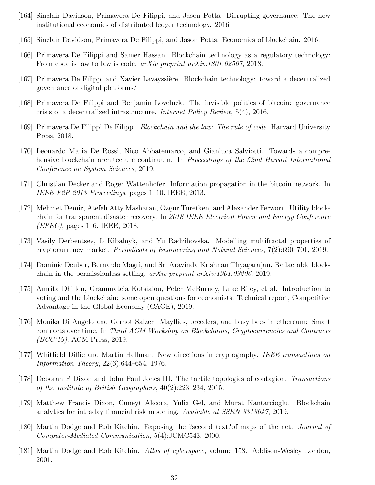- [164] Sinclair Davidson, Primavera De Filippi, and Jason Potts. Disrupting governance: The new institutional economics of distributed ledger technology. 2016.
- [165] Sinclair Davidson, Primavera De Filippi, and Jason Potts. Economics of blockchain. 2016.
- [166] Primavera De Filippi and Samer Hassan. Blockchain technology as a regulatory technology: From code is law to law is code. *arXiv preprint arXiv:1801.02507*, 2018.
- [167] Primavera De Filippi and Xavier Lavayssière. Blockchain technology: toward a decentralized governance of digital platforms?
- [168] Primavera De Filippi and Benjamin Loveluck. The invisible politics of bitcoin: governance crisis of a decentralized infrastructure. Internet Policy Review, 5(4), 2016.
- [169] Primavera De Filippi De Filippi. Blockchain and the law: The rule of code. Harvard University Press, 2018.
- [170] Leonardo Maria De Rossi, Nico Abbatemarco, and Gianluca Salviotti. Towards a comprehensive blockchain architecture continuum. In *Proceedings of the 52nd Hawaii International* Conference on System Sciences, 2019.
- [171] Christian Decker and Roger Wattenhofer. Information propagation in the bitcoin network. In IEEE P2P 2013 Proceedings, pages 1–10. IEEE, 2013.
- [172] Mehmet Demir, Atefeh Atty Mashatan, Ozgur Turetken, and Alexander Ferworn. Utility blockchain for transparent disaster recovery. In 2018 IEEE Electrical Power and Energy Conference  $(EPEC)$ , pages 1–6. IEEE, 2018.
- [173] Vasily Derbentsev, L Kibalnyk, and Yu Radzihovska. Modelling multifractal properties of cryptocurrency market. Periodicals of Engineering and Natural Sciences, 7(2):690–701, 2019.
- [174] Dominic Deuber, Bernardo Magri, and Sri Aravinda Krishnan Thyagarajan. Redactable blockchain in the permissionless setting. arXiv preprint arXiv:1901.03206, 2019.
- [175] Amrita Dhillon, Grammateia Kotsialou, Peter McBurney, Luke Riley, et al. Introduction to voting and the blockchain: some open questions for economists. Technical report, Competitive Advantage in the Global Economy (CAGE), 2019.
- [176] Monika Di Angelo and Gernot Salzer. Mayflies, breeders, and busy bees in ethereum: Smart contracts over time. In Third ACM Workshop on Blockchains, Cryptocurrencies and Contracts (BCC'19). ACM Press, 2019.
- [177] Whitfield Diffie and Martin Hellman. New directions in cryptography. IEEE transactions on Information Theory, 22(6):644–654, 1976.
- [178] Deborah P Dixon and John Paul Jones III. The tactile topologies of contagion. Transactions of the Institute of British Geographers, 40(2):223–234, 2015.
- [179] Matthew Francis Dixon, Cuneyt Akcora, Yulia Gel, and Murat Kantarcioglu. Blockchain analytics for intraday financial risk modeling. Available at SSRN 3313047, 2019.
- [180] Martin Dodge and Rob Kitchin. Exposing the ?second text?of maps of the net. Journal of Computer-Mediated Communication, 5(4):JCMC543, 2000.
- [181] Martin Dodge and Rob Kitchin. Atlas of cyberspace, volume 158. Addison-Wesley London, 2001.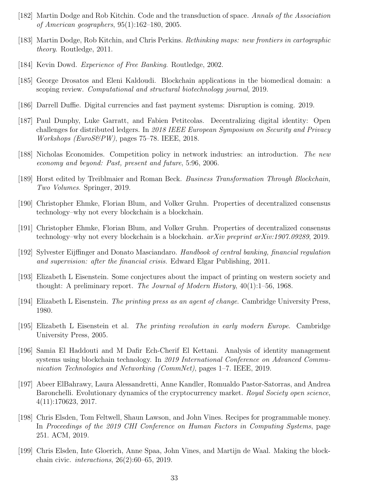- [182] Martin Dodge and Rob Kitchin. Code and the transduction of space. Annals of the Association of American geographers, 95(1):162–180, 2005.
- [183] Martin Dodge, Rob Kitchin, and Chris Perkins. Rethinking maps: new frontiers in cartographic theory. Routledge, 2011.
- [184] Kevin Dowd. Experience of Free Banking. Routledge, 2002.
- [185] George Drosatos and Eleni Kaldoudi. Blockchain applications in the biomedical domain: a scoping review. Computational and structural biotechnology journal, 2019.
- [186] Darrell Duffie. Digital currencies and fast payment systems: Disruption is coming. 2019.
- [187] Paul Dunphy, Luke Garratt, and Fabien Petitcolas. Decentralizing digital identity: Open challenges for distributed ledgers. In 2018 IEEE European Symposium on Security and Privacy  $Workshops$  (EuroS&PW), pages 75–78. IEEE, 2018.
- [188] Nicholas Economides. Competition policy in network industries: an introduction. The new economy and beyond: Past, present and future, 5:96, 2006.
- [189] Horst edited by Treiblmaier and Roman Beck. Business Transformation Through Blockchain, Two Volumes. Springer, 2019.
- [190] Christopher Ehmke, Florian Blum, and Volker Gruhn. Properties of decentralized consensus technology–why not every blockchain is a blockchain.
- [191] Christopher Ehmke, Florian Blum, and Volker Gruhn. Properties of decentralized consensus technology–why not every blockchain is a blockchain. arXiv preprint arXiv:1907.09289, 2019.
- [192] Sylvester Eijffinger and Donato Masciandaro. Handbook of central banking, financial regulation and supervision: after the financial crisis. Edward Elgar Publishing, 2011.
- [193] Elizabeth L Eisenstein. Some conjectures about the impact of printing on western society and thought: A preliminary report. The Journal of Modern History,  $40(1)$ :1–56, 1968.
- [194] Elizabeth L Eisenstein. The printing press as an agent of change. Cambridge University Press, 1980.
- [195] Elizabeth L Eisenstein et al. The printing revolution in early modern Europe. Cambridge University Press, 2005.
- [196] Samia El Haddouti and M Dafir Ech-Cherif El Kettani. Analysis of identity management systems using blockchain technology. In 2019 International Conference on Advanced Communication Technologies and Networking (CommNet), pages 1–7. IEEE, 2019.
- [197] Abeer ElBahrawy, Laura Alessandretti, Anne Kandler, Romualdo Pastor-Satorras, and Andrea Baronchelli. Evolutionary dynamics of the cryptocurrency market. Royal Society open science, 4(11):170623, 2017.
- [198] Chris Elsden, Tom Feltwell, Shaun Lawson, and John Vines. Recipes for programmable money. In Proceedings of the 2019 CHI Conference on Human Factors in Computing Systems, page 251. ACM, 2019.
- [199] Chris Elsden, Inte Gloerich, Anne Spaa, John Vines, and Martijn de Waal. Making the blockchain civic. interactions, 26(2):60–65, 2019.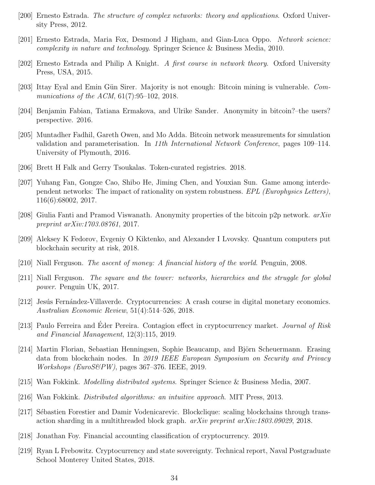- [200] Ernesto Estrada. The structure of complex networks: theory and applications. Oxford University Press, 2012.
- [201] Ernesto Estrada, Maria Fox, Desmond J Higham, and Gian-Luca Oppo. Network science: complexity in nature and technology. Springer Science & Business Media, 2010.
- [202] Ernesto Estrada and Philip A Knight. A first course in network theory. Oxford University Press, USA, 2015.
- [203] Ittay Eyal and Emin Gün Sirer. Majority is not enough: Bitcoin mining is vulnerable. Communications of the ACM, 61(7):95–102, 2018.
- [204] Benjamin Fabian, Tatiana Ermakova, and Ulrike Sander. Anonymity in bitcoin?–the users? perspective. 2016.
- [205] Muntadher Fadhil, Gareth Owen, and Mo Adda. Bitcoin network measurements for simulation validation and parameterisation. In 11th International Network Conference, pages 109–114. University of Plymouth, 2016.
- [206] Brett H Falk and Gerry Tsoukalas. Token-curated registries. 2018.
- [207] Yuhang Fan, Gongze Cao, Shibo He, Jiming Chen, and Youxian Sun. Game among interdependent networks: The impact of rationality on system robustness. EPL (Europhysics Letters), 116(6):68002, 2017.
- [208] Giulia Fanti and Pramod Viswanath. Anonymity properties of the bitcoin p2p network. arXiv preprint arXiv:1703.08761, 2017.
- [209] Aleksey K Fedorov, Evgeniy O Kiktenko, and Alexander I Lvovsky. Quantum computers put blockchain security at risk, 2018.
- [210] Niall Ferguson. The ascent of money: A financial history of the world. Penguin, 2008.
- [211] Niall Ferguson. The square and the tower: networks, hierarchies and the struggle for global power. Penguin UK, 2017.
- [212] Jesús Fernández-Villaverde. Cryptocurrencies: A crash course in digital monetary economics. Australian Economic Review, 51(4):514–526, 2018.
- [213] Paulo Ferreira and Eder Pereira. Contagion effect in cryptocurrency market. Journal of Risk and Financial Management, 12(3):115, 2019.
- [214] Martin Florian, Sebastian Henningsen, Sophie Beaucamp, and Björn Scheuermann. Erasing data from blockchain nodes. In 2019 IEEE European Symposium on Security and Privacy  $Workshops$  (EuroS&PW), pages 367–376. IEEE, 2019.
- [215] Wan Fokkink. Modelling distributed systems. Springer Science & Business Media, 2007.
- [216] Wan Fokkink. Distributed algorithms: an intuitive approach. MIT Press, 2013.
- [217] Sébastien Forestier and Damir Vodenicarevic. Blockclique: scaling blockchains through transaction sharding in a multithreaded block graph.  $arXiv$  preprint  $arXiv:1803.09029$ , 2018.
- [218] Jonathan Foy. Financial accounting classification of cryptocurrency. 2019.
- [219] Ryan L Frebowitz. Cryptocurrency and state sovereignty. Technical report, Naval Postgraduate School Monterey United States, 2018.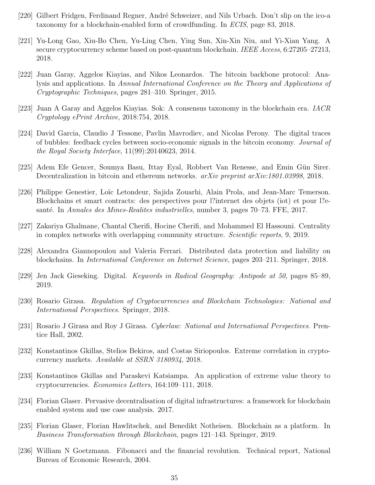- [220] Gilbert Fridgen, Ferdinand Regner, André Schweizer, and Nils Urbach. Don't slip on the ico-a taxonomy for a blockchain-enabled form of crowdfunding. In ECIS, page 83, 2018.
- [221] Yu-Long Gao, Xiu-Bo Chen, Yu-Ling Chen, Ying Sun, Xin-Xin Niu, and Yi-Xian Yang. A secure cryptocurrency scheme based on post-quantum blockchain. IEEE Access, 6:27205–27213, 2018.
- [222] Juan Garay, Aggelos Kiayias, and Nikos Leonardos. The bitcoin backbone protocol: Analysis and applications. In Annual International Conference on the Theory and Applications of Cryptographic Techniques, pages 281–310. Springer, 2015.
- [223] Juan A Garay and Aggelos Kiayias. Sok: A consensus taxonomy in the blockchain era. IACR Cryptology ePrint Archive, 2018:754, 2018.
- [224] David Garcia, Claudio J Tessone, Pavlin Mavrodiev, and Nicolas Perony. The digital traces of bubbles: feedback cycles between socio-economic signals in the bitcoin economy. Journal of the Royal Society Interface, 11(99):20140623, 2014.
- [225] Adem Efe Gencer, Soumya Basu, Ittay Eyal, Robbert Van Renesse, and Emin Gün Sirer. Decentralization in bitcoin and ethereum networks. *arXiv preprint arXiv:1801.03998*, 2018.
- [226] Philippe Genestier, Loïc Letondeur, Sajida Zouarhi, Alain Prola, and Jean-Marc Temerson. Blockchains et smart contracts: des perspectives pour l?internet des objets (iot) et pour l?esanté. In Annales des Mines-Realites industrielles, number 3, pages 70–73. FFE, 2017.
- [227] Zakariya Ghalmane, Chantal Cherifi, Hocine Cherifi, and Mohammed El Hassouni. Centrality in complex networks with overlapping community structure. Scientific reports, 9, 2019.
- [228] Alexandra Giannopoulou and Valeria Ferrari. Distributed data protection and liability on blockchains. In International Conference on Internet Science, pages 203–211. Springer, 2018.
- [229] Jen Jack Gieseking. Digital. Keywords in Radical Geography: Antipode at 50, pages 85–89, 2019.
- [230] Rosario Girasa. Regulation of Cryptocurrencies and Blockchain Technologies: National and International Perspectives. Springer, 2018.
- [231] Rosario J Girasa and Roy J Girasa. Cyberlaw: National and International Perspectives. Prentice Hall, 2002.
- [232] Konstantinos Gkillas, Stelios Bekiros, and Costas Siriopoulos. Extreme correlation in cryptocurrency markets. Available at SSRN 3180934, 2018.
- [233] Konstantinos Gkillas and Paraskevi Katsiampa. An application of extreme value theory to cryptocurrencies. Economics Letters, 164:109–111, 2018.
- [234] Florian Glaser. Pervasive decentralisation of digital infrastructures: a framework for blockchain enabled system and use case analysis. 2017.
- [235] Florian Glaser, Florian Hawlitschek, and Benedikt Notheisen. Blockchain as a platform. In Business Transformation through Blockchain, pages 121–143. Springer, 2019.
- [236] William N Goetzmann. Fibonacci and the financial revolution. Technical report, National Bureau of Economic Research, 2004.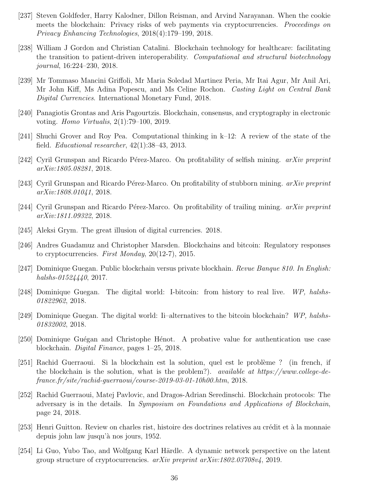- [237] Steven Goldfeder, Harry Kalodner, Dillon Reisman, and Arvind Narayanan. When the cookie meets the blockchain: Privacy risks of web payments via cryptocurrencies. *Proceedings on* Privacy Enhancing Technologies, 2018(4):179–199, 2018.
- [238] William J Gordon and Christian Catalini. Blockchain technology for healthcare: facilitating the transition to patient-driven interoperability. Computational and structural biotechnology journal, 16:224–230, 2018.
- [239] Mr Tommaso Mancini Griffoli, Mr Maria Soledad Martinez Peria, Mr Itai Agur, Mr Anil Ari, Mr John Kiff, Ms Adina Popescu, and Ms Celine Rochon. Casting Light on Central Bank Digital Currencies. International Monetary Fund, 2018.
- [240] Panagiotis Grontas and Aris Pagourtzis. Blockchain, consensus, and cryptography in electronic voting. Homo Virtualis, 2(1):79–100, 2019.
- [241] Shuchi Grover and Roy Pea. Computational thinking in k–12: A review of the state of the field. *Educational researcher*,  $42(1):38-43$ ,  $2013$ .
- [242] Cyril Grunspan and Ricardo Pérez-Marco. On profitability of selfish mining.  $arXiv$  preprint arXiv:1805.08281, 2018.
- [243] Cyril Grunspan and Ricardo Pérez-Marco. On profitability of stubborn mining.  $arXiv$  preprint arXiv:1808.01041, 2018.
- [244] Cyril Grunspan and Ricardo Pérez-Marco. On profitability of trailing mining.  $arXiv$  preprint arXiv:1811.09322, 2018.
- [245] Aleksi Grym. The great illusion of digital currencies. 2018.
- [246] Andres Guadamuz and Christopher Marsden. Blockchains and bitcoin: Regulatory responses to cryptocurrencies. First Monday, 20(12-7), 2015.
- [247] Dominique Guegan. Public blockchain versus private blockhain. Revue Banque 810. In English: halshs-01524440, 2017.
- [248] Dominique Guegan. The digital world: I-bitcoin: from history to real live. WP, halshs-01822962, 2018.
- [249] Dominique Guegan. The digital world: Ii–alternatives to the bitcoin blockchain? WP, halshs-01832002, 2018.
- [250] Dominique Guégan and Christophe Hénot. A probative value for authentication use case blockchain. Digital Finance, pages 1–25, 2018.
- [251] Rachid Guerraoui. Si la blockchain est la solution, quel est le problème ? (in french, if the blockchain is the solution, what is the problem?). available at https://www.college-defrance.fr/site/rachid-guerraoui/course-2019-03-01-10h00.htm, 2018.
- [252] Rachid Guerraoui, Matej Pavlovic, and Dragos-Adrian Seredinschi. Blockchain protocols: The adversary is in the details. In Symposium on Foundations and Applications of Blockchain, page 24, 2018.
- [253] Henri Guitton. Review on charles rist, histoire des doctrines relatives au crédit et à la monnaie depuis john law jusqu'à nos jours, 1952.
- [254] Li Guo, Yubo Tao, and Wolfgang Karl Härdle. A dynamic network perspective on the latent group structure of cryptocurrencies.  $arXiv$  preprint  $arXiv:1802.03708v4$ , 2019.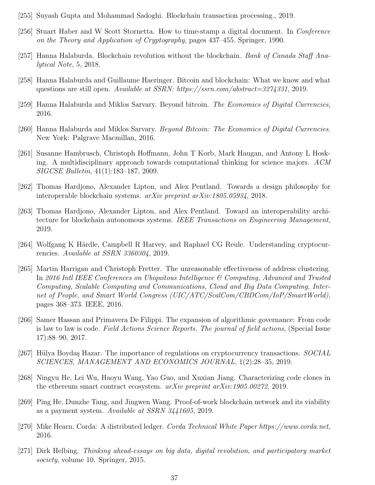- [255] Suyash Gupta and Mohammad Sadoghi. Blockchain transaction processing., 2019.
- [256] Stuart Haber and W Scott Stornetta. How to time-stamp a digital document. In Conference on the Theory and Application of Cryptography, pages 437–455. Springer, 1990.
- [257] Hanna Halaburda. Blockchain revolution without the blockchain. Bank of Canada Staff Analytical Note, 5, 2018.
- [258] Hanna Halaburda and Guillaume Haeringer. Bitcoin and blockchain: What we know and what questions are still open. Available at SSRN: https://ssrn.com/abstract=3274331, 2019.
- [259] Hanna Halaburda and Miklos Sarvary. Beyond bitcoin. The Economics of Digital Currencies, 2016.
- [260] Hanna Halaburda and Miklos Sarvary. Beyond Bitcoin: The Economics of Digital Currencies. New York: Palgrave Macmillan, 2016.
- [261] Susanne Hambrusch, Christoph Hoffmann, John T Korb, Mark Haugan, and Antony L Hosking. A multidisciplinary approach towards computational thinking for science majors. ACM SIGCSE Bulletin, 41(1):183–187, 2009.
- [262] Thomas Hardjono, Alexander Lipton, and Alex Pentland. Towards a design philosophy for interoperable blockchain systems. arXiv preprint arXiv:1805.05934, 2018.
- [263] Thomas Hardjono, Alexander Lipton, and Alex Pentland. Toward an interoperability architecture for blockchain autonomous systems. IEEE Transactions on Engineering Management, 2019.
- [264] Wolfgang K Härdle, Campbell R Harvey, and Raphael CG Reule. Understanding cryptocurrencies. Available at SSRN 3360304, 2019.
- [265] Martin Harrigan and Christoph Fretter. The unreasonable effectiveness of address clustering. In 2016 Intl IEEE Conferences on Ubiquitous Intelligence  $\mathscr C$  Computing, Advanced and Trusted Computing, Scalable Computing and Communications, Cloud and Big Data Computing, Internet of People, and Smart World Congress (UIC/ATC/ScalCom/CBDCom/IoP/SmartWorld), pages 368–373. IEEE, 2016.
- [266] Samer Hassan and Primavera De Filippi. The expansion of algorithmic governance: From code is law to law is code. Field Actions Science Reports. The journal of field actions, (Special Issue 17):88–90, 2017.
- [267] Hülya Boydaş Hazar. The importance of regulations on cryptocurrency transactions. SOCIAL SCIENCES, MANAGEMENT AND ECONOMICS JOURNAL, 1(2):28–35, 2019.
- [268] Ningyu He, Lei Wu, Haoyu Wang, Yao Guo, and Xuxian Jiang. Characterizing code clones in the ethereum smart contract ecosystem. *arXiv preprint arXiv:1905.00272*, 2019.
- [269] Ping He, Dunzhe Tang, and Jingwen Wang. Proof-of-work blockchain network and its viability as a payment system. Available at SSRN 3441605, 2019.
- [270] Mike Hearn. Corda: A distributed ledger. Corda Technical White Paper https://www.corda.net, 2016.
- [271] Dirk Helbing. Thinking ahead-essays on big data, digital revolution, and participatory market society, volume 10. Springer, 2015.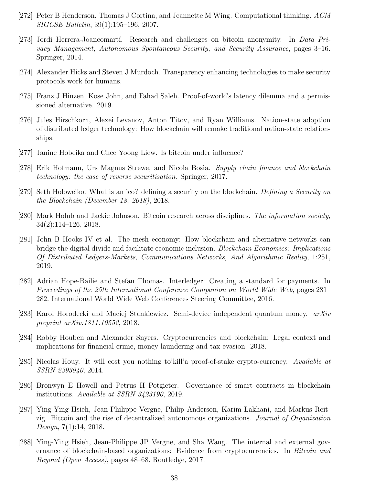- [272] Peter B Henderson, Thomas J Cortina, and Jeannette M Wing. Computational thinking. ACM SIGCSE Bulletin, 39(1):195–196, 2007.
- [273] Jordi Herrera-Joancomartí. Research and challenges on bitcoin anonymity. In Data Privacy Management, Autonomous Spontaneous Security, and Security Assurance, pages 3–16. Springer, 2014.
- [274] Alexander Hicks and Steven J Murdoch. Transparency enhancing technologies to make security protocols work for humans.
- [275] Franz J Hinzen, Kose John, and Fahad Saleh. Proof-of-work?s latency dilemma and a permissioned alternative. 2019.
- [276] Jules Hirschkorn, Alexei Levanov, Anton Titov, and Ryan Williams. Nation-state adoption of distributed ledger technology: How blockchain will remake traditional nation-state relationships.
- [277] Janine Hobeika and Chee Yoong Liew. Is bitcoin under influence?
- [278] Erik Hofmann, Urs Magnus Strewe, and Nicola Bosia. Supply chain finance and blockchain technology: the case of reverse securitisation. Springer, 2017.
- [279] Seth Holoweiko. What is an ico? defining a security on the blockchain. Defining a Security on the Blockchain (December 18, 2018), 2018.
- [280] Mark Holub and Jackie Johnson. Bitcoin research across disciplines. The information society, 34(2):114–126, 2018.
- [281] John B Hooks IV et al. The mesh economy: How blockchain and alternative networks can bridge the digital divide and facilitate economic inclusion. Blockchain Economics: Implications Of Distributed Ledgers-Markets, Communications Networks, And Algorithmic Reality, 1:251, 2019.
- [282] Adrian Hope-Bailie and Stefan Thomas. Interledger: Creating a standard for payments. In Proceedings of the 25th International Conference Companion on World Wide Web, pages 281– 282. International World Wide Web Conferences Steering Committee, 2016.
- [283] Karol Horodecki and Maciej Stankiewicz. Semi-device independent quantum money. arXiv preprint arXiv:1811.10552, 2018.
- [284] Robby Houben and Alexander Snyers. Cryptocurrencies and blockchain: Legal context and implications for financial crime, money laundering and tax evasion. 2018.
- [285] Nicolas Houy. It will cost you nothing to'kill'a proof-of-stake crypto-currency. Available at SSRN 2393940, 2014.
- [286] Bronwyn E Howell and Petrus H Potgieter. Governance of smart contracts in blockchain institutions. Available at SSRN 3423190, 2019.
- [287] Ying-Ying Hsieh, Jean-Philippe Vergne, Philip Anderson, Karim Lakhani, and Markus Reitzig. Bitcoin and the rise of decentralized autonomous organizations. Journal of Organization Design, 7(1):14, 2018.
- [288] Ying-Ying Hsieh, Jean-Philippe JP Vergne, and Sha Wang. The internal and external governance of blockchain-based organizations: Evidence from cryptocurrencies. In Bitcoin and Beyond (Open Access), pages 48–68. Routledge, 2017.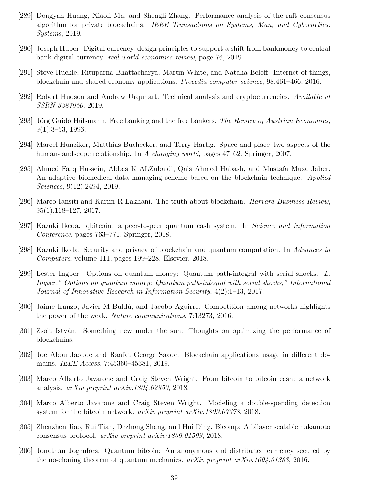- [289] Dongyan Huang, Xiaoli Ma, and Shengli Zhang. Performance analysis of the raft consensus algorithm for private blockchains. IEEE Transactions on Systems, Man, and Cybernetics: Systems, 2019.
- [290] Joseph Huber. Digital currency. design principles to support a shift from bankmoney to central bank digital currency. real-world economics review, page 76, 2019.
- [291] Steve Huckle, Rituparna Bhattacharya, Martin White, and Natalia Beloff. Internet of things, blockchain and shared economy applications. Procedia computer science, 98:461–466, 2016.
- [292] Robert Hudson and Andrew Urquhart. Technical analysis and cryptocurrencies. Available at SSRN 3387950, 2019.
- [293] Jörg Guido Hülsmann. Free banking and the free bankers. The Review of Austrian Economics, 9(1):3–53, 1996.
- [294] Marcel Hunziker, Matthias Buchecker, and Terry Hartig. Space and place–two aspects of the human-landscape relationship. In A changing world, pages 47–62. Springer, 2007.
- [295] Ahmed Faeq Hussein, Abbas K ALZubaidi, Qais Ahmed Habash, and Mustafa Musa Jaber. An adaptive biomedical data managing scheme based on the blockchain technique. Applied Sciences, 9(12):2494, 2019.
- [296] Marco Iansiti and Karim R Lakhani. The truth about blockchain. Harvard Business Review, 95(1):118–127, 2017.
- [297] Kazuki Ikeda. qbitcoin: a peer-to-peer quantum cash system. In Science and Information Conference, pages 763–771. Springer, 2018.
- [298] Kazuki Ikeda. Security and privacy of blockchain and quantum computation. In Advances in Computers, volume 111, pages 199–228. Elsevier, 2018.
- [299] Lester Ingber. Options on quantum money: Quantum path-integral with serial shocks. L. Ingber," Options on quantum money: Quantum path-integral with serial shocks," International Journal of Innovative Research in Information Security, 4(2):1–13, 2017.
- [300] Jaime Iranzo, Javier M Buldú, and Jacobo Aguirre. Competition among networks highlights the power of the weak. Nature communications, 7:13273, 2016.
- [301] Zsolt István. Something new under the sun: Thoughts on optimizing the performance of blockchains.
- [302] Joe Abou Jaoude and Raafat George Saade. Blockchain applications–usage in different domains. IEEE Access, 7:45360–45381, 2019.
- [303] Marco Alberto Javarone and Craig Steven Wright. From bitcoin to bitcoin cash: a network analysis. arXiv preprint arXiv:1804.02350, 2018.
- [304] Marco Alberto Javarone and Craig Steven Wright. Modeling a double-spending detection system for the bitcoin network. *arXiv preprint arXiv:1809.07678*, 2018.
- [305] Zhenzhen Jiao, Rui Tian, Dezhong Shang, and Hui Ding. Bicomp: A bilayer scalable nakamoto consensus protocol. arXiv preprint arXiv:1809.01593, 2018.
- [306] Jonathan Jogenfors. Quantum bitcoin: An anonymous and distributed currency secured by the no-cloning theorem of quantum mechanics.  $arXiv$  preprint  $arXiv:1604.01383$ , 2016.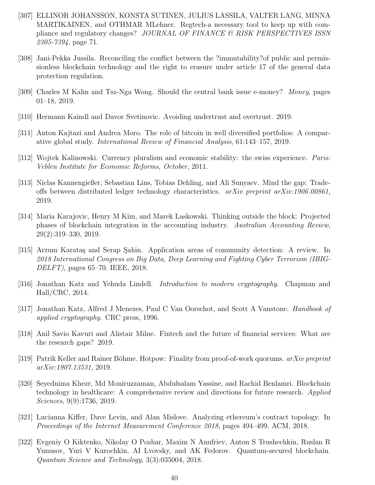- [307] ELLINOR JOHANSSON, KONSTA SUTINEN, JULIUS LASSILA, VALTER LANG, MINNA MARTIKAINEN, and OTHMAR MLehner. Regtech-a necessary tool to keep up with compliance and regulatory changes? JOURNAL OF FINANCE & RISK PERSPECTIVES ISSN 2305-7394, page 71.
- [308] Jani-Pekka Jussila. Reconciling the conflict between the ?immutability?of public and permissionless blockchain technology and the right to erasure under article 17 of the general data protection regulation.
- [309] Charles M Kahn and Tsz-Nga Wong. Should the central bank issue e-money? Money, pages 01–18, 2019.
- [310] Hermann Kaindl and Davor Svetinovic. Avoiding undertrust and overtrust. 2019.
- [311] Anton Kajtazi and Andrea Moro. The role of bitcoin in well diversified portfolios: A comparative global study. International Review of Financial Analysis, 61:143–157, 2019.
- [312] Wojtek Kalinowski. Currency pluralism and economic stability: the swiss experience. *Paris:* Veblen Institute for Economic Reforms, October, 2011.
- [313] Niclas Kannengießer, Sebastian Lins, Tobias Dehling, and Ali Sunyaev. Mind the gap: Tradeoffs between distributed ledger technology characteristics.  $arXiv$  preprint  $arXiv:1906.00861$ , 2019.
- [314] Maria Karajovic, Henry M Kim, and Marek Laskowski. Thinking outside the block: Projected phases of blockchain integration in the accounting industry. Australian Accounting Review, 29(2):319–330, 2019.
- [315] Arzum Karatas and Serap Sahin. Application areas of community detection: A review. In 2018 International Congress on Big Data, Deep Learning and Fighting Cyber Terrorism (IBIG-DELFT), pages 65–70. IEEE, 2018.
- [316] Jonathan Katz and Yehuda Lindell. Introduction to modern cryptography. Chapman and Hall/CRC, 2014.
- [317] Jonathan Katz, Alfred J Menezes, Paul C Van Oorschot, and Scott A Vanstone. Handbook of applied cryptography. CRC press, 1996.
- [318] Anil Savio Kavuri and Alistair Milne. Fintech and the future of financial services: What are the research gaps? 2019.
- [319] Patrik Keller and Rainer Böhme. Hotpow: Finality from proof-of-work quorums.  $arXiv$  preprint arXiv:1907.13531, 2019.
- [320] Seyednima Khezr, Md Moniruzzaman, Abdulsalam Yassine, and Rachid Benlamri. Blockchain technology in healthcare: A comprehensive review and directions for future research. Applied Sciences, 9(9):1736, 2019.
- [321] Lucianna Kiffer, Dave Levin, and Alan Mislove. Analyzing ethereum's contract topology. In Proceedings of the Internet Measurement Conference 2018, pages 494–499. ACM, 2018.
- [322] Evgeniy O Kiktenko, Nikolay O Pozhar, Maxim N Anufriev, Anton S Trushechkin, Ruslan R Yunusov, Yuri V Kurochkin, AI Lvovsky, and AK Fedorov. Quantum-secured blockchain. Quantum Science and Technology, 3(3):035004, 2018.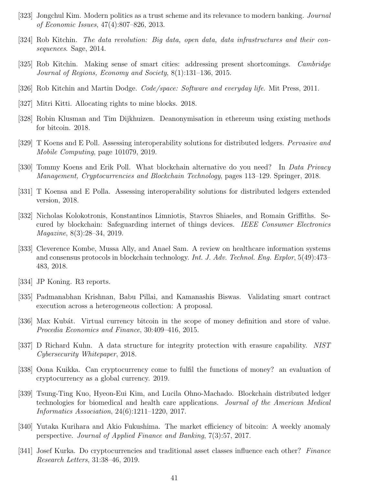- [323] Jongchul Kim. Modern politics as a trust scheme and its relevance to modern banking. Journal of Economic Issues, 47(4):807–826, 2013.
- [324] Rob Kitchin. The data revolution: Big data, open data, data infrastructures and their consequences. Sage, 2014.
- [325] Rob Kitchin. Making sense of smart cities: addressing present shortcomings. Cambridge Journal of Regions, Economy and Society, 8(1):131–136, 2015.
- [326] Rob Kitchin and Martin Dodge. *Code/space: Software and everyday life*. Mit Press, 2011.
- [327] Mitri Kitti. Allocating rights to mine blocks. 2018.
- [328] Robin Klusman and Tim Dijkhuizen. Deanonymisation in ethereum using existing methods for bitcoin. 2018.
- [329] T Koens and E Poll. Assessing interoperability solutions for distributed ledgers. Pervasive and Mobile Computing, page 101079, 2019.
- [330] Tommy Koens and Erik Poll. What blockchain alternative do you need? In Data Privacy Management, Cryptocurrencies and Blockchain Technology, pages 113–129. Springer, 2018.
- [331] T Koensa and E Polla. Assessing interoperability solutions for distributed ledgers extended version, 2018.
- [332] Nicholas Kolokotronis, Konstantinos Limniotis, Stavros Shiaeles, and Romain Griffiths. Secured by blockchain: Safeguarding internet of things devices. IEEE Consumer Electronics Magazine, 8(3):28–34, 2019.
- [333] Cleverence Kombe, Mussa Ally, and Anael Sam. A review on healthcare information systems and consensus protocols in blockchain technology. Int. J. Adv. Technol. Eng. Explor, 5(49):473– 483, 2018.
- [334] JP Koning. R3 reports.
- [335] Padmanabhan Krishnan, Babu Pillai, and Kamanashis Biswas. Validating smart contract execution across a heterogeneous collection: A proposal.
- [336] Max Kubát. Virtual currency bitcoin in the scope of money definition and store of value. Procedia Economics and Finance, 30:409–416, 2015.
- [337] D Richard Kuhn. A data structure for integrity protection with erasure capability. NIST Cybersecurity Whitepaper, 2018.
- [338] Oona Kuikka. Can cryptocurrency come to fulfil the functions of money? an evaluation of cryptocurrency as a global currency. 2019.
- [339] Tsung-Ting Kuo, Hyeon-Eui Kim, and Lucila Ohno-Machado. Blockchain distributed ledger technologies for biomedical and health care applications. Journal of the American Medical Informatics Association, 24(6):1211–1220, 2017.
- [340] Yutaka Kurihara and Akio Fukushima. The market efficiency of bitcoin: A weekly anomaly perspective. Journal of Applied Finance and Banking, 7(3):57, 2017.
- [341] Josef Kurka. Do cryptocurrencies and traditional asset classes influence each other? Finance Research Letters, 31:38–46, 2019.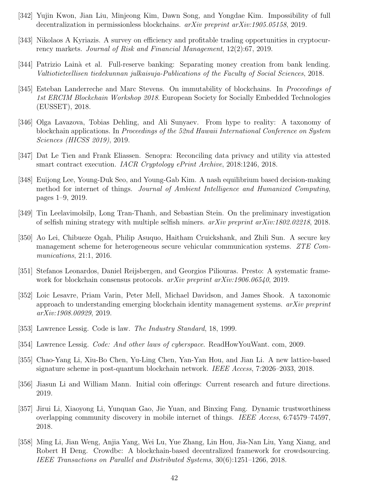- [342] Yujin Kwon, Jian Liu, Minjeong Kim, Dawn Song, and Yongdae Kim. Impossibility of full decentralization in permissionless blockchains. arXiv preprint arXiv:1905.05158, 2019.
- [343] Nikolaos A Kyriazis. A survey on efficiency and profitable trading opportunities in cryptocurrency markets. Journal of Risk and Financial Management, 12(2):67, 2019.
- [344] Patrizio Lain`a et al. Full-reserve banking: Separating money creation from bank lending. Valtiotieteellisen tiedekunnan julkaisuja-Publications of the Faculty of Social Sciences, 2018.
- [345] Esteban Landerreche and Marc Stevens. On immutability of blockchains. In Proceedings of 1st ERCIM Blockchain Workshop 2018. European Society for Socially Embedded Technologies (EUSSET), 2018.
- [346] Olga Lavazova, Tobias Dehling, and Ali Sunyaev. From hype to reality: A taxonomy of blockchain applications. In Proceedings of the 52nd Hawaii International Conference on System Sciences (HICSS 2019), 2019.
- [347] Dat Le Tien and Frank Eliassen. Senopra: Reconciling data privacy and utility via attested smart contract execution. IACR Cryptology ePrint Archive, 2018:1246, 2018.
- [348] Euijong Lee, Young-Duk Seo, and Young-Gab Kim. A nash equilibrium based decision-making method for internet of things. Journal of Ambient Intelligence and Humanized Computing, pages 1–9, 2019.
- [349] Tin Leelavimolsilp, Long Tran-Thanh, and Sebastian Stein. On the preliminary investigation of selfish mining strategy with multiple selfish miners. arXiv preprint arXiv:1802.02218, 2018.
- [350] Ao Lei, Chibueze Ogah, Philip Asuquo, Haitham Cruickshank, and Zhili Sun. A secure key management scheme for heterogeneous secure vehicular communication systems. ZTE Communications, 21:1, 2016.
- [351] Stefanos Leonardos, Daniel Reijsbergen, and Georgios Piliouras. Presto: A systematic framework for blockchain consensus protocols. *arXiv preprint arXiv:1906.06540*, 2019.
- [352] Loic Lesavre, Priam Varin, Peter Mell, Michael Davidson, and James Shook. A taxonomic approach to understanding emerging blockchain identity management systems.  $arXiv$  preprint arXiv:1908.00929, 2019.
- [353] Lawrence Lessig. Code is law. The Industry Standard, 18, 1999.
- [354] Lawrence Lessig. Code: And other laws of cyberspace. ReadHowYouWant. com, 2009.
- [355] Chao-Yang Li, Xiu-Bo Chen, Yu-Ling Chen, Yan-Yan Hou, and Jian Li. A new lattice-based signature scheme in post-quantum blockchain network. IEEE Access, 7:2026–2033, 2018.
- [356] Jiasun Li and William Mann. Initial coin offerings: Current research and future directions. 2019.
- [357] Jirui Li, Xiaoyong Li, Yunquan Gao, Jie Yuan, and Binxing Fang. Dynamic trustworthiness overlapping community discovery in mobile internet of things. IEEE Access, 6:74579–74597, 2018.
- [358] Ming Li, Jian Weng, Anjia Yang, Wei Lu, Yue Zhang, Lin Hou, Jia-Nan Liu, Yang Xiang, and Robert H Deng. Crowdbc: A blockchain-based decentralized framework for crowdsourcing. IEEE Transactions on Parallel and Distributed Systems, 30(6):1251–1266, 2018.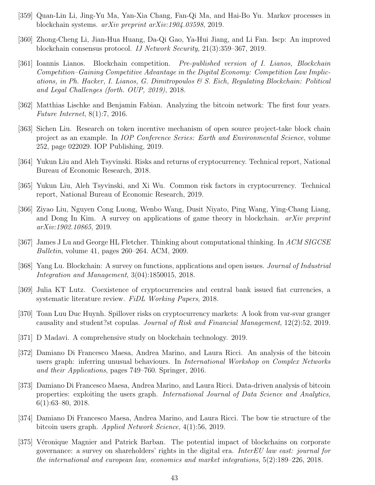- [359] Quan-Lin Li, Jing-Yu Ma, Yan-Xia Chang, Fan-Qi Ma, and Hai-Bo Yu. Markov processes in blockchain systems. arXiv preprint arXiv:1904.03598, 2019.
- [360] Zhong-Cheng Li, Jian-Hua Huang, Da-Qi Gao, Ya-Hui Jiang, and Li Fan. Iscp: An improved blockchain consensus protocol. IJ Network Security, 21(3):359–367, 2019.
- [361] Ioannis Lianos. Blockchain competition. Pre-published version of I. Lianos, Blockchain Competition–Gaining Competitive Advantage in the Digital Economy: Competition Law Implications, in Ph. Hacker, I. Lianos, G. Dimitropoulos  $\mathcal{C}$  S. Eich, Regulating Blockchain: Political and Legal Challenges (forth. OUP, 2019), 2018.
- [362] Matthias Lischke and Benjamin Fabian. Analyzing the bitcoin network: The first four years. Future Internet, 8(1):7, 2016.
- [363] Sichen Liu. Research on token incentive mechanism of open source project-take block chain project as an example. In IOP Conference Series: Earth and Environmental Science, volume 252, page 022029. IOP Publishing, 2019.
- [364] Yukun Liu and Aleh Tsyvinski. Risks and returns of cryptocurrency. Technical report, National Bureau of Economic Research, 2018.
- [365] Yukun Liu, Aleh Tsyvinski, and Xi Wu. Common risk factors in cryptocurrency. Technical report, National Bureau of Economic Research, 2019.
- [366] Ziyao Liu, Nguyen Cong Luong, Wenbo Wang, Dusit Niyato, Ping Wang, Ying-Chang Liang, and Dong In Kim. A survey on applications of game theory in blockchain.  $arXiv$  preprint arXiv:1902.10865, 2019.
- [367] James J Lu and George HL Fletcher. Thinking about computational thinking. In ACM SIGCSE Bulletin, volume 41, pages 260–264. ACM, 2009.
- [368] Yang Lu. Blockchain: A survey on functions, applications and open issues. Journal of Industrial Integration and Management, 3(04):1850015, 2018.
- [369] Julia KT Lutz. Coexistence of cryptocurrencies and central bank issued fiat currencies, a systematic literature review. FiDL Working Papers, 2018.
- [370] Toan Luu Duc Huynh. Spillover risks on cryptocurrency markets: A look from var-svar granger causality and student?st copulas. Journal of Risk and Financial Management, 12(2):52, 2019.
- [371] D Madavi. A comprehensive study on blockchain technology. 2019.
- [372] Damiano Di Francesco Maesa, Andrea Marino, and Laura Ricci. An analysis of the bitcoin users graph: inferring unusual behaviours. In *International Workshop on Complex Networks* and their Applications, pages 749–760. Springer, 2016.
- [373] Damiano Di Francesco Maesa, Andrea Marino, and Laura Ricci. Data-driven analysis of bitcoin properties: exploiting the users graph. International Journal of Data Science and Analytics, 6(1):63–80, 2018.
- [374] Damiano Di Francesco Maesa, Andrea Marino, and Laura Ricci. The bow tie structure of the bitcoin users graph. Applied Network Science, 4(1):56, 2019.
- [375] Véronique Magnier and Patrick Barban. The potential impact of blockchains on corporate governance: a survey on shareholders' rights in the digital era. InterEU law east: journal for the international and european law, economics and market integrations, 5(2):189–226, 2018.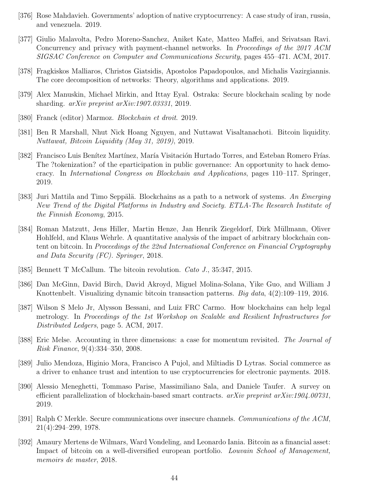- [376] Rose Mahdavieh. Governments' adoption of native cryptocurrency: A case study of iran, russia, and venezuela. 2019.
- [377] Giulio Malavolta, Pedro Moreno-Sanchez, Aniket Kate, Matteo Maffei, and Srivatsan Ravi. Concurrency and privacy with payment-channel networks. In Proceedings of the 2017 ACM SIGSAC Conference on Computer and Communications Security, pages 455–471. ACM, 2017.
- [378] Fragkiskos Malliaros, Christos Giatsidis, Apostolos Papadopoulos, and Michalis Vazirgiannis. The core decomposition of networks: Theory, algorithms and applications. 2019.
- [379] Alex Manuskin, Michael Mirkin, and Ittay Eyal. Ostraka: Secure blockchain scaling by node sharding.  $arXiv$  preprint  $arXiv:1907.03331$ , 2019.
- [380] Franck (editor) Marmoz. Blockchain et droit. 2019.
- [381] Ben R Marshall, Nhut Nick Hoang Nguyen, and Nuttawat Visaltanachoti. Bitcoin liquidity. Nuttawat, Bitcoin Liquidity (May 31, 2019), 2019.
- [382] Francisco Luis Benítez Martínez, María Visitación Hurtado Torres, and Esteban Romero Frías. The ?tokenization? of the eparticipation in public governance: An opportunity to hack democracy. In International Congress on Blockchain and Applications, pages 110–117. Springer, 2019.
- [383] Juri Mattila and Timo Seppälä. Blockchains as a path to a network of systems. An Emerging New Trend of the Digital Platforms in Industry and Society. ETLA-The Research Institute of the Finnish Economy, 2015.
- [384] Roman Matzutt, Jens Hiller, Martin Henze, Jan Henrik Ziegeldorf, Dirk Müllmann, Oliver Hohlfeld, and Klaus Wehrle. A quantitative analysis of the impact of arbitrary blockchain content on bitcoin. In Proceedings of the 22nd International Conference on Financial Cryptography and Data Security (FC). Springer, 2018.
- [385] Bennett T McCallum. The bitcoin revolution. Cato J., 35:347, 2015.
- [386] Dan McGinn, David Birch, David Akroyd, Miguel Molina-Solana, Yike Guo, and William J Knottenbelt. Visualizing dynamic bitcoin transaction patterns. Big data, 4(2):109–119, 2016.
- [387] Wilson S Melo Jr, Alysson Bessani, and Luiz FRC Carmo. How blockchains can help legal metrology. In Proceedings of the 1st Workshop on Scalable and Resilient Infrastructures for Distributed Ledgers, page 5. ACM, 2017.
- [388] Eric Melse. Accounting in three dimensions: a case for momentum revisited. The Journal of Risk Finance, 9(4):334–350, 2008.
- [389] Julio Mendoza, Higinio Mora, Francisco A Pujol, and Miltiadis D Lytras. Social commerce as a driver to enhance trust and intention to use cryptocurrencies for electronic payments. 2018.
- [390] Alessio Meneghetti, Tommaso Parise, Massimiliano Sala, and Daniele Taufer. A survey on efficient parallelization of blockchain-based smart contracts.  $arXiv$  preprint  $arXiv:1904.00731$ , 2019.
- [391] Ralph C Merkle. Secure communications over insecure channels. Communications of the ACM, 21(4):294–299, 1978.
- [392] Amaury Mertens de Wilmars, Ward Vondeling, and Leonardo Iania. Bitcoin as a financial asset: Impact of bitcoin on a well-diversified european portfolio. *Louvain School of Management*, memoirs de master, 2018.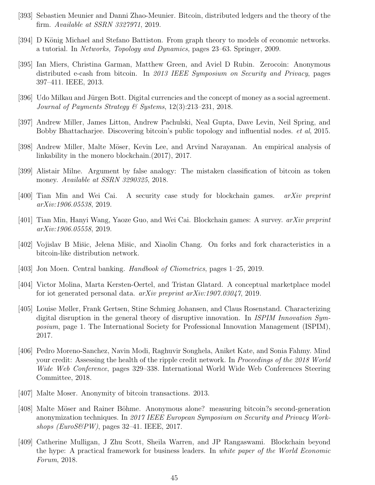- [393] Sebastien Meunier and Danni Zhao-Meunier. Bitcoin, distributed ledgers and the theory of the firm. Available at SSRN 3327971, 2019.
- [394] D König Michael and Stefano Battiston. From graph theory to models of economic networks. a tutorial. In Networks, Topology and Dynamics, pages 23–63. Springer, 2009.
- [395] Ian Miers, Christina Garman, Matthew Green, and Aviel D Rubin. Zerocoin: Anonymous distributed e-cash from bitcoin. In 2013 IEEE Symposium on Security and Privacy, pages 397–411. IEEE, 2013.
- [396] Udo Milkau and Jürgen Bott. Digital currencies and the concept of money as a social agreement. Journal of Payments Strategy & Systems, 12(3):213–231, 2018.
- [397] Andrew Miller, James Litton, Andrew Pachulski, Neal Gupta, Dave Levin, Neil Spring, and Bobby Bhattacharjee. Discovering bitcoin's public topology and influential nodes. et al, 2015.
- [398] Andrew Miller, Malte M¨oser, Kevin Lee, and Arvind Narayanan. An empirical analysis of linkability in the monero blockchain.(2017), 2017.
- [399] Alistair Milne. Argument by false analogy: The mistaken classification of bitcoin as token money. Available at SSRN 3290325, 2018.
- [400] Tian Min and Wei Cai. A security case study for blockchain games. arXiv preprint arXiv:1906.05538, 2019.
- [401] Tian Min, Hanyi Wang, Yaoze Guo, and Wei Cai. Blockchain games: A survey. arXiv preprint arXiv:1906.05558, 2019.
- [402] Vojislav B Mišic, Jelena Mišic, and Xiaolin Chang. On forks and fork characteristics in a bitcoin-like distribution network.
- [403] Jon Moen. Central banking. *Handbook of Cliometrics*, pages 1–25, 2019.
- [404] Victor Molina, Marta Kersten-Oertel, and Tristan Glatard. A conceptual marketplace model for iot generated personal data. arXiv preprint arXiv:1907.03047, 2019.
- [405] Louise Møller, Frank Gertsen, Stine Schmieg Johansen, and Claus Rosenstand. Characterizing digital disruption in the general theory of disruptive innovation. In ISPIM Innovation Symposium, page 1. The International Society for Professional Innovation Management (ISPIM), 2017.
- [406] Pedro Moreno-Sanchez, Navin Modi, Raghuvir Songhela, Aniket Kate, and Sonia Fahmy. Mind your credit: Assessing the health of the ripple credit network. In Proceedings of the 2018 World Wide Web Conference, pages 329–338. International World Wide Web Conferences Steering Committee, 2018.
- [407] Malte Moser. Anonymity of bitcoin transactions. 2013.
- [408] Malte Möser and Rainer Böhme. Anonymous alone? measuring bitcoin?s second-generation anonymization techniques. In 2017 IEEE European Symposium on Security and Privacy Workshops (EuroS&PW), pages  $32-41$ . IEEE,  $2017$ .
- [409] Catherine Mulligan, J Zhu Scott, Sheila Warren, and JP Rangaswami. Blockchain beyond the hype: A practical framework for business leaders. In white paper of the World Economic Forum, 2018.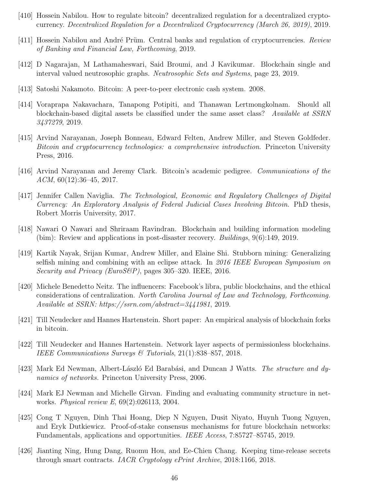- [410] Hossein Nabilou. How to regulate bitcoin? decentralized regulation for a decentralized cryptocurrency. Decentralized Regulation for a Decentralized Cryptocurrency (March 26, 2019), 2019.
- [411] Hossein Nabilou and André Prüm. Central banks and regulation of cryptocurrencies. Review of Banking and Financial Law, Forthcoming, 2019.
- [412] D Nagarajan, M Lathamaheswari, Said Broumi, and J Kavikumar. Blockchain single and interval valued neutrosophic graphs. Neutrosophic Sets and Systems, page 23, 2019.
- [413] Satoshi Nakamoto. Bitcoin: A peer-to-peer electronic cash system. 2008.
- [414] Voraprapa Nakavachara, Tanapong Potipiti, and Thanawan Lertmongkolnam. Should all blockchain-based digital assets be classified under the same asset class? Available at SSRN 3437279, 2019.
- [415] Arvind Narayanan, Joseph Bonneau, Edward Felten, Andrew Miller, and Steven Goldfeder. Bitcoin and cryptocurrency technologies: a comprehensive introduction. Princeton University Press, 2016.
- [416] Arvind Narayanan and Jeremy Clark. Bitcoin's academic pedigree. Communications of the  $ACM$ , 60(12):36–45, 2017.
- [417] Jennifer Callen Naviglia. The Technological, Economic and Regulatory Challenges of Digital Currency: An Exploratory Analysis of Federal Judicial Cases Involving Bitcoin. PhD thesis, Robert Morris University, 2017.
- [418] Nawari O Nawari and Shriraam Ravindran. Blockchain and building information modeling (bim): Review and applications in post-disaster recovery. Buildings, 9(6):149, 2019.
- [419] Kartik Nayak, Srijan Kumar, Andrew Miller, and Elaine Shi. Stubborn mining: Generalizing selfish mining and combining with an eclipse attack. In 2016 IEEE European Symposium on Security and Privacy (EuroS&P), pages  $305-320$ . IEEE, 2016.
- [420] Michele Benedetto Neitz. The influencers: Facebook's libra, public blockchains, and the ethical considerations of centralization. North Carolina Journal of Law and Technology, Forthcoming. Available at SSRN: https://ssrn.com/abstract=3441981, 2019.
- [421] Till Neudecker and Hannes Hartenstein. Short paper: An empirical analysis of blockchain forks in bitcoin.
- [422] Till Neudecker and Hannes Hartenstein. Network layer aspects of permissionless blockchains. IEEE Communications Surveys & Tutorials, 21(1):838–857, 2018.
- [423] Mark Ed Newman, Albert-László Ed Barabási, and Duncan J Watts. *The structure and dy*namics of networks. Princeton University Press, 2006.
- [424] Mark EJ Newman and Michelle Girvan. Finding and evaluating community structure in networks. Physical review E, 69(2):026113, 2004.
- [425] Cong T Nguyen, Dinh Thai Hoang, Diep N Nguyen, Dusit Niyato, Huynh Tuong Nguyen, and Eryk Dutkiewicz. Proof-of-stake consensus mechanisms for future blockchain networks: Fundamentals, applications and opportunities. IEEE Access, 7:85727–85745, 2019.
- [426] Jianting Ning, Hung Dang, Ruomu Hou, and Ee-Chien Chang. Keeping time-release secrets through smart contracts. IACR Cryptology ePrint Archive, 2018:1166, 2018.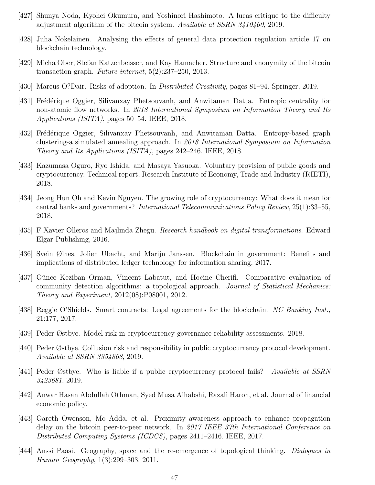- [427] Shunya Noda, Kyohei Okumura, and Yoshinori Hashimoto. A lucas critique to the difficulty adjustment algorithm of the bitcoin system. Available at SSRN 3410460, 2019.
- [428] Juha Nokelainen. Analysing the effects of general data protection regulation article 17 on blockchain technology.
- [429] Micha Ober, Stefan Katzenbeisser, and Kay Hamacher. Structure and anonymity of the bitcoin transaction graph. Future internet, 5(2):237–250, 2013.
- [430] Marcus O?Dair. Risks of adoption. In Distributed Creativity, pages 81–94. Springer, 2019.
- [431] Frédérique Oggier, Silivanxay Phetsouvanh, and Anwitaman Datta. Entropic centrality for non-atomic flow networks. In 2018 International Symposium on Information Theory and Its Applications (ISITA), pages 50–54. IEEE, 2018.
- [432] Frédérique Oggier, Silivanxay Phetsouvanh, and Anwitaman Datta. Entropy-based graph clustering-a simulated annealing approach. In 2018 International Symposium on Information Theory and Its Applications (ISITA), pages 242–246. IEEE, 2018.
- [433] Kazumasa Oguro, Ryo Ishida, and Masaya Yasuoka. Voluntary provision of public goods and cryptocurrency. Technical report, Research Institute of Economy, Trade and Industry (RIETI), 2018.
- [434] Jeong Hun Oh and Kevin Nguyen. The growing role of cryptocurrency: What does it mean for central banks and governments? International Telecommunications Policy Review, 25(1):33–55, 2018.
- [435] F Xavier Olleros and Majlinda Zhegu. Research handbook on digital transformations. Edward Elgar Publishing, 2016.
- [436] Svein Ølnes, Jolien Ubacht, and Marijn Janssen. Blockchain in government: Benefits and implications of distributed ledger technology for information sharing, 2017.
- [437] Günce Keziban Orman, Vincent Labatut, and Hocine Cherifi. Comparative evaluation of community detection algorithms: a topological approach. Journal of Statistical Mechanics: Theory and Experiment, 2012(08):P08001, 2012.
- [438] Reggie O'Shields. Smart contracts: Legal agreements for the blockchain. NC Banking Inst., 21:177, 2017.
- [439] Peder Østbye. Model risk in cryptocurrency governance reliability assessments. 2018.
- [440] Peder Østbye. Collusion risk and responsibility in public cryptocurrency protocol development. Available at SSRN 3354868, 2019.
- [441] Peder Østbye. Who is liable if a public cryptocurrency protocol fails? Available at SSRN 3423681, 2019.
- [442] Anwar Hasan Abdullah Othman, Syed Musa Alhabshi, Razali Haron, et al. Journal of financial economic policy.
- [443] Gareth Owenson, Mo Adda, et al. Proximity awareness approach to enhance propagation delay on the bitcoin peer-to-peer network. In 2017 IEEE 37th International Conference on Distributed Computing Systems (ICDCS), pages 2411–2416. IEEE, 2017.
- [444] Anssi Paasi. Geography, space and the re-emergence of topological thinking. *Dialogues in* Human Geography, 1(3):299–303, 2011.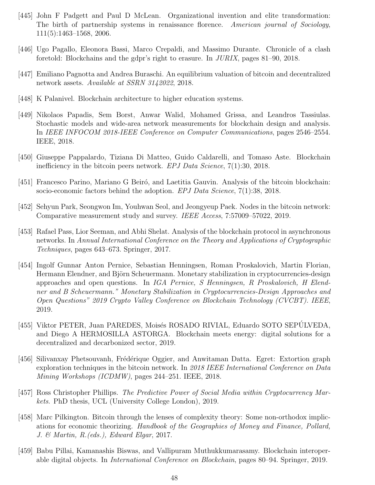- [445] John F Padgett and Paul D McLean. Organizational invention and elite transformation: The birth of partnership systems in renaissance florence. American journal of Sociology, 111(5):1463–1568, 2006.
- [446] Ugo Pagallo, Eleonora Bassi, Marco Crepaldi, and Massimo Durante. Chronicle of a clash foretold: Blockchains and the gdpr's right to erasure. In JURIX, pages 81–90, 2018.
- [447] Emiliano Pagnotta and Andrea Buraschi. An equilibrium valuation of bitcoin and decentralized network assets. Available at SSRN 3142022, 2018.
- [448] K Palanivel. Blockchain architecture to higher education systems.
- [449] Nikolaos Papadis, Sem Borst, Anwar Walid, Mohamed Grissa, and Leandros Tassiulas. Stochastic models and wide-area network measurements for blockchain design and analysis. In IEEE INFOCOM 2018-IEEE Conference on Computer Communications, pages 2546–2554. IEEE, 2018.
- [450] Giuseppe Pappalardo, Tiziana Di Matteo, Guido Caldarelli, and Tomaso Aste. Blockchain inefficiency in the bitcoin peers network.  $EPI Data Science, 7(1):30, 2018$ .
- [451] Francesco Parino, Mariano G Beiró, and Laetitia Gauvin. Analysis of the bitcoin blockchain: socio-economic factors behind the adoption. *EPJ Data Science*, 7(1):38, 2018.
- [452] Sehyun Park, Seongwon Im, Youhwan Seol, and Jeongyeup Paek. Nodes in the bitcoin network: Comparative measurement study and survey. IEEE Access, 7:57009–57022, 2019.
- [453] Rafael Pass, Lior Seeman, and Abhi Shelat. Analysis of the blockchain protocol in asynchronous networks. In Annual International Conference on the Theory and Applications of Cryptographic Techniques, pages 643–673. Springer, 2017.
- [454] Ingolf Gunnar Anton Pernice, Sebastian Henningsen, Roman Proskalovich, Martin Florian, Hermann Elendner, and Björn Scheuermann. Monetary stabilization in cryptocurrencies-design approaches and open questions. In IGA Pernice, S Henningsen, R Proskalovich, H Elendner and B Scheuermann." Monetary Stabilization in Cryptocurrencies-Design Approaches and Open Questions" 2019 Crypto Valley Conference on Blockchain Technology (CVCBT). IEEE, 2019.
- [455] Viktor PETER, Juan PAREDES, Moisés ROSADO RIVIAL, Eduardo SOTO SEPÚLVEDA, and Diego A HERMOSILLA ASTORGA. Blockchain meets energy: digital solutions for a decentralized and decarbonized sector, 2019.
- [456] Silivanxay Phetsouvanh, Frédérique Oggier, and Anwitaman Datta. Egret: Extortion graph exploration techniques in the bitcoin network. In 2018 IEEE International Conference on Data Mining Workshops (ICDMW), pages 244–251. IEEE, 2018.
- [457] Ross Christopher Phillips. The Predictive Power of Social Media within Cryptocurrency Markets. PhD thesis, UCL (University College London), 2019.
- [458] Marc Pilkington. Bitcoin through the lenses of complexity theory: Some non-orthodox implications for economic theorizing. Handbook of the Geographies of Money and Finance, Pollard, J. & Martin, R.(eds.), Edward Elgar, 2017.
- [459] Babu Pillai, Kamanashis Biswas, and Vallipuram Muthukkumarasamy. Blockchain interoperable digital objects. In International Conference on Blockchain, pages 80–94. Springer, 2019.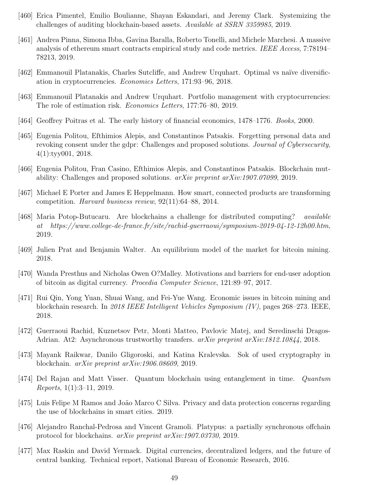- [460] Erica Pimentel, Emilio Boulianne, Shayan Eskandari, and Jeremy Clark. Systemizing the challenges of auditing blockchain-based assets. Available at SSRN 3359985, 2019.
- [461] Andrea Pinna, Simona Ibba, Gavina Baralla, Roberto Tonelli, and Michele Marchesi. A massive analysis of ethereum smart contracts empirical study and code metrics. IEEE Access, 7:78194– 78213, 2019.
- [462] Emmanouil Platanakis, Charles Sutcliffe, and Andrew Urquhart. Optimal vs na¨ıve diversification in cryptocurrencies. Economics Letters, 171:93–96, 2018.
- [463] Emmanouil Platanakis and Andrew Urquhart. Portfolio management with cryptocurrencies: The role of estimation risk. Economics Letters, 177:76–80, 2019.
- [464] Geoffrey Poitras et al. The early history of financial economics, 1478–1776. Books, 2000.
- [465] Eugenia Politou, Efthimios Alepis, and Constantinos Patsakis. Forgetting personal data and revoking consent under the gdpr: Challenges and proposed solutions. Journal of Cybersecurity, 4(1):tyy001, 2018.
- [466] Eugenia Politou, Fran Casino, Efthimios Alepis, and Constantinos Patsakis. Blockchain mutability: Challenges and proposed solutions. arXiv preprint arXiv:1907.07099, 2019.
- [467] Michael E Porter and James E Heppelmann. How smart, connected products are transforming competition. Harvard business review, 92(11):64–88, 2014.
- [468] Maria Potop-Butucaru. Are blockchains a challenge for distributed computing? available at https://www.college-de-france.fr/site/rachid-guerraoui/symposium-2019-04-12-12h00.htm, 2019.
- [469] Julien Prat and Benjamin Walter. An equilibrium model of the market for bitcoin mining. 2018.
- [470] Wanda Presthus and Nicholas Owen O?Malley. Motivations and barriers for end-user adoption of bitcoin as digital currency. Procedia Computer Science, 121:89–97, 2017.
- [471] Rui Qin, Yong Yuan, Shuai Wang, and Fei-Yue Wang. Economic issues in bitcoin mining and blockchain research. In 2018 IEEE Intelligent Vehicles Symposium (IV), pages 268–273. IEEE, 2018.
- [472] Guerraoui Rachid, Kuznetsov Petr, Monti Matteo, Pavlovic Matej, and Seredinschi Dragos-Adrian. At2: Asynchronous trustworthy transfers. arXiv preprint arXiv:1812.10844, 2018.
- [473] Mayank Raikwar, Danilo Gligoroski, and Katina Kralevska. Sok of used cryptography in blockchain. arXiv preprint arXiv:1906.08609, 2019.
- [474] Del Rajan and Matt Visser. Quantum blockchain using entanglement in time. Quantum *Reports*,  $1(1):3-11$ , 2019.
- [475] Luis Felipe M Ramos and João Marco C Silva. Privacy and data protection concerns regarding the use of blockchains in smart cities. 2019.
- [476] Alejandro Ranchal-Pedrosa and Vincent Gramoli. Platypus: a partially synchronous offchain protocol for blockchains. arXiv preprint arXiv:1907.03730, 2019.
- [477] Max Raskin and David Yermack. Digital currencies, decentralized ledgers, and the future of central banking. Technical report, National Bureau of Economic Research, 2016.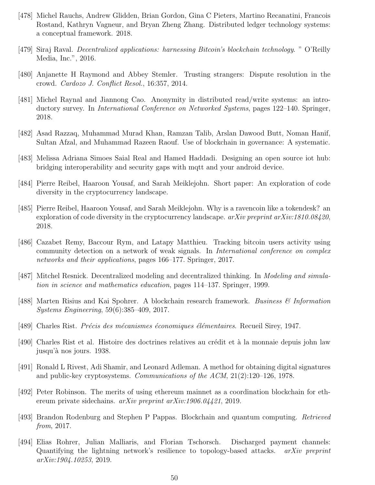- [478] Michel Rauchs, Andrew Glidden, Brian Gordon, Gina C Pieters, Martino Recanatini, Francois Rostand, Kathryn Vagneur, and Bryan Zheng Zhang. Distributed ledger technology systems: a conceptual framework. 2018.
- [479] Siraj Raval. Decentralized applications: harnessing Bitcoin's blockchain technology. " O'Reilly Media, Inc.", 2016.
- [480] Anjanette H Raymond and Abbey Stemler. Trusting strangers: Dispute resolution in the crowd. Cardozo J. Conflict Resol., 16:357, 2014.
- [481] Michel Raynal and Jiannong Cao. Anonymity in distributed read/write systems: an introductory survey. In International Conference on Networked Systems, pages 122–140. Springer, 2018.
- [482] Asad Razzaq, Muhammad Murad Khan, Ramzan Talib, Arslan Dawood Butt, Noman Hanif, Sultan Afzal, and Muhammad Razeen Raouf. Use of blockchain in governance: A systematic.
- [483] Melissa Adriana Simoes Saial Real and Hamed Haddadi. Designing an open source iot hub: bridging interoperability and security gaps with mqtt and your android device.
- [484] Pierre Reibel, Haaroon Yousaf, and Sarah Meiklejohn. Short paper: An exploration of code diversity in the cryptocurrency landscape.
- [485] Pierre Reibel, Haaroon Yousaf, and Sarah Meiklejohn. Why is a ravencoin like a tokendesk? an exploration of code diversity in the cryptocurrency landscape.  $arXiv$  preprint  $arXiv:1810.08420$ , 2018.
- [486] Cazabet Remy, Baccour Rym, and Latapy Matthieu. Tracking bitcoin users activity using community detection on a network of weak signals. In *International conference on complex* networks and their applications, pages 166–177. Springer, 2017.
- [487] Mitchel Resnick. Decentralized modeling and decentralized thinking. In *Modeling and simula*tion in science and mathematics education, pages 114–137. Springer, 1999.
- [488] Marten Risius and Kai Spohrer. A blockchain research framework. Business & Information Systems Engineering, 59(6):385–409, 2017.
- [489] Charles Rist. *Précis des mécanismes économiques élémentaires*. Recueil Sirey, 1947.
- [490] Charles Rist et al. Histoire des doctrines relatives au crédit et à la monnaie depuis john law jusqu'à nos jours. 1938.
- [491] Ronald L Rivest, Adi Shamir, and Leonard Adleman. A method for obtaining digital signatures and public-key cryptosystems. Communications of the ACM, 21(2):120–126, 1978.
- [492] Peter Robinson. The merits of using ethereum mainnet as a coordination blockchain for ethereum private sidechains. arXiv preprint arXiv:1906.04421, 2019.
- [493] Brandon Rodenburg and Stephen P Pappas. Blockchain and quantum computing. Retrieved from, 2017.
- [494] Elias Rohrer, Julian Malliaris, and Florian Tschorsch. Discharged payment channels: Quantifying the lightning network's resilience to topology-based attacks. *arXiv preprint* arXiv:1904.10253, 2019.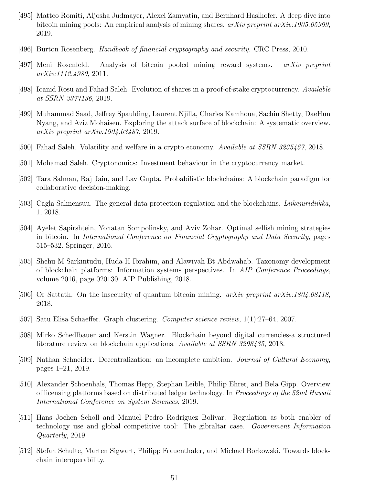- [495] Matteo Romiti, Aljosha Judmayer, Alexei Zamyatin, and Bernhard Haslhofer. A deep dive into bitcoin mining pools: An empirical analysis of mining shares.  $arXiv$  preprint  $arXiv:1905.05999$ , 2019.
- [496] Burton Rosenberg. Handbook of financial cryptography and security. CRC Press, 2010.
- [497] Meni Rosenfeld. Analysis of bitcoin pooled mining reward systems. arXiv preprint arXiv:1112.4980, 2011.
- [498] Ioanid Rosu and Fahad Saleh. Evolution of shares in a proof-of-stake cryptocurrency. Available at SSRN 3377136, 2019.
- [499] Muhammad Saad, Jeffrey Spaulding, Laurent Njilla, Charles Kamhoua, Sachin Shetty, DaeHun Nyang, and Aziz Mohaisen. Exploring the attack surface of blockchain: A systematic overview. arXiv preprint arXiv:1904.03487, 2019.
- [500] Fahad Saleh. Volatility and welfare in a crypto economy. Available at SSRN 3235467, 2018.
- [501] Mohamad Saleh. Cryptonomics: Investment behaviour in the cryptocurrency market.
- [502] Tara Salman, Raj Jain, and Lav Gupta. Probabilistic blockchains: A blockchain paradigm for collaborative decision-making.
- [503] Cagla Salmensuu. The general data protection regulation and the blockchains. Liikejuridiikka, 1, 2018.
- [504] Ayelet Sapirshtein, Yonatan Sompolinsky, and Aviv Zohar. Optimal selfish mining strategies in bitcoin. In International Conference on Financial Cryptography and Data Security, pages 515–532. Springer, 2016.
- [505] Shehu M Sarkintudu, Huda H Ibrahim, and Alawiyah Bt Abdwahab. Taxonomy development of blockchain platforms: Information systems perspectives. In AIP Conference Proceedings, volume 2016, page 020130. AIP Publishing, 2018.
- [506] Or Sattath. On the insecurity of quantum bitcoin mining. *arXiv preprint arXiv:1804.08118*, 2018.
- [507] Satu Elisa Schaeffer. Graph clustering. Computer science review, 1(1):27–64, 2007.
- [508] Mirko Schedlbauer and Kerstin Wagner. Blockchain beyond digital currencies-a structured literature review on blockchain applications. Available at SSRN 3298435, 2018.
- [509] Nathan Schneider. Decentralization: an incomplete ambition. Journal of Cultural Economy, pages 1–21, 2019.
- [510] Alexander Schoenhals, Thomas Hepp, Stephan Leible, Philip Ehret, and Bela Gipp. Overview of licensing platforms based on distributed ledger technology. In Proceedings of the 52nd Hawaii International Conference on System Sciences, 2019.
- [511] Hans Jochen Scholl and Manuel Pedro Rodríguez Bolívar. Regulation as both enabler of technology use and global competitive tool: The gibraltar case. Government Information Quarterly, 2019.
- [512] Stefan Schulte, Marten Sigwart, Philipp Frauenthaler, and Michael Borkowski. Towards blockchain interoperability.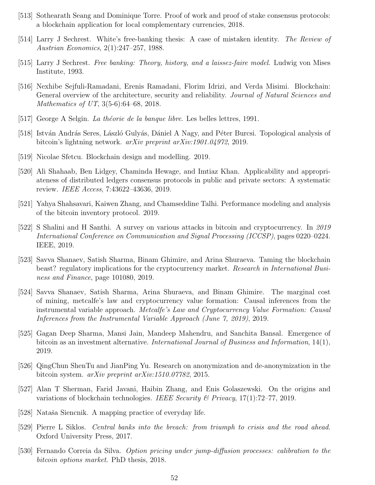- [513] Sothearath Seang and Dominique Torre. Proof of work and proof of stake consensus protocols: a blockchain application for local complementary currencies, 2018.
- [514] Larry J Sechrest. White's free-banking thesis: A case of mistaken identity. The Review of Austrian Economics, 2(1):247–257, 1988.
- [515] Larry J Sechrest. Free banking: Theory, history, and a laissez-faire model. Ludwig von Mises Institute, 1993.
- [516] Nexhibe Sejfuli-Ramadani, Erenis Ramadani, Florim Idrizi, and Verda Misimi. Blockchain: General overview of the architecture, security and reliability. *Journal of Natural Sciences and* Mathematics of UT, 3(5-6):64–68, 2018.
- [517] George A Selgin. La théorie de la banque libre. Les belles lettres, 1991.
- [518] István András Seres, László Gulyás, Dániel A Nagy, and Péter Burcsi. Topological analysis of bitcoin's lightning network. arXiv preprint arXiv:1901.04972, 2019.
- [519] Nicolae Sfetcu. Blockchain design and modelling. 2019.
- [520] Ali Shahaab, Ben Lidgey, Chaminda Hewage, and Imtiaz Khan. Applicability and appropriateness of distributed ledgers consensus protocols in public and private sectors: A systematic review. IEEE Access, 7:43622–43636, 2019.
- [521] Yahya Shahsavari, Kaiwen Zhang, and Chamseddine Talhi. Performance modeling and analysis of the bitcoin inventory protocol. 2019.
- [522] S Shalini and H Santhi. A survey on various attacks in bitcoin and cryptocurrency. In 2019 International Conference on Communication and Signal Processing (ICCSP), pages 0220–0224. IEEE, 2019.
- [523] Savva Shanaev, Satish Sharma, Binam Ghimire, and Arina Shuraeva. Taming the blockchain beast? regulatory implications for the cryptocurrency market. Research in International Business and Finance, page 101080, 2019.
- [524] Savva Shanaev, Satish Sharma, Arina Shuraeva, and Binam Ghimire. The marginal cost of mining, metcalfe's law and cryptocurrency value formation: Causal inferences from the instrumental variable approach. Metcalfe's Law and Cryptocurrency Value Formation: Causal Inferences from the Instrumental Variable Approach (June 7, 2019), 2019.
- [525] Gagan Deep Sharma, Mansi Jain, Mandeep Mahendru, and Sanchita Bansal. Emergence of bitcoin as an investment alternative. International Journal of Business and Information, 14(1), 2019.
- [526] QingChun ShenTu and JianPing Yu. Research on anonymization and de-anonymization in the bitcoin system. arXiv preprint arXiv:1510.07782, 2015.
- [527] Alan T Sherman, Farid Javani, Haibin Zhang, and Enis Golaszewski. On the origins and variations of blockchain technologies. IEEE Security & Privacy,  $17(1)$ :72–77, 2019.
- [528] Nataša Siencnik. A mapping practice of everyday life.
- [529] Pierre L Siklos. Central banks into the breach: from triumph to crisis and the road ahead. Oxford University Press, 2017.
- [530] Fernando Correia da Silva. Option pricing under jump-diffusion processes: calibration to the bitcoin options market. PhD thesis, 2018.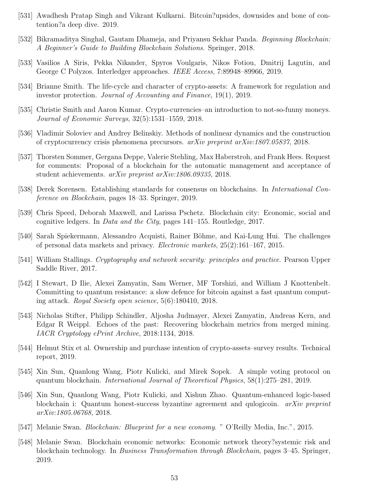- [531] Awadhesh Pratap Singh and Vikrant Kulkarni. Bitcoin?upsides, downsides and bone of contention?a deep dive. 2019.
- [532] Bikramaditya Singhal, Gautam Dhameja, and Priyansu Sekhar Panda. *Beginning Blockchain:* A Beginner's Guide to Building Blockchain Solutions. Springer, 2018.
- [533] Vasilios A Siris, Pekka Nikander, Spyros Voulgaris, Nikos Fotiou, Dmitrij Lagutin, and George C Polyzos. Interledger approaches. IEEE Access, 7:89948–89966, 2019.
- [534] Brianne Smith. The life-cycle and character of crypto-assets: A framework for regulation and investor protection. Journal of Accounting and Finance, 19(1), 2019.
- [535] Christie Smith and Aaron Kumar. Crypto-currencies–an introduction to not-so-funny moneys. Journal of Economic Surveys, 32(5):1531–1559, 2018.
- [536] Vladimir Soloviev and Andrey Belinskiy. Methods of nonlinear dynamics and the construction of cryptocurrency crisis phenomena precursors. arXiv preprint arXiv:1807.05837, 2018.
- [537] Thorsten Sommer, Gergana Deppe, Valerie Stehling, Max Haberstroh, and Frank Hees. Request for comments: Proposal of a blockchain for the automatic management and acceptance of student achievements. arXiv preprint arXiv:1806.09335, 2018.
- [538] Derek Sorensen. Establishing standards for consensus on blockchains. In International Conference on Blockchain, pages 18–33. Springer, 2019.
- [539] Chris Speed, Deborah Maxwell, and Larissa Pschetz. Blockchain city: Economic, social and cognitive ledgers. In Data and the City, pages 141–155. Routledge, 2017.
- [540] Sarah Spiekermann, Alessandro Acquisti, Rainer Böhme, and Kai-Lung Hui. The challenges of personal data markets and privacy. Electronic markets, 25(2):161–167, 2015.
- [541] William Stallings. Cryptography and network security: principles and practice. Pearson Upper Saddle River, 2017.
- [542] I Stewart, D Ilie, Alexei Zamyatin, Sam Werner, MF Torshizi, and William J Knottenbelt. Committing to quantum resistance: a slow defence for bitcoin against a fast quantum computing attack. Royal Society open science, 5(6):180410, 2018.
- [543] Nicholas Stifter, Philipp Schindler, Aljosha Judmayer, Alexei Zamyatin, Andreas Kern, and Edgar R Weippl. Echoes of the past: Recovering blockchain metrics from merged mining. IACR Cryptology ePrint Archive, 2018:1134, 2018.
- [544] Helmut Stix et al. Ownership and purchase intention of crypto-assets–survey results. Technical report, 2019.
- [545] Xin Sun, Quanlong Wang, Piotr Kulicki, and Mirek Sopek. A simple voting protocol on quantum blockchain. International Journal of Theoretical Physics, 58(1):275–281, 2019.
- [546] Xin Sun, Quanlong Wang, Piotr Kulicki, and Xishun Zhao. Quantum-enhanced logic-based blockchain i: Quantum honest-success byzantine agreement and qulogicoin. *arXiv preprint* arXiv:1805.06768, 2018.
- [547] Melanie Swan. Blockchain: Blueprint for a new economy. " O'Reilly Media, Inc.", 2015.
- [548] Melanie Swan. Blockchain economic networks: Economic network theory?systemic risk and blockchain technology. In Business Transformation through Blockchain, pages 3–45. Springer, 2019.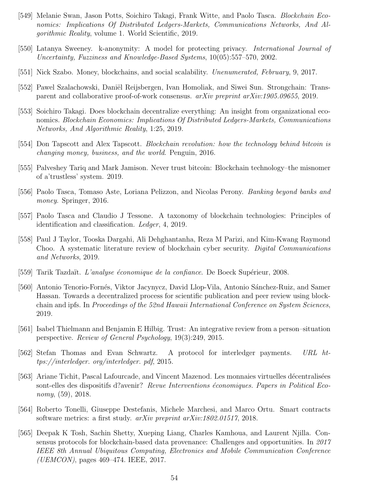- [549] Melanie Swan, Jason Potts, Soichiro Takagi, Frank Witte, and Paolo Tasca. Blockchain Economics: Implications Of Distributed Ledgers-Markets, Communications Networks, And Algorithmic Reality, volume 1. World Scientific, 2019.
- [550] Latanya Sweeney. k-anonymity: A model for protecting privacy. International Journal of Uncertainty, Fuzziness and Knowledge-Based Systems, 10(05):557–570, 2002.
- [551] Nick Szabo. Money, blockchains, and social scalability. *Unenumerated, February*, 9, 2017.
- [552] Pawel Szalachowski, Daniël Reijsbergen, Ivan Homoliak, and Siwei Sun. Strongchain: Transparent and collaborative proof-of-work consensus. arXiv preprint arXiv:1905.09655, 2019.
- [553] Soichiro Takagi. Does blockchain decentralize everything: An insight from organizational economics. Blockchain Economics: Implications Of Distributed Ledgers-Markets, Communications Networks, And Algorithmic Reality, 1:25, 2019.
- [554] Don Tapscott and Alex Tapscott. *Blockchain revolution: how the technology behind bitcoin is* changing money, business, and the world. Penguin, 2016.
- [555] Palveshey Tariq and Mark Jamison. Never trust bitcoin: Blockchain technology–the misnomer of a'trustless' system. 2019.
- [556] Paolo Tasca, Tomaso Aste, Loriana Pelizzon, and Nicolas Perony. Banking beyond banks and money. Springer, 2016.
- [557] Paolo Tasca and Claudio J Tessone. A taxonomy of blockchain technologies: Principles of identification and classification. Ledger, 4, 2019.
- [558] Paul J Taylor, Tooska Dargahi, Ali Dehghantanha, Reza M Parizi, and Kim-Kwang Raymond Choo. A systematic literature review of blockchain cyber security. Digital Communications and Networks, 2019.
- [559] Tarik Tazdaït. L'analyse économique de la confiance. De Boeck Supérieur, 2008.
- [560] Antonio Tenorio-Fornés, Viktor Jacynycz, David Llop-Vila, Antonio Sánchez-Ruiz, and Samer Hassan. Towards a decentralized process for scientific publication and peer review using blockchain and ipfs. In Proceedings of the 52nd Hawaii International Conference on System Sciences, 2019.
- [561] Isabel Thielmann and Benjamin E Hilbig. Trust: An integrative review from a person–situation perspective. Review of General Psychology, 19(3):249, 2015.
- [562] Stefan Thomas and Evan Schwartz. A protocol for interledger payments. URL https://interledger. org/interledger. pdf, 2015.
- [563] Ariane Tichit, Pascal Lafourcade, and Vincent Mazenod. Les monnaies virtuelles décentralisées sont-elles des dispositifs d?avenir? Revue Interventions économiques. Papers in Political Economy, (59), 2018.
- [564] Roberto Tonelli, Giuseppe Destefanis, Michele Marchesi, and Marco Ortu. Smart contracts software metrics: a first study. arXiv preprint arXiv:1802.01517, 2018.
- [565] Deepak K Tosh, Sachin Shetty, Xueping Liang, Charles Kamhoua, and Laurent Njilla. Consensus protocols for blockchain-based data provenance: Challenges and opportunities. In 2017 IEEE 8th Annual Ubiquitous Computing, Electronics and Mobile Communication Conference (UEMCON), pages 469–474. IEEE, 2017.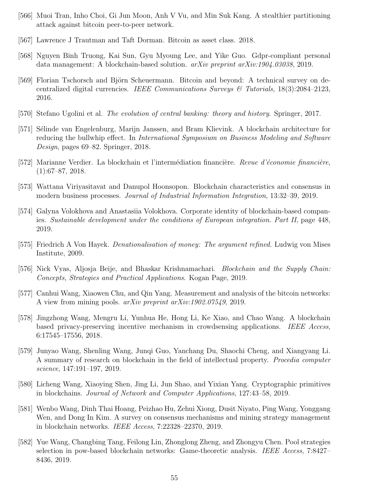- [566] Muoi Tran, Inho Choi, Gi Jun Moon, Anh V Vu, and Min Suk Kang. A stealthier partitioning attack against bitcoin peer-to-peer network.
- [567] Lawrence J Trautman and Taft Dorman. Bitcoin as asset class. 2018.
- [568] Nguyen Binh Truong, Kai Sun, Gyu Myoung Lee, and Yike Guo. Gdpr-compliant personal data management: A blockchain-based solution. arXiv preprint arXiv:1904.03038, 2019.
- [569] Florian Tschorsch and Björn Scheuermann. Bitcoin and beyond: A technical survey on decentralized digital currencies. IEEE Communications Surveys  $\mathcal{B}$  Tutorials, 18(3):2084–2123, 2016.
- [570] Stefano Ugolini et al. The evolution of central banking: theory and history. Springer, 2017.
- [571] Sélinde van Engelenburg, Marijn Janssen, and Bram Klievink. A blockchain architecture for reducing the bullwhip effect. In *International Symposium on Business Modeling and Software* Design, pages 69–82. Springer, 2018.
- [572] Marianne Verdier. La blockchain et l'intermédiation financière. *Revue d'économie financière*,  $(1):67–87, 2018.$
- [573] Wattana Viriyasitavat and Danupol Hoonsopon. Blockchain characteristics and consensus in modern business processes. Journal of Industrial Information Integration, 13:32–39, 2019.
- [574] Galyna Volokhova and Anastasiia Volokhova. Corporate identity of blockchain-based companies. Sustainable development under the conditions of European integration. Part II, page 448, 2019.
- [575] Friedrich A Von Hayek. *Denationalisation of money: The argument refined*. Ludwig von Mises Institute, 2009.
- [576] Nick Vyas, Aljosja Beije, and Bhaskar Krishnamachari. *Blockchain and the Supply Chain:* Concepts, Strategies and Practical Applications. Kogan Page, 2019.
- [577] Canhui Wang, Xiaowen Chu, and Qin Yang. Measurement and analysis of the bitcoin networks: A view from mining pools. arXiv preprint arXiv:1902.07549, 2019.
- [578] Jingzhong Wang, Mengru Li, Yunhua He, Hong Li, Ke Xiao, and Chao Wang. A blockchain based privacy-preserving incentive mechanism in crowdsensing applications. IEEE Access, 6:17545–17556, 2018.
- [579] Junyao Wang, Shenling Wang, Junqi Guo, Yanchang Du, Shaochi Cheng, and Xiangyang Li. A summary of research on blockchain in the field of intellectual property. Procedia computer science, 147:191–197, 2019.
- [580] Licheng Wang, Xiaoying Shen, Jing Li, Jun Shao, and Yixian Yang. Cryptographic primitives in blockchains. Journal of Network and Computer Applications, 127:43–58, 2019.
- [581] Wenbo Wang, Dinh Thai Hoang, Peizhao Hu, Zehui Xiong, Dusit Niyato, Ping Wang, Yonggang Wen, and Dong In Kim. A survey on consensus mechanisms and mining strategy management in blockchain networks. IEEE Access, 7:22328–22370, 2019.
- [582] Yue Wang, Changbing Tang, Feilong Lin, Zhonglong Zheng, and Zhongyu Chen. Pool strategies selection in pow-based blockchain networks: Game-theoretic analysis. IEEE Access, 7:8427– 8436, 2019.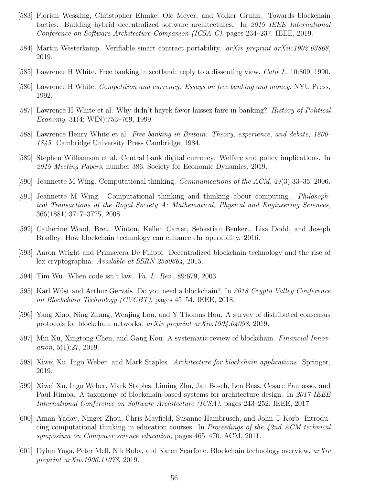- [583] Florian Wessling, Christopher Ehmke, Ole Meyer, and Volker Gruhn. Towards blockchain tactics: Building hybrid decentralized software architectures. In 2019 IEEE International Conference on Software Architecture Companion (ICSA-C), pages 234–237. IEEE, 2019.
- [584] Martin Westerkamp. Verifiable smart contract portability. *arXiv preprint arXiv:1902.03868*, 2019.
- [585] Lawrence H White. Free banking in scotland: reply to a dissenting view. Cato J., 10:809, 1990.
- [586] Lawrence H White. *Competition and currency: Essays on free banking and money*. NYU Press, 1992.
- [587] Lawrence H White et al. Why didn't hayek favor laissez faire in banking? History of Political Economy, 31(4; WIN):753–769, 1999.
- [588] Lawrence Henry White et al. Free banking in Britain: Theory, experience, and debate, 1800- 1845. Cambridge University Press Cambridge, 1984.
- [589] Stephen Williamson et al. Central bank digital currency: Welfare and policy implications. In 2019 Meeting Papers, number 386. Society for Economic Dynamics, 2019.
- [590] Jeannette M Wing. Computational thinking. Communications of the ACM, 49(3):33–35, 2006.
- [591] Jeannette M Wing. Computational thinking and thinking about computing. Philosophical Transactions of the Royal Society A: Mathematical, Physical and Engineering Sciences, 366(1881):3717–3725, 2008.
- [592] Catherine Wood, Brett Winton, Kellen Carter, Sebastian Benkert, Lisa Dodd, and Joseph Bradley. How blockchain technology can enhance ehr operability. 2016.
- [593] Aaron Wright and Primavera De Filippi. Decentralized blockchain technology and the rise of lex cryptographia. Available at SSRN 2580664, 2015.
- [594] Tim Wu. When code isn't law. Va. L. Rev., 89:679, 2003.
- [595] Karl Wüst and Arthur Gervais. Do you need a blockchain? In 2018 Crypto Valley Conference on Blockchain Technology (CVCBT), pages 45–54. IEEE, 2018.
- [596] Yang Xiao, Ning Zhang, Wenjing Lou, and Y Thomas Hou. A survey of distributed consensus protocols for blockchain networks. arXiv preprint arXiv:1904.04098, 2019.
- [597] Min Xu, Xingtong Chen, and Gang Kou. A systematic review of blockchain. Financial Innovation, 5(1):27, 2019.
- [598] Xiwei Xu, Ingo Weber, and Mark Staples. Architecture for blockchain applications. Springer, 2019.
- [599] Xiwei Xu, Ingo Weber, Mark Staples, Liming Zhu, Jan Bosch, Len Bass, Cesare Pautasso, and Paul Rimba. A taxonomy of blockchain-based systems for architecture design. In 2017 IEEE International Conference on Software Architecture (ICSA), pages 243–252. IEEE, 2017.
- [600] Aman Yadav, Ninger Zhou, Chris Mayfield, Susanne Hambrusch, and John T Korb. Introducing computational thinking in education courses. In Proceedings of the 42nd ACM technical symposium on Computer science education, pages 465–470. ACM, 2011.
- [601] Dylan Yaga, Peter Mell, Nik Roby, and Karen Scarfone. Blockchain technology overview. arXiv preprint arXiv:1906.11078, 2019.